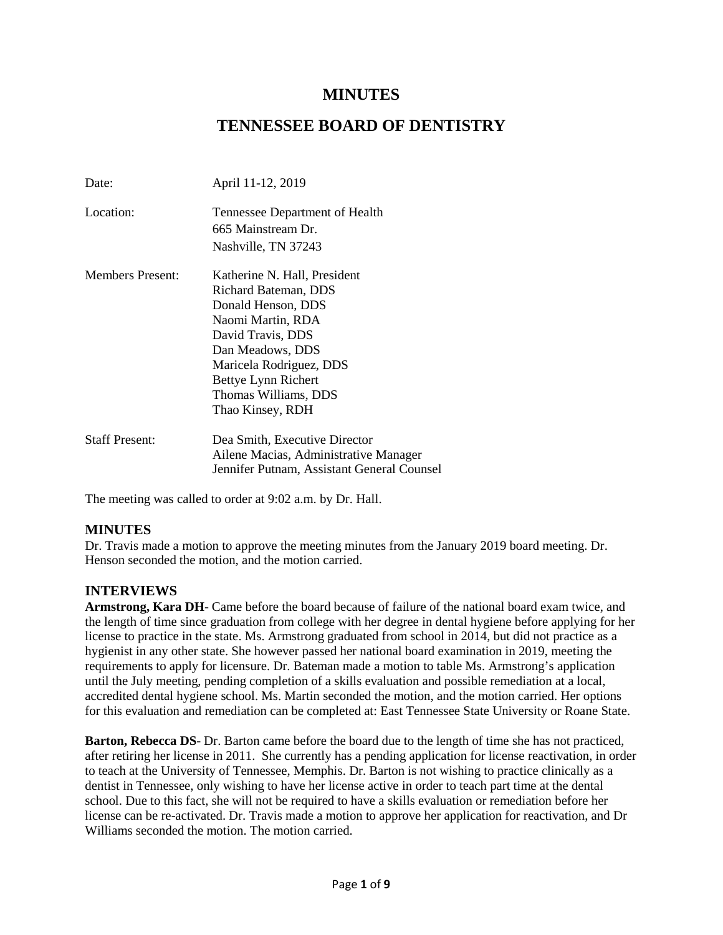# **MINUTES**

# **TENNESSEE BOARD OF DENTISTRY**

| Date:                   | April 11-12, 2019                                    |
|-------------------------|------------------------------------------------------|
| Location:               | Tennessee Department of Health<br>665 Mainstream Dr. |
|                         | Nashville, TN 37243                                  |
| <b>Members Present:</b> | Katherine N. Hall, President                         |
|                         | Richard Bateman, DDS                                 |
|                         | Donald Henson, DDS                                   |
|                         | Naomi Martin, RDA                                    |
|                         | David Travis, DDS                                    |
|                         | Dan Meadows, DDS                                     |
|                         | Maricela Rodriguez, DDS                              |
|                         | Bettye Lynn Richert                                  |
|                         | Thomas Williams, DDS                                 |
|                         | Thao Kinsey, RDH                                     |
| <b>Staff Present:</b>   | Dea Smith, Executive Director                        |
|                         | Ailene Macias, Administrative Manager                |
|                         | Jennifer Putnam, Assistant General Counsel           |

The meeting was called to order at 9:02 a.m. by Dr. Hall.

# **MINUTES**

Dr. Travis made a motion to approve the meeting minutes from the January 2019 board meeting. Dr. Henson seconded the motion, and the motion carried.

### **INTERVIEWS**

**Armstrong, Kara DH**- Came before the board because of failure of the national board exam twice, and the length of time since graduation from college with her degree in dental hygiene before applying for her license to practice in the state. Ms. Armstrong graduated from school in 2014, but did not practice as a hygienist in any other state. She however passed her national board examination in 2019, meeting the requirements to apply for licensure. Dr. Bateman made a motion to table Ms. Armstrong's application until the July meeting, pending completion of a skills evaluation and possible remediation at a local, accredited dental hygiene school. Ms. Martin seconded the motion, and the motion carried. Her options for this evaluation and remediation can be completed at: East Tennessee State University or Roane State.

**Barton, Rebecca DS**- Dr. Barton came before the board due to the length of time she has not practiced, after retiring her license in 2011. She currently has a pending application for license reactivation, in order to teach at the University of Tennessee, Memphis. Dr. Barton is not wishing to practice clinically as a dentist in Tennessee, only wishing to have her license active in order to teach part time at the dental school. Due to this fact, she will not be required to have a skills evaluation or remediation before her license can be re-activated. Dr. Travis made a motion to approve her application for reactivation, and Dr Williams seconded the motion. The motion carried.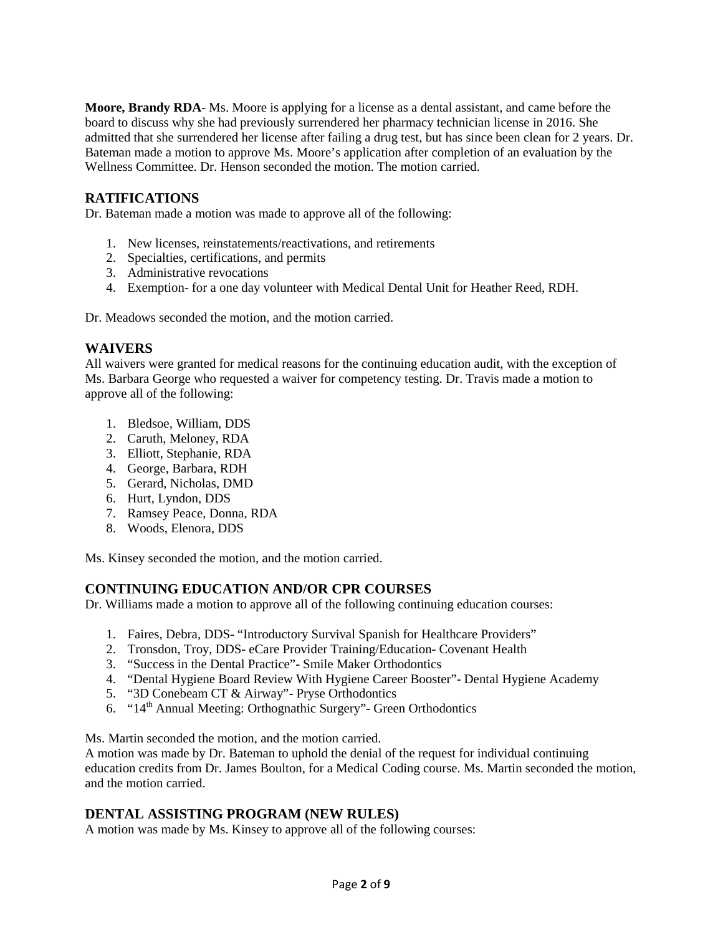**Moore, Brandy RDA**- Ms. Moore is applying for a license as a dental assistant, and came before the board to discuss why she had previously surrendered her pharmacy technician license in 2016. She admitted that she surrendered her license after failing a drug test, but has since been clean for 2 years. Dr. Bateman made a motion to approve Ms. Moore's application after completion of an evaluation by the Wellness Committee. Dr. Henson seconded the motion. The motion carried.

# **RATIFICATIONS**

Dr. Bateman made a motion was made to approve all of the following:

- 1. New licenses, reinstatements/reactivations, and retirements
- 2. Specialties, certifications, and permits
- 3. Administrative revocations
- 4. Exemption- for a one day volunteer with Medical Dental Unit for Heather Reed, RDH.

Dr. Meadows seconded the motion, and the motion carried.

# **WAIVERS**

All waivers were granted for medical reasons for the continuing education audit, with the exception of Ms. Barbara George who requested a waiver for competency testing. Dr. Travis made a motion to approve all of the following:

- 1. Bledsoe, William, DDS
- 2. Caruth, Meloney, RDA
- 3. Elliott, Stephanie, RDA
- 4. George, Barbara, RDH
- 5. Gerard, Nicholas, DMD
- 6. Hurt, Lyndon, DDS
- 7. Ramsey Peace, Donna, RDA
- 8. Woods, Elenora, DDS

Ms. Kinsey seconded the motion, and the motion carried.

# **CONTINUING EDUCATION AND/OR CPR COURSES**

Dr. Williams made a motion to approve all of the following continuing education courses:

- 1. Faires, Debra, DDS- "Introductory Survival Spanish for Healthcare Providers"
- 2. Tronsdon, Troy, DDS- eCare Provider Training/Education- Covenant Health
- 3. "Success in the Dental Practice"- Smile Maker Orthodontics
- 4. "Dental Hygiene Board Review With Hygiene Career Booster"- Dental Hygiene Academy
- 5. "3D Conebeam CT & Airway"- Pryse Orthodontics
- 6. " $14<sup>th</sup>$  Annual Meeting: Orthognathic Surgery" Green Orthodontics

Ms. Martin seconded the motion, and the motion carried.

A motion was made by Dr. Bateman to uphold the denial of the request for individual continuing education credits from Dr. James Boulton, for a Medical Coding course. Ms. Martin seconded the motion, and the motion carried.

# **DENTAL ASSISTING PROGRAM (NEW RULES)**

A motion was made by Ms. Kinsey to approve all of the following courses: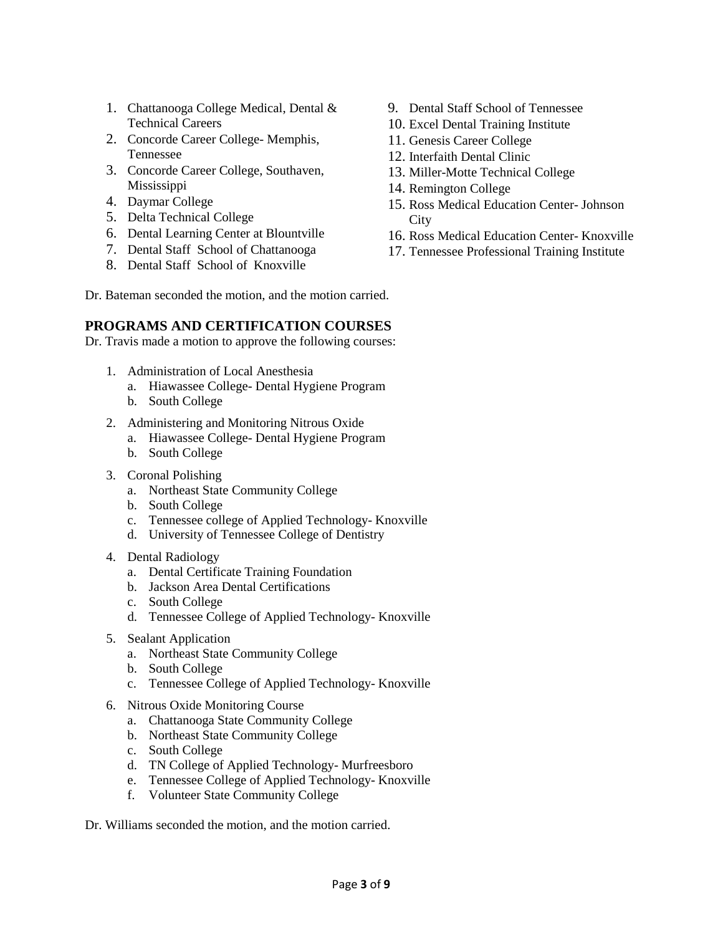- 1. Chattanooga College Medical, Dental & Technical Careers
- 2. Concorde Career College- Memphis, Tennessee
- 3. Concorde Career College, Southaven, Mississippi
- 4. Daymar College
- 5. Delta Technical College
- 6. Dental Learning Center at Blountville
- 7. Dental Staff School of Chattanooga
- 8. Dental Staff School of Knoxville
- 9. Dental Staff School of Tennessee
- 10. Excel Dental Training Institute
- 11. Genesis Career College
- 12. Interfaith Dental Clinic
- 13. Miller-Motte Technical College
- 14. Remington College
- 15. Ross Medical Education Center- Johnson **City**
- 16. Ross Medical Education Center- Knoxville
- 17. Tennessee Professional Training Institute

Dr. Bateman seconded the motion, and the motion carried.

## **PROGRAMS AND CERTIFICATION COURSES**

Dr. Travis made a motion to approve the following courses:

- 1. Administration of Local Anesthesia
	- a. Hiawassee College- Dental Hygiene Program
	- b. South College
- 2. Administering and Monitoring Nitrous Oxide
	- a. Hiawassee College- Dental Hygiene Program
	- b. South College
- 3. Coronal Polishing
	- a. Northeast State Community College
	- b. South College
	- c. Tennessee college of Applied Technology- Knoxville
	- d. University of Tennessee College of Dentistry
- 4. Dental Radiology
	- a. Dental Certificate Training Foundation
	- b. Jackson Area Dental Certifications
	- c. South College
	- d. Tennessee College of Applied Technology- Knoxville
- 5. Sealant Application
	- a. Northeast State Community College
	- b. South College
	- c. Tennessee College of Applied Technology- Knoxville
- 6. Nitrous Oxide Monitoring Course
	- a. Chattanooga State Community College
	- b. Northeast State Community College
	- c. South College
	- d. TN College of Applied Technology- Murfreesboro
	- e. Tennessee College of Applied Technology- Knoxville
	- f. Volunteer State Community College

Dr. Williams seconded the motion, and the motion carried.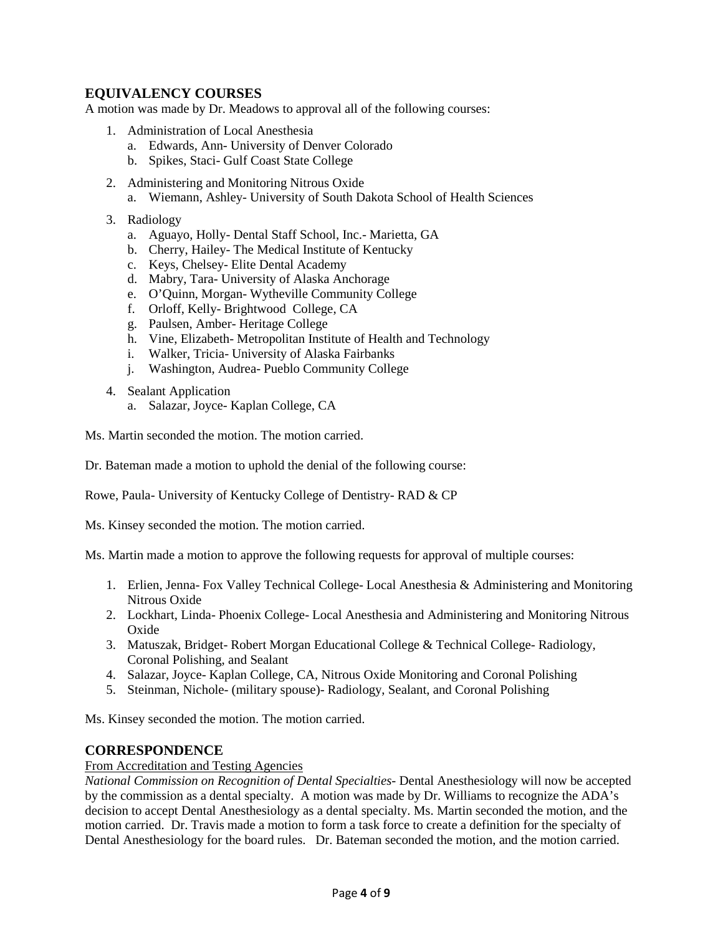# **EQUIVALENCY COURSES**

A motion was made by Dr. Meadows to approval all of the following courses:

- 1. Administration of Local Anesthesia
	- a. Edwards, Ann- University of Denver Colorado
	- b. Spikes, Staci- Gulf Coast State College
- 2. Administering and Monitoring Nitrous Oxide
	- a. Wiemann, Ashley- University of South Dakota School of Health Sciences
- 3. Radiology
	- a. Aguayo, Holly- Dental Staff School, Inc.- Marietta, GA
	- b. Cherry, Hailey- The Medical Institute of Kentucky
	- c. Keys, Chelsey- Elite Dental Academy
	- d. Mabry, Tara- University of Alaska Anchorage
	- e. O'Quinn, Morgan- Wytheville Community College
	- f. Orloff, Kelly- Brightwood College, CA
	- g. Paulsen, Amber- Heritage College
	- h. Vine, Elizabeth- Metropolitan Institute of Health and Technology
	- i. Walker, Tricia- University of Alaska Fairbanks
	- j. Washington, Audrea- Pueblo Community College
- 4. Sealant Application
	- a. Salazar, Joyce- Kaplan College, CA

Ms. Martin seconded the motion. The motion carried.

Dr. Bateman made a motion to uphold the denial of the following course:

Rowe, Paula- University of Kentucky College of Dentistry- RAD & CP

Ms. Kinsey seconded the motion. The motion carried.

Ms. Martin made a motion to approve the following requests for approval of multiple courses:

- 1. Erlien, Jenna- Fox Valley Technical College- Local Anesthesia & Administering and Monitoring Nitrous Oxide
- 2. Lockhart, Linda- Phoenix College- Local Anesthesia and Administering and Monitoring Nitrous **Oxide**
- 3. Matuszak, Bridget- Robert Morgan Educational College & Technical College- Radiology, Coronal Polishing, and Sealant
- 4. Salazar, Joyce- Kaplan College, CA, Nitrous Oxide Monitoring and Coronal Polishing
- 5. Steinman, Nichole- (military spouse)- Radiology, Sealant, and Coronal Polishing

Ms. Kinsey seconded the motion. The motion carried.

### **CORRESPONDENCE**

#### From Accreditation and Testing Agencies

*National Commission on Recognition of Dental Specialties-* Dental Anesthesiology will now be accepted by the commission as a dental specialty. A motion was made by Dr. Williams to recognize the ADA's decision to accept Dental Anesthesiology as a dental specialty. Ms. Martin seconded the motion, and the motion carried. Dr. Travis made a motion to form a task force to create a definition for the specialty of Dental Anesthesiology for the board rules. Dr. Bateman seconded the motion, and the motion carried.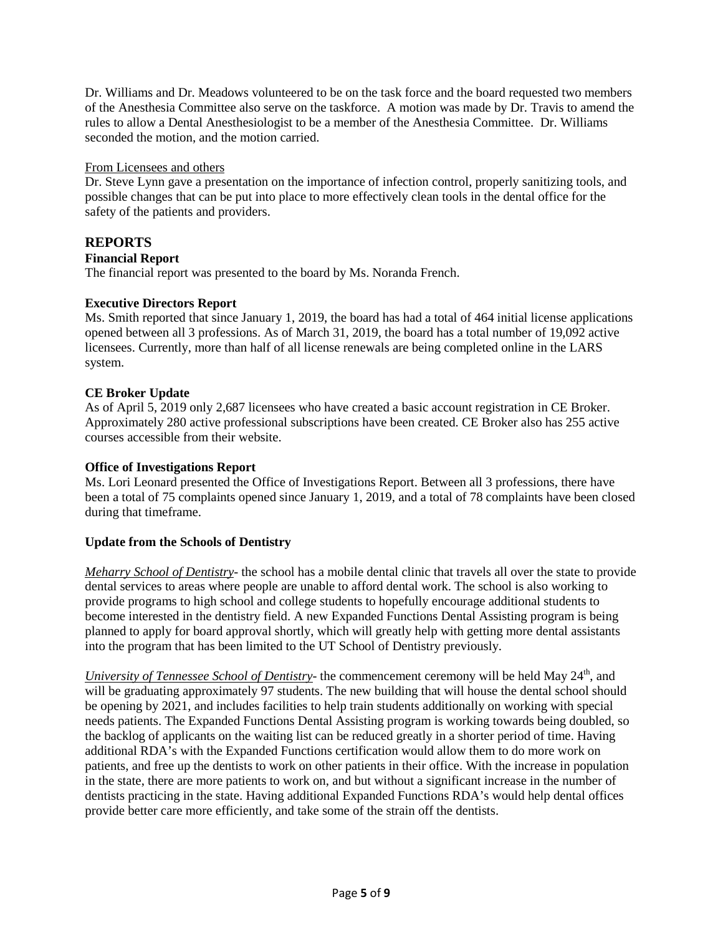Dr. Williams and Dr. Meadows volunteered to be on the task force and the board requested two members of the Anesthesia Committee also serve on the taskforce. A motion was made by Dr. Travis to amend the rules to allow a Dental Anesthesiologist to be a member of the Anesthesia Committee. Dr. Williams seconded the motion, and the motion carried.

### From Licensees and others

Dr. Steve Lynn gave a presentation on the importance of infection control, properly sanitizing tools, and possible changes that can be put into place to more effectively clean tools in the dental office for the safety of the patients and providers.

# **REPORTS**

## **Financial Report**

The financial report was presented to the board by Ms. Noranda French.

## **Executive Directors Report**

Ms. Smith reported that since January 1, 2019, the board has had a total of 464 initial license applications opened between all 3 professions. As of March 31, 2019, the board has a total number of 19,092 active licensees. Currently, more than half of all license renewals are being completed online in the LARS system.

## **CE Broker Update**

As of April 5, 2019 only 2,687 licensees who have created a basic account registration in CE Broker. Approximately 280 active professional subscriptions have been created. CE Broker also has 255 active courses accessible from their website.

### **Office of Investigations Report**

Ms. Lori Leonard presented the Office of Investigations Report. Between all 3 professions, there have been a total of 75 complaints opened since January 1, 2019, and a total of 78 complaints have been closed during that timeframe.

# **Update from the Schools of Dentistry**

*Meharry School of Dentistry*- the school has a mobile dental clinic that travels all over the state to provide dental services to areas where people are unable to afford dental work. The school is also working to provide programs to high school and college students to hopefully encourage additional students to become interested in the dentistry field. A new Expanded Functions Dental Assisting program is being planned to apply for board approval shortly, which will greatly help with getting more dental assistants into the program that has been limited to the UT School of Dentistry previously.

*University of Tennessee School of Dentistry*- the commencement ceremony will be held May 24<sup>th</sup>, and will be graduating approximately 97 students. The new building that will house the dental school should be opening by 2021, and includes facilities to help train students additionally on working with special needs patients. The Expanded Functions Dental Assisting program is working towards being doubled, so the backlog of applicants on the waiting list can be reduced greatly in a shorter period of time. Having additional RDA's with the Expanded Functions certification would allow them to do more work on patients, and free up the dentists to work on other patients in their office. With the increase in population in the state, there are more patients to work on, and but without a significant increase in the number of dentists practicing in the state. Having additional Expanded Functions RDA's would help dental offices provide better care more efficiently, and take some of the strain off the dentists.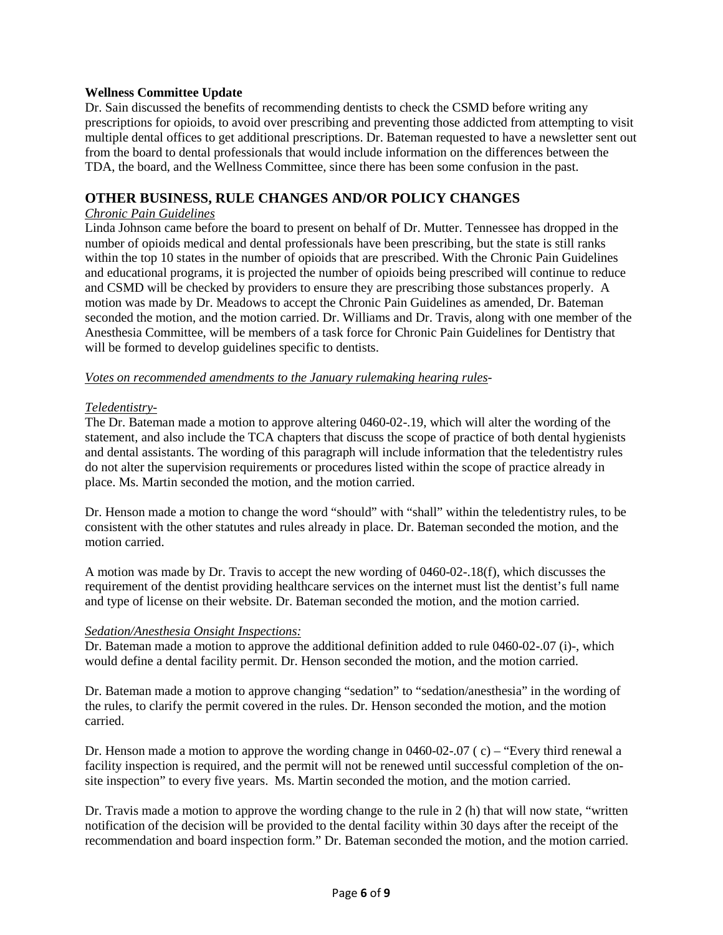### **Wellness Committee Update**

Dr. Sain discussed the benefits of recommending dentists to check the CSMD before writing any prescriptions for opioids, to avoid over prescribing and preventing those addicted from attempting to visit multiple dental offices to get additional prescriptions. Dr. Bateman requested to have a newsletter sent out from the board to dental professionals that would include information on the differences between the TDA, the board, and the Wellness Committee, since there has been some confusion in the past.

### **OTHER BUSINESS, RULE CHANGES AND/OR POLICY CHANGES**

#### *Chronic Pain Guidelines*

Linda Johnson came before the board to present on behalf of Dr. Mutter. Tennessee has dropped in the number of opioids medical and dental professionals have been prescribing, but the state is still ranks within the top 10 states in the number of opioids that are prescribed. With the Chronic Pain Guidelines and educational programs, it is projected the number of opioids being prescribed will continue to reduce and CSMD will be checked by providers to ensure they are prescribing those substances properly. A motion was made by Dr. Meadows to accept the Chronic Pain Guidelines as amended, Dr. Bateman seconded the motion, and the motion carried. Dr. Williams and Dr. Travis, along with one member of the Anesthesia Committee, will be members of a task force for Chronic Pain Guidelines for Dentistry that will be formed to develop guidelines specific to dentists.

#### *Votes on recommended amendments to the January rulemaking hearing rules*-

#### *Teledentistry*-

The Dr. Bateman made a motion to approve altering 0460-02-.19, which will alter the wording of the statement, and also include the TCA chapters that discuss the scope of practice of both dental hygienists and dental assistants. The wording of this paragraph will include information that the teledentistry rules do not alter the supervision requirements or procedures listed within the scope of practice already in place. Ms. Martin seconded the motion, and the motion carried.

Dr. Henson made a motion to change the word "should" with "shall" within the teledentistry rules, to be consistent with the other statutes and rules already in place. Dr. Bateman seconded the motion, and the motion carried.

A motion was made by Dr. Travis to accept the new wording of 0460-02-.18(f), which discusses the requirement of the dentist providing healthcare services on the internet must list the dentist's full name and type of license on their website. Dr. Bateman seconded the motion, and the motion carried.

#### *Sedation/Anesthesia Onsight Inspections:*

Dr. Bateman made a motion to approve the additional definition added to rule 0460-02-.07 (i)-, which would define a dental facility permit. Dr. Henson seconded the motion, and the motion carried.

Dr. Bateman made a motion to approve changing "sedation" to "sedation/anesthesia" in the wording of the rules, to clarify the permit covered in the rules. Dr. Henson seconded the motion, and the motion carried.

Dr. Henson made a motion to approve the wording change in 0460-02-.07 ( c) – "Every third renewal a facility inspection is required, and the permit will not be renewed until successful completion of the onsite inspection" to every five years. Ms. Martin seconded the motion, and the motion carried.

Dr. Travis made a motion to approve the wording change to the rule in 2 (h) that will now state, "written notification of the decision will be provided to the dental facility within 30 days after the receipt of the recommendation and board inspection form." Dr. Bateman seconded the motion, and the motion carried.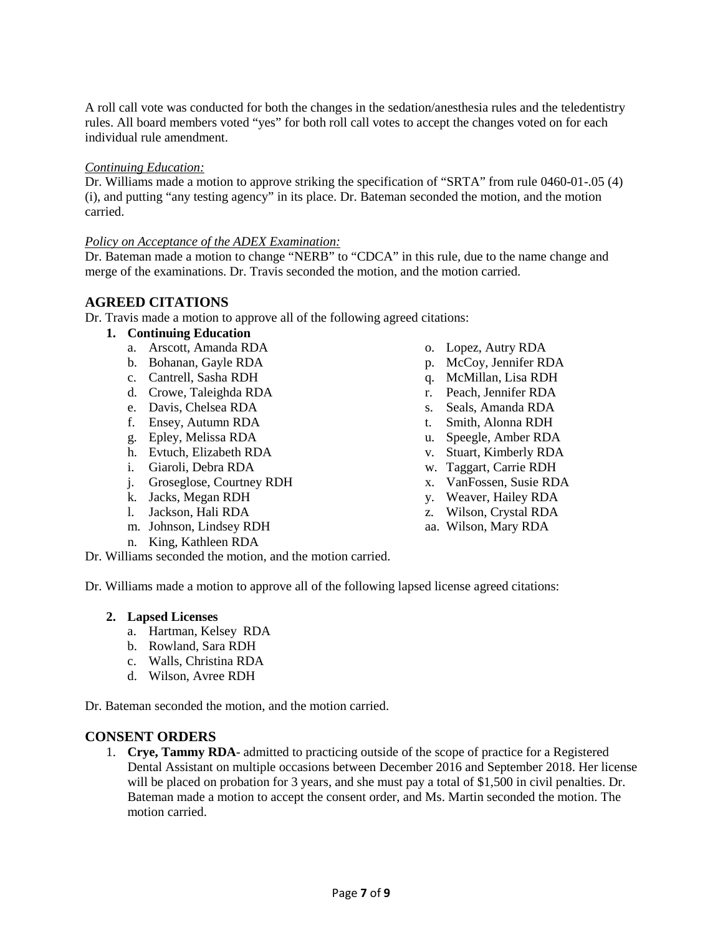A roll call vote was conducted for both the changes in the sedation/anesthesia rules and the teledentistry rules. All board members voted "yes" for both roll call votes to accept the changes voted on for each individual rule amendment.

#### *Continuing Education:*

Dr. Williams made a motion to approve striking the specification of "SRTA" from rule 0460-01-.05 (4) (i), and putting "any testing agency" in its place. Dr. Bateman seconded the motion, and the motion carried.

#### *Policy on Acceptance of the ADEX Examination:*

Dr. Bateman made a motion to change "NERB" to "CDCA" in this rule, due to the name change and merge of the examinations. Dr. Travis seconded the motion, and the motion carried.

# **AGREED CITATIONS**

Dr. Travis made a motion to approve all of the following agreed citations:

### **1. Continuing Education**

- a. Arscott, Amanda RDA
- b. Bohanan, Gayle RDA
- c. Cantrell, Sasha RDH
- d. Crowe, Taleighda RDA
- e. Davis, Chelsea RDA
- f. Ensey, Autumn RDA
- g. Epley, Melissa RDA
- h. Evtuch, Elizabeth RDA
- i. Giaroli, Debra RDA
- j. Groseglose, Courtney RDH
- k. Jacks, Megan RDH
- l. Jackson, Hali RDA
- m. Johnson, Lindsey RDH
- n. King, Kathleen RDA
- Dr. Williams seconded the motion, and the motion carried.

Dr. Williams made a motion to approve all of the following lapsed license agreed citations:

#### **2. Lapsed Licenses**

- a. Hartman, Kelsey RDA
- b. Rowland, Sara RDH
- c. Walls, Christina RDA
- d. Wilson, Avree RDH

Dr. Bateman seconded the motion, and the motion carried.

### **CONSENT ORDERS**

1. **Crye, Tammy RDA**- admitted to practicing outside of the scope of practice for a Registered Dental Assistant on multiple occasions between December 2016 and September 2018. Her license will be placed on probation for 3 years, and she must pay a total of \$1,500 in civil penalties. Dr. Bateman made a motion to accept the consent order, and Ms. Martin seconded the motion. The motion carried.

- o. Lopez, Autry RDA
- p. McCoy, Jennifer RDA
- q. McMillan, Lisa RDH
- r. Peach, Jennifer RDA
- s. Seals, Amanda RDA
- t. Smith, Alonna RDH
- u. Speegle, Amber RDA
- v. Stuart, Kimberly RDA
- w. Taggart, Carrie RDH
- x. VanFossen, Susie RDA
- y. Weaver, Hailey RDA
- z. Wilson, Crystal RDA
- aa. Wilson, Mary RDA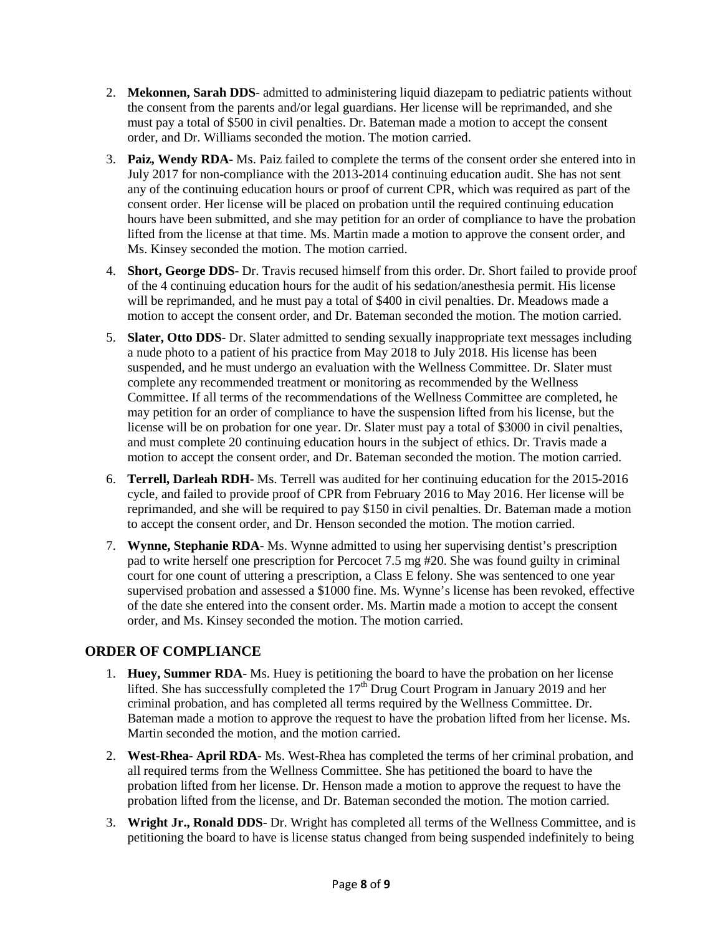- 2. **Mekonnen, Sarah DDS** admitted to administering liquid diazepam to pediatric patients without the consent from the parents and/or legal guardians. Her license will be reprimanded, and she must pay a total of \$500 in civil penalties. Dr. Bateman made a motion to accept the consent order, and Dr. Williams seconded the motion. The motion carried.
- 3. **Paiz, Wendy RDA** Ms. Paiz failed to complete the terms of the consent order she entered into in July 2017 for non-compliance with the 2013-2014 continuing education audit. She has not sent any of the continuing education hours or proof of current CPR, which was required as part of the consent order. Her license will be placed on probation until the required continuing education hours have been submitted, and she may petition for an order of compliance to have the probation lifted from the license at that time. Ms. Martin made a motion to approve the consent order, and Ms. Kinsey seconded the motion. The motion carried.
- 4. **Short, George DDS** Dr. Travis recused himself from this order. Dr. Short failed to provide proof of the 4 continuing education hours for the audit of his sedation/anesthesia permit. His license will be reprimanded, and he must pay a total of \$400 in civil penalties. Dr. Meadows made a motion to accept the consent order, and Dr. Bateman seconded the motion. The motion carried.
- 5. **Slater, Otto DDS** Dr. Slater admitted to sending sexually inappropriate text messages including a nude photo to a patient of his practice from May 2018 to July 2018. His license has been suspended, and he must undergo an evaluation with the Wellness Committee. Dr. Slater must complete any recommended treatment or monitoring as recommended by the Wellness Committee. If all terms of the recommendations of the Wellness Committee are completed, he may petition for an order of compliance to have the suspension lifted from his license, but the license will be on probation for one year. Dr. Slater must pay a total of \$3000 in civil penalties, and must complete 20 continuing education hours in the subject of ethics. Dr. Travis made a motion to accept the consent order, and Dr. Bateman seconded the motion. The motion carried.
- 6. **Terrell, Darleah RDH** Ms. Terrell was audited for her continuing education for the 2015-2016 cycle, and failed to provide proof of CPR from February 2016 to May 2016. Her license will be reprimanded, and she will be required to pay \$150 in civil penalties. Dr. Bateman made a motion to accept the consent order, and Dr. Henson seconded the motion. The motion carried.
- 7. **Wynne, Stephanie RDA** Ms. Wynne admitted to using her supervising dentist's prescription pad to write herself one prescription for Percocet 7.5 mg #20. She was found guilty in criminal court for one count of uttering a prescription, a Class E felony. She was sentenced to one year supervised probation and assessed a \$1000 fine. Ms. Wynne's license has been revoked, effective of the date she entered into the consent order. Ms. Martin made a motion to accept the consent order, and Ms. Kinsey seconded the motion. The motion carried.

# **ORDER OF COMPLIANCE**

- 1. **Huey, Summer RDA** Ms. Huey is petitioning the board to have the probation on her license lifted. She has successfully completed the  $17<sup>th</sup>$  Drug Court Program in January 2019 and her criminal probation, and has completed all terms required by the Wellness Committee. Dr. Bateman made a motion to approve the request to have the probation lifted from her license. Ms. Martin seconded the motion, and the motion carried.
- 2. **West-Rhea- April RDA** Ms. West-Rhea has completed the terms of her criminal probation, and all required terms from the Wellness Committee. She has petitioned the board to have the probation lifted from her license. Dr. Henson made a motion to approve the request to have the probation lifted from the license, and Dr. Bateman seconded the motion. The motion carried.
- 3. **Wright Jr., Ronald DDS** Dr. Wright has completed all terms of the Wellness Committee, and is petitioning the board to have is license status changed from being suspended indefinitely to being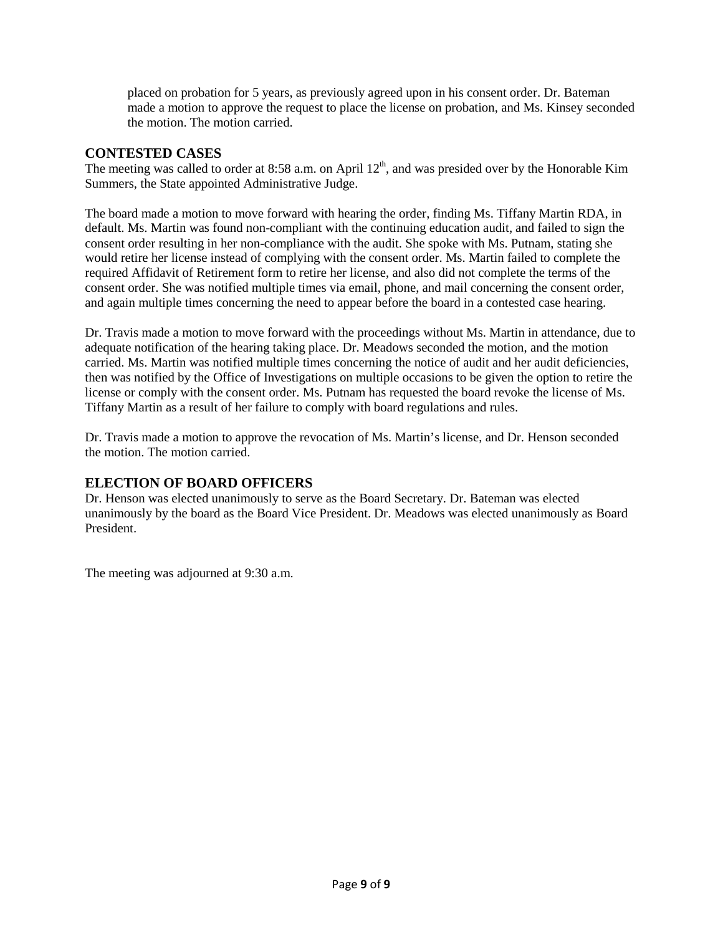placed on probation for 5 years, as previously agreed upon in his consent order. Dr. Bateman made a motion to approve the request to place the license on probation, and Ms. Kinsey seconded the motion. The motion carried.

# **CONTESTED CASES**

The meeting was called to order at 8:58 a.m. on April 12<sup>th</sup>, and was presided over by the Honorable Kim Summers, the State appointed Administrative Judge.

The board made a motion to move forward with hearing the order, finding Ms. Tiffany Martin RDA, in default. Ms. Martin was found non-compliant with the continuing education audit, and failed to sign the consent order resulting in her non-compliance with the audit. She spoke with Ms. Putnam, stating she would retire her license instead of complying with the consent order. Ms. Martin failed to complete the required Affidavit of Retirement form to retire her license, and also did not complete the terms of the consent order. She was notified multiple times via email, phone, and mail concerning the consent order, and again multiple times concerning the need to appear before the board in a contested case hearing.

Dr. Travis made a motion to move forward with the proceedings without Ms. Martin in attendance, due to adequate notification of the hearing taking place. Dr. Meadows seconded the motion, and the motion carried. Ms. Martin was notified multiple times concerning the notice of audit and her audit deficiencies, then was notified by the Office of Investigations on multiple occasions to be given the option to retire the license or comply with the consent order. Ms. Putnam has requested the board revoke the license of Ms. Tiffany Martin as a result of her failure to comply with board regulations and rules.

Dr. Travis made a motion to approve the revocation of Ms. Martin's license, and Dr. Henson seconded the motion. The motion carried.

# **ELECTION OF BOARD OFFICERS**

Dr. Henson was elected unanimously to serve as the Board Secretary. Dr. Bateman was elected unanimously by the board as the Board Vice President. Dr. Meadows was elected unanimously as Board President.

The meeting was adjourned at 9:30 a.m.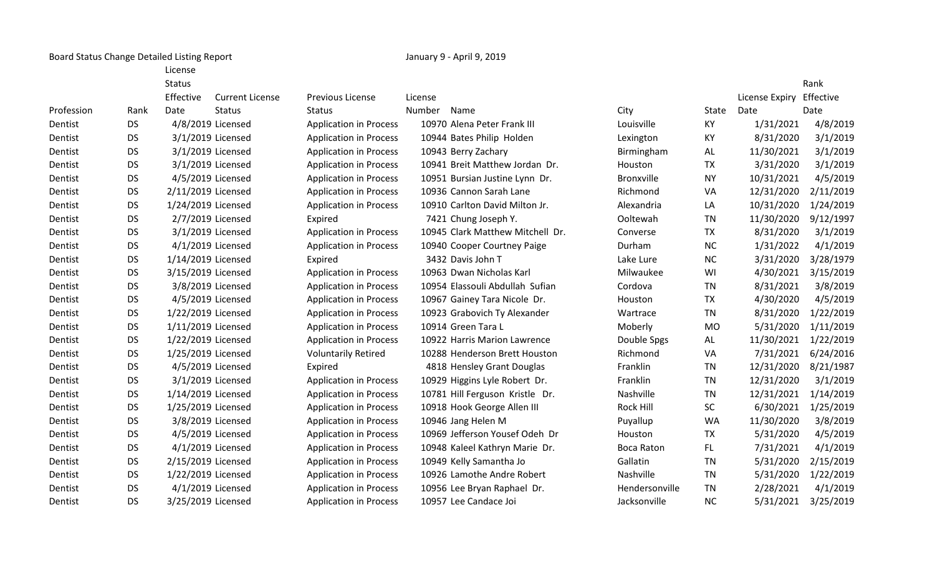Board Status Change Detailed Listing Report **January 9 - April 9, 2019** January 9 - April 9, 2019

License

|           | <b>Status</b> |                        |                                                                                                                                                                                                                                                                                                                                                                                                                                                                                                                                                                                                                                            |                                 |                   |                                  |                | Rank                                                                                                                                                                                                                                                                                                                                                                                            |
|-----------|---------------|------------------------|--------------------------------------------------------------------------------------------------------------------------------------------------------------------------------------------------------------------------------------------------------------------------------------------------------------------------------------------------------------------------------------------------------------------------------------------------------------------------------------------------------------------------------------------------------------------------------------------------------------------------------------------|---------------------------------|-------------------|----------------------------------|----------------|-------------------------------------------------------------------------------------------------------------------------------------------------------------------------------------------------------------------------------------------------------------------------------------------------------------------------------------------------------------------------------------------------|
|           | Effective     | <b>Current License</b> | <b>Previous License</b>                                                                                                                                                                                                                                                                                                                                                                                                                                                                                                                                                                                                                    | License                         |                   |                                  | License Expiry | Effective                                                                                                                                                                                                                                                                                                                                                                                       |
| Rank      | Date          | <b>Status</b>          | <b>Status</b>                                                                                                                                                                                                                                                                                                                                                                                                                                                                                                                                                                                                                              | Number<br>Name                  | City              | State                            | Date           | Date                                                                                                                                                                                                                                                                                                                                                                                            |
| <b>DS</b> |               |                        | <b>Application in Process</b>                                                                                                                                                                                                                                                                                                                                                                                                                                                                                                                                                                                                              | 10970 Alena Peter Frank III     | Louisville        | KY                               |                | 4/8/2019                                                                                                                                                                                                                                                                                                                                                                                        |
| <b>DS</b> |               |                        | <b>Application in Process</b>                                                                                                                                                                                                                                                                                                                                                                                                                                                                                                                                                                                                              | 10944 Bates Philip Holden       | Lexington         | KY                               |                | 3/1/2019                                                                                                                                                                                                                                                                                                                                                                                        |
| <b>DS</b> |               |                        | <b>Application in Process</b>                                                                                                                                                                                                                                                                                                                                                                                                                                                                                                                                                                                                              | 10943 Berry Zachary             | Birmingham        | AL                               |                | 3/1/2019                                                                                                                                                                                                                                                                                                                                                                                        |
| <b>DS</b> |               |                        | <b>Application in Process</b>                                                                                                                                                                                                                                                                                                                                                                                                                                                                                                                                                                                                              | 10941 Breit Matthew Jordan Dr.  | Houston           | <b>TX</b>                        |                | 3/1/2019                                                                                                                                                                                                                                                                                                                                                                                        |
| <b>DS</b> |               |                        | <b>Application in Process</b>                                                                                                                                                                                                                                                                                                                                                                                                                                                                                                                                                                                                              | 10951 Bursian Justine Lynn Dr.  | <b>Bronxville</b> | <b>NY</b>                        |                | 4/5/2019                                                                                                                                                                                                                                                                                                                                                                                        |
| <b>DS</b> |               |                        | <b>Application in Process</b>                                                                                                                                                                                                                                                                                                                                                                                                                                                                                                                                                                                                              | 10936 Cannon Sarah Lane         | Richmond          | VA                               |                | 2/11/2019                                                                                                                                                                                                                                                                                                                                                                                       |
| <b>DS</b> |               |                        | <b>Application in Process</b>                                                                                                                                                                                                                                                                                                                                                                                                                                                                                                                                                                                                              | 10910 Carlton David Milton Jr.  | Alexandria        | LA                               |                | 1/24/2019                                                                                                                                                                                                                                                                                                                                                                                       |
| <b>DS</b> |               |                        | Expired                                                                                                                                                                                                                                                                                                                                                                                                                                                                                                                                                                                                                                    | 7421 Chung Joseph Y.            | Ooltewah          | <b>TN</b>                        |                | 9/12/1997                                                                                                                                                                                                                                                                                                                                                                                       |
| <b>DS</b> |               |                        | <b>Application in Process</b>                                                                                                                                                                                                                                                                                                                                                                                                                                                                                                                                                                                                              |                                 | Converse          | <b>TX</b>                        |                | 3/1/2019                                                                                                                                                                                                                                                                                                                                                                                        |
| <b>DS</b> |               |                        | <b>Application in Process</b>                                                                                                                                                                                                                                                                                                                                                                                                                                                                                                                                                                                                              | 10940 Cooper Courtney Paige     | Durham            | <b>NC</b>                        |                | 4/1/2019                                                                                                                                                                                                                                                                                                                                                                                        |
| <b>DS</b> |               |                        | Expired                                                                                                                                                                                                                                                                                                                                                                                                                                                                                                                                                                                                                                    | 3432 Davis John T               | Lake Lure         | NC                               |                | 3/28/1979                                                                                                                                                                                                                                                                                                                                                                                       |
| <b>DS</b> |               |                        | <b>Application in Process</b>                                                                                                                                                                                                                                                                                                                                                                                                                                                                                                                                                                                                              | 10963 Dwan Nicholas Karl        | Milwaukee         | WI                               |                | 3/15/2019                                                                                                                                                                                                                                                                                                                                                                                       |
| <b>DS</b> |               |                        | <b>Application in Process</b>                                                                                                                                                                                                                                                                                                                                                                                                                                                                                                                                                                                                              | 10954 Elassouli Abdullah Sufian | Cordova           | <b>TN</b>                        |                | 3/8/2019                                                                                                                                                                                                                                                                                                                                                                                        |
| <b>DS</b> |               |                        | <b>Application in Process</b>                                                                                                                                                                                                                                                                                                                                                                                                                                                                                                                                                                                                              | 10967 Gainey Tara Nicole Dr.    | Houston           | <b>TX</b>                        |                | 4/5/2019                                                                                                                                                                                                                                                                                                                                                                                        |
| <b>DS</b> |               |                        | <b>Application in Process</b>                                                                                                                                                                                                                                                                                                                                                                                                                                                                                                                                                                                                              | 10923 Grabovich Ty Alexander    | Wartrace          | <b>TN</b>                        |                | 1/22/2019                                                                                                                                                                                                                                                                                                                                                                                       |
| <b>DS</b> |               |                        | <b>Application in Process</b>                                                                                                                                                                                                                                                                                                                                                                                                                                                                                                                                                                                                              | 10914 Green Tara L              | Moberly           | <b>MO</b>                        |                | 1/11/2019                                                                                                                                                                                                                                                                                                                                                                                       |
| <b>DS</b> |               |                        | <b>Application in Process</b>                                                                                                                                                                                                                                                                                                                                                                                                                                                                                                                                                                                                              | 10922 Harris Marion Lawrence    | Double Spgs       | AL                               |                | 1/22/2019                                                                                                                                                                                                                                                                                                                                                                                       |
| <b>DS</b> |               |                        | <b>Voluntarily Retired</b>                                                                                                                                                                                                                                                                                                                                                                                                                                                                                                                                                                                                                 | 10288 Henderson Brett Houston   | Richmond          | VA                               |                | 6/24/2016                                                                                                                                                                                                                                                                                                                                                                                       |
| <b>DS</b> |               |                        | Expired                                                                                                                                                                                                                                                                                                                                                                                                                                                                                                                                                                                                                                    | 4818 Hensley Grant Douglas      | Franklin          | <b>TN</b>                        |                | 8/21/1987                                                                                                                                                                                                                                                                                                                                                                                       |
| <b>DS</b> |               |                        | <b>Application in Process</b>                                                                                                                                                                                                                                                                                                                                                                                                                                                                                                                                                                                                              | 10929 Higgins Lyle Robert Dr.   | Franklin          | <b>TN</b>                        |                | 3/1/2019                                                                                                                                                                                                                                                                                                                                                                                        |
| <b>DS</b> |               |                        | <b>Application in Process</b>                                                                                                                                                                                                                                                                                                                                                                                                                                                                                                                                                                                                              | 10781 Hill Ferguson Kristle Dr. | Nashville         | <b>TN</b>                        |                | 1/14/2019                                                                                                                                                                                                                                                                                                                                                                                       |
| <b>DS</b> |               |                        | <b>Application in Process</b>                                                                                                                                                                                                                                                                                                                                                                                                                                                                                                                                                                                                              | 10918 Hook George Allen III     | Rock Hill         | SC                               |                | 1/25/2019                                                                                                                                                                                                                                                                                                                                                                                       |
| <b>DS</b> |               |                        | <b>Application in Process</b>                                                                                                                                                                                                                                                                                                                                                                                                                                                                                                                                                                                                              | 10946 Jang Helen M              | Puyallup          | <b>WA</b>                        |                | 3/8/2019                                                                                                                                                                                                                                                                                                                                                                                        |
| <b>DS</b> |               |                        | <b>Application in Process</b>                                                                                                                                                                                                                                                                                                                                                                                                                                                                                                                                                                                                              | 10969 Jefferson Yousef Odeh Dr  | Houston           | <b>TX</b>                        |                | 4/5/2019                                                                                                                                                                                                                                                                                                                                                                                        |
| <b>DS</b> |               |                        | <b>Application in Process</b>                                                                                                                                                                                                                                                                                                                                                                                                                                                                                                                                                                                                              | 10948 Kaleel Kathryn Marie Dr.  | Boca Raton        | FL.                              |                | 4/1/2019                                                                                                                                                                                                                                                                                                                                                                                        |
| <b>DS</b> |               |                        | <b>Application in Process</b>                                                                                                                                                                                                                                                                                                                                                                                                                                                                                                                                                                                                              | 10949 Kelly Samantha Jo         | Gallatin          | <b>TN</b>                        |                | 2/15/2019                                                                                                                                                                                                                                                                                                                                                                                       |
| <b>DS</b> |               |                        | <b>Application in Process</b>                                                                                                                                                                                                                                                                                                                                                                                                                                                                                                                                                                                                              | 10926 Lamothe Andre Robert      | Nashville         | <b>TN</b>                        |                | 1/22/2019                                                                                                                                                                                                                                                                                                                                                                                       |
| <b>DS</b> |               |                        | <b>Application in Process</b>                                                                                                                                                                                                                                                                                                                                                                                                                                                                                                                                                                                                              | 10956 Lee Bryan Raphael Dr.     | Hendersonville    | <b>TN</b>                        |                | 4/1/2019                                                                                                                                                                                                                                                                                                                                                                                        |
| <b>DS</b> |               |                        | <b>Application in Process</b>                                                                                                                                                                                                                                                                                                                                                                                                                                                                                                                                                                                                              | 10957 Lee Candace Joi           | Jacksonville      | <b>NC</b>                        |                | 3/25/2019                                                                                                                                                                                                                                                                                                                                                                                       |
|           |               |                        | 4/8/2019 Licensed<br>3/1/2019 Licensed<br>3/1/2019 Licensed<br>3/1/2019 Licensed<br>4/5/2019 Licensed<br>2/11/2019 Licensed<br>1/24/2019 Licensed<br>2/7/2019 Licensed<br>3/1/2019 Licensed<br>4/1/2019 Licensed<br>1/14/2019 Licensed<br>3/15/2019 Licensed<br>3/8/2019 Licensed<br>4/5/2019 Licensed<br>1/22/2019 Licensed<br>1/11/2019 Licensed<br>1/22/2019 Licensed<br>1/25/2019 Licensed<br>4/5/2019 Licensed<br>3/1/2019 Licensed<br>1/14/2019 Licensed<br>1/25/2019 Licensed<br>3/8/2019 Licensed<br>4/5/2019 Licensed<br>4/1/2019 Licensed<br>2/15/2019 Licensed<br>1/22/2019 Licensed<br>4/1/2019 Licensed<br>3/25/2019 Licensed |                                 |                   | 10945 Clark Matthew Mitchell Dr. |                | 1/31/2021<br>8/31/2020<br>11/30/2021<br>3/31/2020<br>10/31/2021<br>12/31/2020<br>10/31/2020<br>11/30/2020<br>8/31/2020<br>1/31/2022<br>3/31/2020<br>4/30/2021<br>8/31/2021<br>4/30/2020<br>8/31/2020<br>5/31/2020<br>11/30/2021<br>7/31/2021<br>12/31/2020<br>12/31/2020<br>12/31/2021<br>6/30/2021<br>11/30/2020<br>5/31/2020<br>7/31/2021<br>5/31/2020<br>5/31/2020<br>2/28/2021<br>5/31/2021 |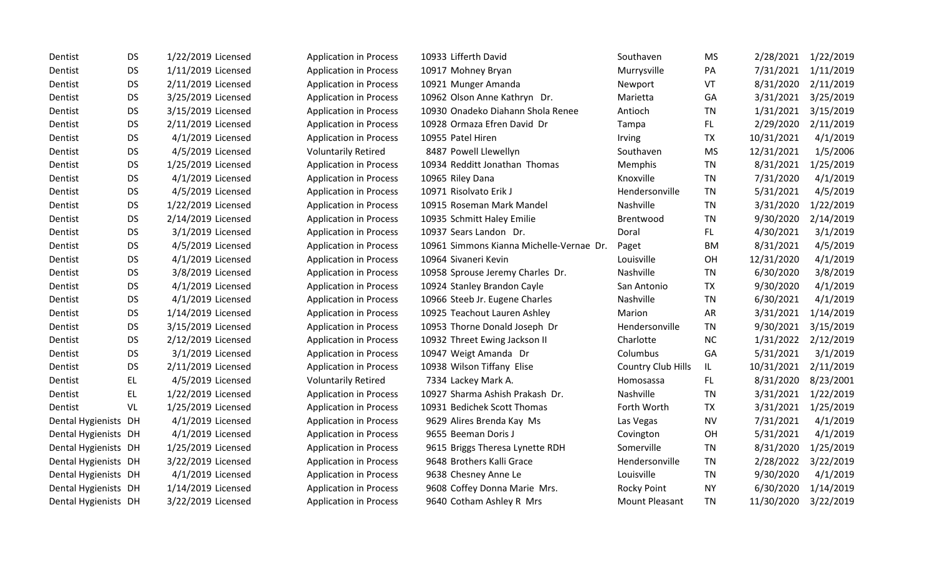| Dentist              | DS.       | 1/22/2019 Licensed | <b>Application in Process</b> | 10933 Lifferth David                     | Southaven             | MS        | 2/28/2021  | 1/22/2019 |
|----------------------|-----------|--------------------|-------------------------------|------------------------------------------|-----------------------|-----------|------------|-----------|
| Dentist              | <b>DS</b> | 1/11/2019 Licensed | <b>Application in Process</b> | 10917 Mohney Bryan                       | Murrysville           | PA        | 7/31/2021  | 1/11/2019 |
| Dentist              | <b>DS</b> | 2/11/2019 Licensed | <b>Application in Process</b> | 10921 Munger Amanda                      | Newport               | VT        | 8/31/2020  | 2/11/2019 |
| Dentist              | <b>DS</b> | 3/25/2019 Licensed | <b>Application in Process</b> | 10962 Olson Anne Kathryn Dr.             | Marietta              | GA        | 3/31/2021  | 3/25/2019 |
| Dentist              | <b>DS</b> | 3/15/2019 Licensed | <b>Application in Process</b> | 10930 Onadeko Diahann Shola Renee        | Antioch               | TN        | 1/31/2021  | 3/15/2019 |
| Dentist              | <b>DS</b> | 2/11/2019 Licensed | <b>Application in Process</b> | 10928 Ormaza Efren David Dr              | Tampa                 | FL.       | 2/29/2020  | 2/11/2019 |
| Dentist              | <b>DS</b> | 4/1/2019 Licensed  | <b>Application in Process</b> | 10955 Patel Hiren                        | Irving                | <b>TX</b> | 10/31/2021 | 4/1/2019  |
| Dentist              | <b>DS</b> | 4/5/2019 Licensed  | <b>Voluntarily Retired</b>    | 8487 Powell Llewellyn                    | Southaven             | <b>MS</b> | 12/31/2021 | 1/5/2006  |
| Dentist              | <b>DS</b> | 1/25/2019 Licensed | <b>Application in Process</b> | 10934 Redditt Jonathan Thomas            | Memphis               | <b>TN</b> | 8/31/2021  | 1/25/2019 |
| Dentist              | <b>DS</b> | 4/1/2019 Licensed  | <b>Application in Process</b> | 10965 Riley Dana                         | Knoxville             | TN        | 7/31/2020  | 4/1/2019  |
| Dentist              | <b>DS</b> | 4/5/2019 Licensed  | <b>Application in Process</b> | 10971 Risolvato Erik J                   | Hendersonville        | TN        | 5/31/2021  | 4/5/2019  |
| Dentist              | <b>DS</b> | 1/22/2019 Licensed | <b>Application in Process</b> | 10915 Roseman Mark Mandel                | Nashville             | TN        | 3/31/2020  | 1/22/2019 |
| Dentist              | <b>DS</b> | 2/14/2019 Licensed | <b>Application in Process</b> | 10935 Schmitt Haley Emilie               | Brentwood             | TN        | 9/30/2020  | 2/14/2019 |
| Dentist              | <b>DS</b> | 3/1/2019 Licensed  | <b>Application in Process</b> | 10937 Sears Landon Dr.                   | Doral                 | FL.       | 4/30/2021  | 3/1/2019  |
| Dentist              | <b>DS</b> | 4/5/2019 Licensed  | <b>Application in Process</b> | 10961 Simmons Kianna Michelle-Vernae Dr. | Paget                 | BM        | 8/31/2021  | 4/5/2019  |
| Dentist              | <b>DS</b> | 4/1/2019 Licensed  | <b>Application in Process</b> | 10964 Sivaneri Kevin                     | Louisville            | OH        | 12/31/2020 | 4/1/2019  |
| Dentist              | <b>DS</b> | 3/8/2019 Licensed  | <b>Application in Process</b> | 10958 Sprouse Jeremy Charles Dr.         | Nashville             | TN        | 6/30/2020  | 3/8/2019  |
| Dentist              | <b>DS</b> | 4/1/2019 Licensed  | <b>Application in Process</b> | 10924 Stanley Brandon Cayle              | San Antonio           | <b>TX</b> | 9/30/2020  | 4/1/2019  |
| Dentist              | <b>DS</b> | 4/1/2019 Licensed  | <b>Application in Process</b> | 10966 Steeb Jr. Eugene Charles           | Nashville             | <b>TN</b> | 6/30/2021  | 4/1/2019  |
| Dentist              | <b>DS</b> | 1/14/2019 Licensed | <b>Application in Process</b> | 10925 Teachout Lauren Ashley             | Marion                | AR        | 3/31/2021  | 1/14/2019 |
| Dentist              | <b>DS</b> | 3/15/2019 Licensed | <b>Application in Process</b> | 10953 Thorne Donald Joseph Dr            | Hendersonville        | TN        | 9/30/2021  | 3/15/2019 |
| Dentist              | <b>DS</b> | 2/12/2019 Licensed | <b>Application in Process</b> | 10932 Threet Ewing Jackson II            | Charlotte             | <b>NC</b> | 1/31/2022  | 2/12/2019 |
| Dentist              | <b>DS</b> | 3/1/2019 Licensed  | <b>Application in Process</b> | 10947 Weigt Amanda Dr                    | Columbus              | GA        | 5/31/2021  | 3/1/2019  |
| Dentist              | <b>DS</b> | 2/11/2019 Licensed | <b>Application in Process</b> | 10938 Wilson Tiffany Elise               | Country Club Hills    | IL.       | 10/31/2021 | 2/11/2019 |
| Dentist              | EL        | 4/5/2019 Licensed  | <b>Voluntarily Retired</b>    | 7334 Lackey Mark A.                      | Homosassa             | FL.       | 8/31/2020  | 8/23/2001 |
| Dentist              | EL.       | 1/22/2019 Licensed | <b>Application in Process</b> | 10927 Sharma Ashish Prakash Dr.          | Nashville             | TN        | 3/31/2021  | 1/22/2019 |
| Dentist              | VL        | 1/25/2019 Licensed | <b>Application in Process</b> | 10931 Bedichek Scott Thomas              | Forth Worth           | <b>TX</b> | 3/31/2021  | 1/25/2019 |
| Dental Hygienists DH |           | 4/1/2019 Licensed  | <b>Application in Process</b> | 9629 Alires Brenda Kay Ms                | Las Vegas             | <b>NV</b> | 7/31/2021  | 4/1/2019  |
| Dental Hygienists DH |           | 4/1/2019 Licensed  | <b>Application in Process</b> | 9655 Beeman Doris J                      | Covington             | OH        | 5/31/2021  | 4/1/2019  |
| Dental Hygienists DH |           | 1/25/2019 Licensed | <b>Application in Process</b> | 9615 Briggs Theresa Lynette RDH          | Somerville            | TN        | 8/31/2020  | 1/25/2019 |
| Dental Hygienists DH |           | 3/22/2019 Licensed | <b>Application in Process</b> | 9648 Brothers Kalli Grace                | Hendersonville        | TN        | 2/28/2022  | 3/22/2019 |
| Dental Hygienists DH |           | 4/1/2019 Licensed  | <b>Application in Process</b> | 9638 Chesney Anne Le                     | Louisville            | <b>TN</b> | 9/30/2020  | 4/1/2019  |
| Dental Hygienists DH |           | 1/14/2019 Licensed | <b>Application in Process</b> | 9608 Coffey Donna Marie Mrs.             | Rocky Point           | <b>NY</b> | 6/30/2020  | 1/14/2019 |
| Dental Hygienists DH |           | 3/22/2019 Licensed | <b>Application in Process</b> | 9640 Cotham Ashley R Mrs                 | <b>Mount Pleasant</b> | TN        | 11/30/2020 | 3/22/2019 |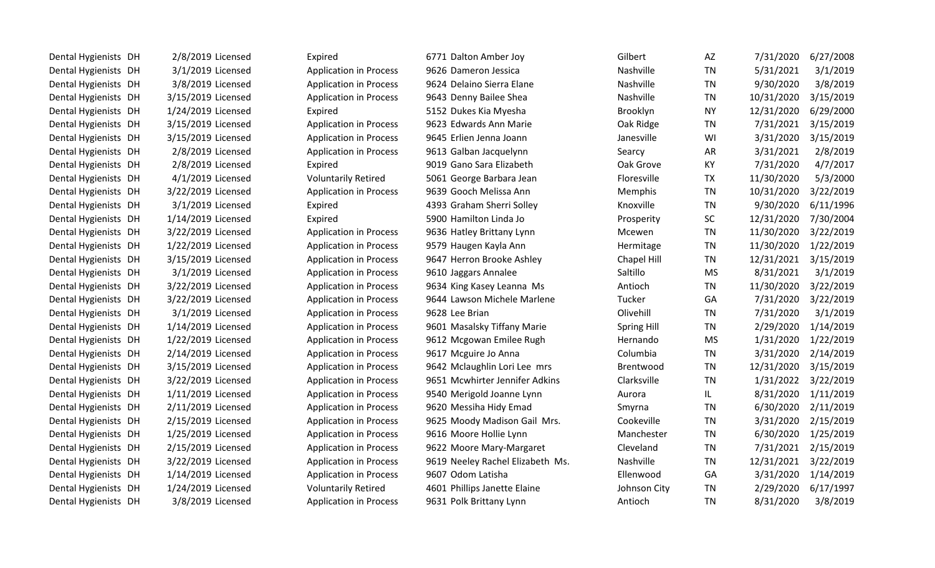| Dental Hygienists DH | 2/8/2019 Licensed  | Expired                       | 6771 Dalton Amber Joy            | Gilbert            | AZ        | 7/31/2020  | 6/27/2008 |
|----------------------|--------------------|-------------------------------|----------------------------------|--------------------|-----------|------------|-----------|
| Dental Hygienists DH | 3/1/2019 Licensed  | <b>Application in Process</b> | 9626 Dameron Jessica             | Nashville          | <b>TN</b> | 5/31/2021  | 3/1/2019  |
| Dental Hygienists DH | 3/8/2019 Licensed  | <b>Application in Process</b> | 9624 Delaino Sierra Elane        | Nashville          | <b>TN</b> | 9/30/2020  | 3/8/2019  |
| Dental Hygienists DH | 3/15/2019 Licensed | <b>Application in Process</b> | 9643 Denny Bailee Shea           | Nashville          | <b>TN</b> | 10/31/2020 | 3/15/2019 |
| Dental Hygienists DH | 1/24/2019 Licensed | Expired                       | 5152 Dukes Kia Myesha            | Brooklyn           | <b>NY</b> | 12/31/2020 | 6/29/2000 |
| Dental Hygienists DH | 3/15/2019 Licensed | <b>Application in Process</b> | 9623 Edwards Ann Marie           | Oak Ridge          | <b>TN</b> | 7/31/2021  | 3/15/2019 |
| Dental Hygienists DH | 3/15/2019 Licensed | <b>Application in Process</b> | 9645 Erlien Jenna Joann          | Janesville         | WI        | 3/31/2020  | 3/15/2019 |
| Dental Hygienists DH | 2/8/2019 Licensed  | <b>Application in Process</b> | 9613 Galban Jacquelynn           | Searcy             | AR        | 3/31/2021  | 2/8/2019  |
| Dental Hygienists DH | 2/8/2019 Licensed  | Expired                       | 9019 Gano Sara Elizabeth         | Oak Grove          | KY        | 7/31/2020  | 4/7/2017  |
| Dental Hygienists DH | 4/1/2019 Licensed  | <b>Voluntarily Retired</b>    | 5061 George Barbara Jean         | Floresville        | <b>TX</b> | 11/30/2020 | 5/3/2000  |
| Dental Hygienists DH | 3/22/2019 Licensed | <b>Application in Process</b> | 9639 Gooch Melissa Ann           | Memphis            | <b>TN</b> | 10/31/2020 | 3/22/2019 |
| Dental Hygienists DH | 3/1/2019 Licensed  | Expired                       | 4393 Graham Sherri Solley        | Knoxville          | <b>TN</b> | 9/30/2020  | 6/11/1996 |
| Dental Hygienists DH | 1/14/2019 Licensed | Expired                       | 5900 Hamilton Linda Jo           | Prosperity         | SC        | 12/31/2020 | 7/30/2004 |
| Dental Hygienists DH | 3/22/2019 Licensed | <b>Application in Process</b> | 9636 Hatley Brittany Lynn        | Mcewen             | <b>TN</b> | 11/30/2020 | 3/22/2019 |
| Dental Hygienists DH | 1/22/2019 Licensed | <b>Application in Process</b> | 9579 Haugen Kayla Ann            | Hermitage          | <b>TN</b> | 11/30/2020 | 1/22/2019 |
| Dental Hygienists DH | 3/15/2019 Licensed | <b>Application in Process</b> | 9647 Herron Brooke Ashley        | Chapel Hill        | <b>TN</b> | 12/31/2021 | 3/15/2019 |
| Dental Hygienists DH | 3/1/2019 Licensed  | <b>Application in Process</b> | 9610 Jaggars Annalee             | Saltillo           | <b>MS</b> | 8/31/2021  | 3/1/2019  |
| Dental Hygienists DH | 3/22/2019 Licensed | <b>Application in Process</b> | 9634 King Kasey Leanna Ms        | Antioch            | <b>TN</b> | 11/30/2020 | 3/22/2019 |
| Dental Hygienists DH | 3/22/2019 Licensed | <b>Application in Process</b> | 9644 Lawson Michele Marlene      | Tucker             | GA        | 7/31/2020  | 3/22/2019 |
| Dental Hygienists DH | 3/1/2019 Licensed  | <b>Application in Process</b> | 9628 Lee Brian                   | Olivehill          | <b>TN</b> | 7/31/2020  | 3/1/2019  |
| Dental Hygienists DH | 1/14/2019 Licensed | <b>Application in Process</b> | 9601 Masalsky Tiffany Marie      | <b>Spring Hill</b> | TN        | 2/29/2020  | 1/14/2019 |
| Dental Hygienists DH | 1/22/2019 Licensed | <b>Application in Process</b> | 9612 Mcgowan Emilee Rugh         | Hernando           | <b>MS</b> | 1/31/2020  | 1/22/2019 |
| Dental Hygienists DH | 2/14/2019 Licensed | <b>Application in Process</b> | 9617 Mcguire Jo Anna             | Columbia           | <b>TN</b> | 3/31/2020  | 2/14/2019 |
| Dental Hygienists DH | 3/15/2019 Licensed | <b>Application in Process</b> | 9642 Mclaughlin Lori Lee mrs     | <b>Brentwood</b>   | <b>TN</b> | 12/31/2020 | 3/15/2019 |
| Dental Hygienists DH | 3/22/2019 Licensed | <b>Application in Process</b> | 9651 Mcwhirter Jennifer Adkins   | Clarksville        | <b>TN</b> | 1/31/2022  | 3/22/2019 |
| Dental Hygienists DH | 1/11/2019 Licensed | <b>Application in Process</b> | 9540 Merigold Joanne Lynn        | Aurora             | IL.       | 8/31/2020  | 1/11/2019 |
| Dental Hygienists DH | 2/11/2019 Licensed | <b>Application in Process</b> | 9620 Messiha Hidy Emad           | Smyrna             | <b>TN</b> | 6/30/2020  | 2/11/2019 |
| Dental Hygienists DH | 2/15/2019 Licensed | <b>Application in Process</b> | 9625 Moody Madison Gail Mrs.     | Cookeville         | <b>TN</b> | 3/31/2020  | 2/15/2019 |
| Dental Hygienists DH | 1/25/2019 Licensed | <b>Application in Process</b> | 9616 Moore Hollie Lynn           | Manchester         | <b>TN</b> | 6/30/2020  | 1/25/2019 |
| Dental Hygienists DH | 2/15/2019 Licensed | <b>Application in Process</b> | 9622 Moore Mary-Margaret         | Cleveland          | <b>TN</b> | 7/31/2021  | 2/15/2019 |
| Dental Hygienists DH | 3/22/2019 Licensed | <b>Application in Process</b> | 9619 Neeley Rachel Elizabeth Ms. | Nashville          | <b>TN</b> | 12/31/2021 | 3/22/2019 |
| Dental Hygienists DH | 1/14/2019 Licensed | <b>Application in Process</b> | 9607 Odom Latisha                | Ellenwood          | GA        | 3/31/2020  | 1/14/2019 |
| Dental Hygienists DH | 1/24/2019 Licensed | <b>Voluntarily Retired</b>    | 4601 Phillips Janette Elaine     | Johnson City       | <b>TN</b> | 2/29/2020  | 6/17/1997 |
| Dental Hygienists DH | 3/8/2019 Licensed  | <b>Application in Process</b> | 9631 Polk Brittany Lynn          | Antioch            | <b>TN</b> | 8/31/2020  | 3/8/2019  |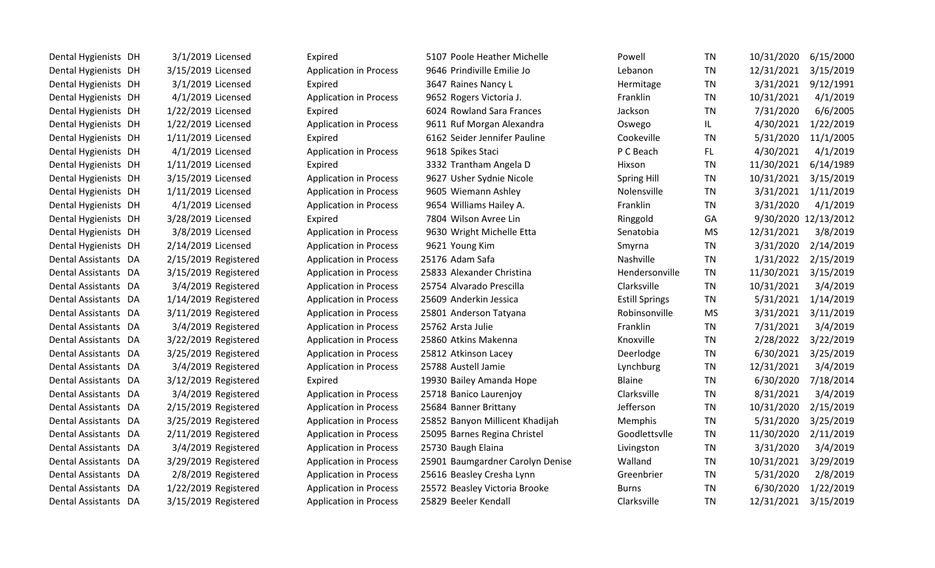| Dental Hygienists DH | 3/1/2019 Licensed    | Expired                       | 5107 Poole Heather Michelle      | Powell                | TN        | 10/31/2020 | 6/15/2000            |
|----------------------|----------------------|-------------------------------|----------------------------------|-----------------------|-----------|------------|----------------------|
| Dental Hygienists DH | 3/15/2019 Licensed   | <b>Application in Process</b> | 9646 Prindiville Emilie Jo       | Lebanon               | <b>TN</b> | 12/31/2021 | 3/15/2019            |
| Dental Hygienists DH | 3/1/2019 Licensed    | Expired                       | 3647 Raines Nancy L              | Hermitage             | <b>TN</b> | 3/31/2021  | 9/12/1991            |
| Dental Hygienists DH | 4/1/2019 Licensed    | <b>Application in Process</b> | 9652 Rogers Victoria J.          | Franklin              | <b>TN</b> | 10/31/2021 | 4/1/2019             |
| Dental Hygienists DH | 1/22/2019 Licensed   | Expired                       | 6024 Rowland Sara Frances        | Jackson               | <b>TN</b> | 7/31/2020  | 6/6/2005             |
| Dental Hygienists DH | 1/22/2019 Licensed   | <b>Application in Process</b> | 9611 Ruf Morgan Alexandra        | Oswego                | IL.       | 4/30/2021  | 1/22/2019            |
| Dental Hygienists DH | 1/11/2019 Licensed   | Expired                       | 6162 Seider Jennifer Pauline     | Cookeville            | <b>TN</b> | 5/31/2020  | 11/1/2005            |
| Dental Hygienists DH | 4/1/2019 Licensed    | <b>Application in Process</b> | 9618 Spikes Staci                | P C Beach             | FL.       | 4/30/2021  | 4/1/2019             |
| Dental Hygienists DH | 1/11/2019 Licensed   | Expired                       | 3332 Trantham Angela D           | Hixson                | <b>TN</b> | 11/30/2021 | 6/14/1989            |
| Dental Hygienists DH | 3/15/2019 Licensed   | <b>Application in Process</b> | 9627 Usher Sydnie Nicole         | <b>Spring Hill</b>    | <b>TN</b> | 10/31/2021 | 3/15/2019            |
| Dental Hygienists DH | 1/11/2019 Licensed   | <b>Application in Process</b> | 9605 Wiemann Ashley              | Nolensville           | <b>TN</b> | 3/31/2021  | 1/11/2019            |
| Dental Hygienists DH | 4/1/2019 Licensed    | <b>Application in Process</b> | 9654 Williams Hailey A.          | Franklin              | <b>TN</b> | 3/31/2020  | 4/1/2019             |
| Dental Hygienists DH | 3/28/2019 Licensed   | Expired                       | 7804 Wilson Avree Lin            | Ringgold              | GA        |            | 9/30/2020 12/13/2012 |
| Dental Hygienists DH | 3/8/2019 Licensed    | <b>Application in Process</b> | 9630 Wright Michelle Etta        | Senatobia             | <b>MS</b> | 12/31/2021 | 3/8/2019             |
| Dental Hygienists DH | 2/14/2019 Licensed   | <b>Application in Process</b> | 9621 Young Kim                   | Smyrna                | <b>TN</b> | 3/31/2020  | 2/14/2019            |
| Dental Assistants DA | 2/15/2019 Registered | <b>Application in Process</b> | 25176 Adam Safa                  | Nashville             | <b>TN</b> | 1/31/2022  | 2/15/2019            |
| Dental Assistants DA | 3/15/2019 Registered | <b>Application in Process</b> | 25833 Alexander Christina        | Hendersonville        | <b>TN</b> | 11/30/2021 | 3/15/2019            |
| Dental Assistants DA | 3/4/2019 Registered  | <b>Application in Process</b> | 25754 Alvarado Prescilla         | Clarksville           | <b>TN</b> | 10/31/2021 | 3/4/2019             |
| Dental Assistants DA | 1/14/2019 Registered | <b>Application in Process</b> | 25609 Anderkin Jessica           | <b>Estill Springs</b> | <b>TN</b> | 5/31/2021  | 1/14/2019            |
| Dental Assistants DA | 3/11/2019 Registered | <b>Application in Process</b> | 25801 Anderson Tatyana           | Robinsonville         | <b>MS</b> | 3/31/2021  | 3/11/2019            |
| Dental Assistants DA | 3/4/2019 Registered  | <b>Application in Process</b> | 25762 Arsta Julie                | Franklin              | TN        | 7/31/2021  | 3/4/2019             |
| Dental Assistants DA | 3/22/2019 Registered | <b>Application in Process</b> | 25860 Atkins Makenna             | Knoxville             | <b>TN</b> | 2/28/2022  | 3/22/2019            |
| Dental Assistants DA | 3/25/2019 Registered | <b>Application in Process</b> | 25812 Atkinson Lacey             | Deerlodge             | <b>TN</b> | 6/30/2021  | 3/25/2019            |
| Dental Assistants DA | 3/4/2019 Registered  | <b>Application in Process</b> | 25788 Austell Jamie              | Lynchburg             | <b>TN</b> | 12/31/2021 | 3/4/2019             |
| Dental Assistants DA | 3/12/2019 Registered | Expired                       | 19930 Bailey Amanda Hope         | <b>Blaine</b>         | <b>TN</b> | 6/30/2020  | 7/18/2014            |
| Dental Assistants DA | 3/4/2019 Registered  | <b>Application in Process</b> | 25718 Banico Laurenjoy           | Clarksville           | <b>TN</b> | 8/31/2021  | 3/4/2019             |
| Dental Assistants DA | 2/15/2019 Registered | <b>Application in Process</b> | 25684 Banner Brittany            | Jefferson             | <b>TN</b> | 10/31/2020 | 2/15/2019            |
| Dental Assistants DA | 3/25/2019 Registered | <b>Application in Process</b> | 25852 Banyon Millicent Khadijah  | Memphis               | <b>TN</b> | 5/31/2020  | 3/25/2019            |
| Dental Assistants DA | 2/11/2019 Registered | <b>Application in Process</b> | 25095 Barnes Regina Christel     | Goodlettsvlle         | TN        | 11/30/2020 | 2/11/2019            |
| Dental Assistants DA | 3/4/2019 Registered  | <b>Application in Process</b> | 25730 Baugh Elaina               | Livingston            | <b>TN</b> | 3/31/2020  | 3/4/2019             |
| Dental Assistants DA | 3/29/2019 Registered | <b>Application in Process</b> | 25901 Baumgardner Carolyn Denise | Walland               | <b>TN</b> | 10/31/2021 | 3/29/2019            |
| Dental Assistants DA | 2/8/2019 Registered  | <b>Application in Process</b> | 25616 Beasley Cresha Lynn        | Greenbrier            | TN        | 5/31/2020  | 2/8/2019             |
| Dental Assistants DA | 1/22/2019 Registered | <b>Application in Process</b> | 25572 Beasley Victoria Brooke    | <b>Burns</b>          | <b>TN</b> | 6/30/2020  | 1/22/2019            |
| Dental Assistants DA | 3/15/2019 Registered | <b>Application in Process</b> | 25829 Beeler Kendall             | Clarksville           | <b>TN</b> | 12/31/2021 | 3/15/2019            |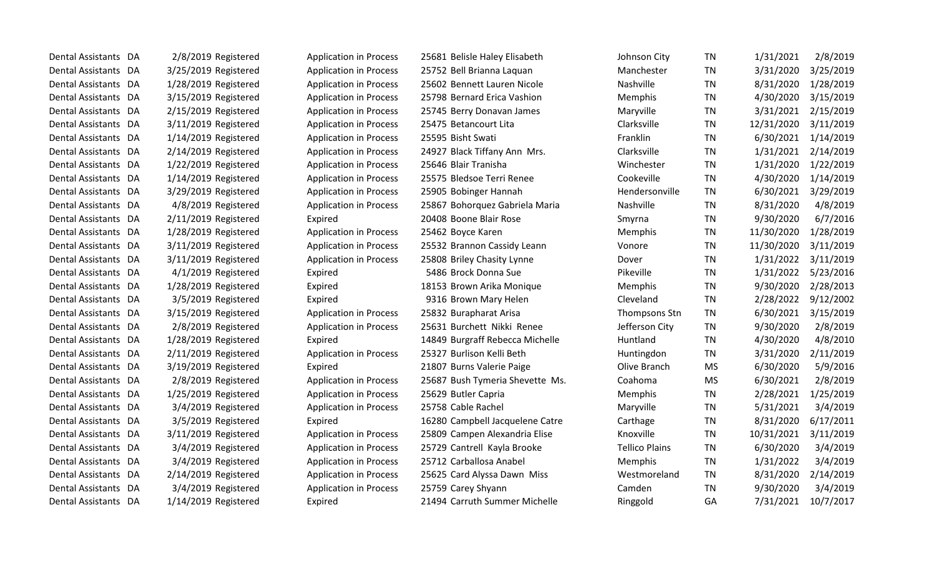| Dental Assistants DA | 2/8/2019 Registered  | <b>Application in Process</b> | 25681 Belisle Haley Elisabeth   | Johnson City          | TN        | 1/31/2021  | 2/8/2019  |
|----------------------|----------------------|-------------------------------|---------------------------------|-----------------------|-----------|------------|-----------|
| Dental Assistants DA | 3/25/2019 Registered | <b>Application in Process</b> | 25752 Bell Brianna Laquan       | Manchester            | <b>TN</b> | 3/31/2020  | 3/25/2019 |
| Dental Assistants DA | 1/28/2019 Registered | <b>Application in Process</b> | 25602 Bennett Lauren Nicole     | Nashville             | <b>TN</b> | 8/31/2020  | 1/28/2019 |
| Dental Assistants DA | 3/15/2019 Registered | <b>Application in Process</b> | 25798 Bernard Erica Vashion     | Memphis               | <b>TN</b> | 4/30/2020  | 3/15/2019 |
| Dental Assistants DA | 2/15/2019 Registered | <b>Application in Process</b> | 25745 Berry Donavan James       | Maryville             | <b>TN</b> | 3/31/2021  | 2/15/2019 |
| Dental Assistants DA | 3/11/2019 Registered | <b>Application in Process</b> | 25475 Betancourt Lita           | Clarksville           | <b>TN</b> | 12/31/2020 | 3/11/2019 |
| Dental Assistants DA | 1/14/2019 Registered | <b>Application in Process</b> | 25595 Bisht Swati               | Franklin              | <b>TN</b> | 6/30/2021  | 1/14/2019 |
| Dental Assistants DA | 2/14/2019 Registered | <b>Application in Process</b> | 24927 Black Tiffany Ann Mrs.    | Clarksville           | <b>TN</b> | 1/31/2021  | 2/14/2019 |
| Dental Assistants DA | 1/22/2019 Registered | <b>Application in Process</b> | 25646 Blair Tranisha            | Winchester            | <b>TN</b> | 1/31/2020  | 1/22/2019 |
| Dental Assistants DA | 1/14/2019 Registered | <b>Application in Process</b> | 25575 Bledsoe Terri Renee       | Cookeville            | <b>TN</b> | 4/30/2020  | 1/14/2019 |
| Dental Assistants DA | 3/29/2019 Registered | <b>Application in Process</b> | 25905 Bobinger Hannah           | Hendersonville        | <b>TN</b> | 6/30/2021  | 3/29/2019 |
| Dental Assistants DA | 4/8/2019 Registered  | <b>Application in Process</b> | 25867 Bohorquez Gabriela Maria  | Nashville             | <b>TN</b> | 8/31/2020  | 4/8/2019  |
| Dental Assistants DA | 2/11/2019 Registered | Expired                       | 20408 Boone Blair Rose          | Smyrna                | <b>TN</b> | 9/30/2020  | 6/7/2016  |
| Dental Assistants DA | 1/28/2019 Registered | <b>Application in Process</b> | 25462 Boyce Karen               | Memphis               | <b>TN</b> | 11/30/2020 | 1/28/2019 |
| Dental Assistants DA | 3/11/2019 Registered | <b>Application in Process</b> | 25532 Brannon Cassidy Leann     | Vonore                | <b>TN</b> | 11/30/2020 | 3/11/2019 |
| Dental Assistants DA | 3/11/2019 Registered | <b>Application in Process</b> | 25808 Briley Chasity Lynne      | Dover                 | <b>TN</b> | 1/31/2022  | 3/11/2019 |
| Dental Assistants DA | 4/1/2019 Registered  | Expired                       | 5486 Brock Donna Sue            | Pikeville             | <b>TN</b> | 1/31/2022  | 5/23/2016 |
| Dental Assistants DA | 1/28/2019 Registered | Expired                       | 18153 Brown Arika Monique       | Memphis               | <b>TN</b> | 9/30/2020  | 2/28/2013 |
| Dental Assistants DA | 3/5/2019 Registered  | Expired                       | 9316 Brown Mary Helen           | Cleveland             | <b>TN</b> | 2/28/2022  | 9/12/2002 |
| Dental Assistants DA | 3/15/2019 Registered | <b>Application in Process</b> | 25832 Burapharat Arisa          | Thompsons Stn         | <b>TN</b> | 6/30/2021  | 3/15/2019 |
| Dental Assistants DA | 2/8/2019 Registered  | <b>Application in Process</b> | 25631 Burchett Nikki Renee      | Jefferson City        | <b>TN</b> | 9/30/2020  | 2/8/2019  |
| Dental Assistants DA | 1/28/2019 Registered | Expired                       | 14849 Burgraff Rebecca Michelle | Huntland              | <b>TN</b> | 4/30/2020  | 4/8/2010  |
| Dental Assistants DA | 2/11/2019 Registered | <b>Application in Process</b> | 25327 Burlison Kelli Beth       | Huntingdon            | <b>TN</b> | 3/31/2020  | 2/11/2019 |
| Dental Assistants DA | 3/19/2019 Registered | Expired                       | 21807 Burns Valerie Paige       | Olive Branch          | <b>MS</b> | 6/30/2020  | 5/9/2016  |
| Dental Assistants DA | 2/8/2019 Registered  | <b>Application in Process</b> | 25687 Bush Tymeria Shevette Ms. | Coahoma               | <b>MS</b> | 6/30/2021  | 2/8/2019  |
| Dental Assistants DA | 1/25/2019 Registered | <b>Application in Process</b> | 25629 Butler Capria             | Memphis               | <b>TN</b> | 2/28/2021  | 1/25/2019 |
| Dental Assistants DA | 3/4/2019 Registered  | <b>Application in Process</b> | 25758 Cable Rachel              | Maryville             | <b>TN</b> | 5/31/2021  | 3/4/2019  |
| Dental Assistants DA | 3/5/2019 Registered  | Expired                       | 16280 Campbell Jacquelene Catre | Carthage              | <b>TN</b> | 8/31/2020  | 6/17/2011 |
| Dental Assistants DA | 3/11/2019 Registered | <b>Application in Process</b> | 25809 Campen Alexandria Elise   | Knoxville             | <b>TN</b> | 10/31/2021 | 3/11/2019 |
| Dental Assistants DA | 3/4/2019 Registered  | <b>Application in Process</b> | 25729 Cantrell Kayla Brooke     | <b>Tellico Plains</b> | <b>TN</b> | 6/30/2020  | 3/4/2019  |
| Dental Assistants DA | 3/4/2019 Registered  | <b>Application in Process</b> | 25712 Carballosa Anabel         | Memphis               | <b>TN</b> | 1/31/2022  | 3/4/2019  |
| Dental Assistants DA | 2/14/2019 Registered | <b>Application in Process</b> | 25625 Card Alyssa Dawn Miss     | Westmoreland          | <b>TN</b> | 8/31/2020  | 2/14/2019 |
| Dental Assistants DA | 3/4/2019 Registered  | <b>Application in Process</b> | 25759 Carey Shyann              | Camden                | <b>TN</b> | 9/30/2020  | 3/4/2019  |
| Dental Assistants DA | 1/14/2019 Registered | Expired                       | 21494 Carruth Summer Michelle   | Ringgold              | GA        | 7/31/2021  | 10/7/2017 |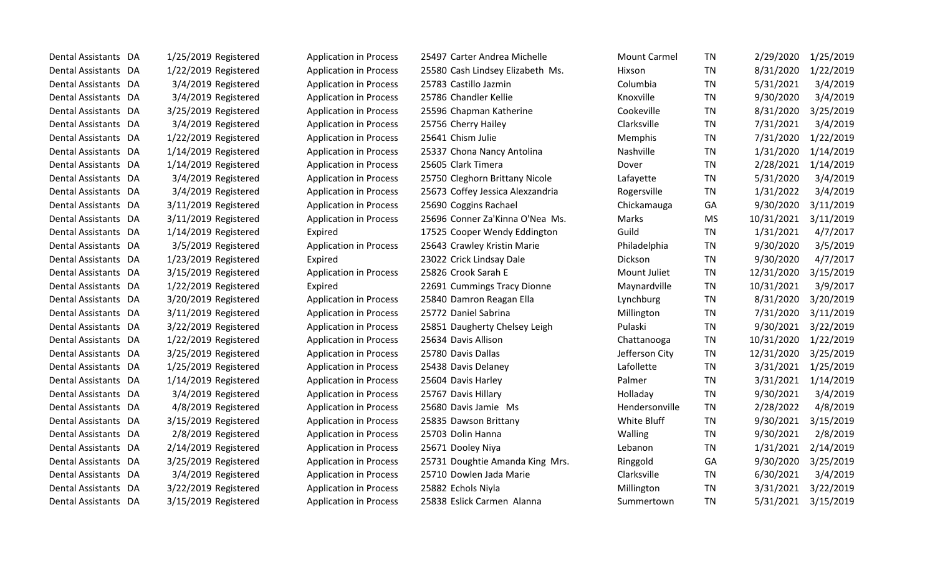| Dental Assistants DA | 1/25/2019 Registered | <b>Application in Process</b> | 25497 Carter Andrea Michelle     | <b>Mount Carmel</b> | <b>TN</b> | 2/29/2020  | 1/25/2019 |
|----------------------|----------------------|-------------------------------|----------------------------------|---------------------|-----------|------------|-----------|
| Dental Assistants DA | 1/22/2019 Registered | <b>Application in Process</b> | 25580 Cash Lindsey Elizabeth Ms. | Hixson              | <b>TN</b> | 8/31/2020  | 1/22/2019 |
| Dental Assistants DA | 3/4/2019 Registered  | <b>Application in Process</b> | 25783 Castillo Jazmin            | Columbia            | <b>TN</b> | 5/31/2021  | 3/4/2019  |
| Dental Assistants DA | 3/4/2019 Registered  | <b>Application in Process</b> | 25786 Chandler Kellie            | Knoxville           | <b>TN</b> | 9/30/2020  | 3/4/2019  |
| Dental Assistants DA | 3/25/2019 Registered | <b>Application in Process</b> | 25596 Chapman Katherine          | Cookeville          | <b>TN</b> | 8/31/2020  | 3/25/2019 |
| Dental Assistants DA | 3/4/2019 Registered  | <b>Application in Process</b> | 25756 Cherry Hailey              | Clarksville         | <b>TN</b> | 7/31/2021  | 3/4/2019  |
| Dental Assistants DA | 1/22/2019 Registered | <b>Application in Process</b> | 25641 Chism Julie                | Memphis             | <b>TN</b> | 7/31/2020  | 1/22/2019 |
| Dental Assistants DA | 1/14/2019 Registered | <b>Application in Process</b> | 25337 Chona Nancy Antolina       | Nashville           | <b>TN</b> | 1/31/2020  | 1/14/2019 |
| Dental Assistants DA | 1/14/2019 Registered | <b>Application in Process</b> | 25605 Clark Timera               | Dover               | <b>TN</b> | 2/28/2021  | 1/14/2019 |
| Dental Assistants DA | 3/4/2019 Registered  | <b>Application in Process</b> | 25750 Cleghorn Brittany Nicole   | Lafayette           | <b>TN</b> | 5/31/2020  | 3/4/2019  |
| Dental Assistants DA | 3/4/2019 Registered  | <b>Application in Process</b> | 25673 Coffey Jessica Alexzandria | Rogersville         | <b>TN</b> | 1/31/2022  | 3/4/2019  |
| Dental Assistants DA | 3/11/2019 Registered | <b>Application in Process</b> | 25690 Coggins Rachael            | Chickamauga         | GA        | 9/30/2020  | 3/11/2019 |
| Dental Assistants DA | 3/11/2019 Registered | <b>Application in Process</b> | 25696 Conner Za'Kinna O'Nea Ms.  | Marks               | <b>MS</b> | 10/31/2021 | 3/11/2019 |
| Dental Assistants DA | 1/14/2019 Registered | Expired                       | 17525 Cooper Wendy Eddington     | Guild               | <b>TN</b> | 1/31/2021  | 4/7/2017  |
| Dental Assistants DA | 3/5/2019 Registered  | <b>Application in Process</b> | 25643 Crawley Kristin Marie      | Philadelphia        | <b>TN</b> | 9/30/2020  | 3/5/2019  |
| Dental Assistants DA | 1/23/2019 Registered | Expired                       | 23022 Crick Lindsay Dale         | Dickson             | <b>TN</b> | 9/30/2020  | 4/7/2017  |
| Dental Assistants DA | 3/15/2019 Registered | <b>Application in Process</b> | 25826 Crook Sarah E              | Mount Juliet        | <b>TN</b> | 12/31/2020 | 3/15/2019 |
| Dental Assistants DA | 1/22/2019 Registered | Expired                       | 22691 Cummings Tracy Dionne      | Maynardville        | <b>TN</b> | 10/31/2021 | 3/9/2017  |
| Dental Assistants DA | 3/20/2019 Registered | <b>Application in Process</b> | 25840 Damron Reagan Ella         | Lynchburg           | <b>TN</b> | 8/31/2020  | 3/20/2019 |
| Dental Assistants DA | 3/11/2019 Registered | <b>Application in Process</b> | 25772 Daniel Sabrina             | Millington          | <b>TN</b> | 7/31/2020  | 3/11/2019 |
| Dental Assistants DA | 3/22/2019 Registered | <b>Application in Process</b> | 25851 Daugherty Chelsey Leigh    | Pulaski             | <b>TN</b> | 9/30/2021  | 3/22/2019 |
| Dental Assistants DA | 1/22/2019 Registered | <b>Application in Process</b> | 25634 Davis Allison              | Chattanooga         | <b>TN</b> | 10/31/2020 | 1/22/2019 |
| Dental Assistants DA | 3/25/2019 Registered | <b>Application in Process</b> | 25780 Davis Dallas               | Jefferson City      | <b>TN</b> | 12/31/2020 | 3/25/2019 |
| Dental Assistants DA | 1/25/2019 Registered | <b>Application in Process</b> | 25438 Davis Delaney              | Lafollette          | <b>TN</b> | 3/31/2021  | 1/25/2019 |
| Dental Assistants DA | 1/14/2019 Registered | <b>Application in Process</b> | 25604 Davis Harley               | Palmer              | <b>TN</b> | 3/31/2021  | 1/14/2019 |
| Dental Assistants DA | 3/4/2019 Registered  | <b>Application in Process</b> | 25767 Davis Hillary              | Holladay            | <b>TN</b> | 9/30/2021  | 3/4/2019  |
| Dental Assistants DA | 4/8/2019 Registered  | <b>Application in Process</b> | 25680 Davis Jamie Ms             | Hendersonville      | <b>TN</b> | 2/28/2022  | 4/8/2019  |
| Dental Assistants DA | 3/15/2019 Registered | <b>Application in Process</b> | 25835 Dawson Brittany            | White Bluff         | <b>TN</b> | 9/30/2021  | 3/15/2019 |
| Dental Assistants DA | 2/8/2019 Registered  | <b>Application in Process</b> | 25703 Dolin Hanna                | Walling             | <b>TN</b> | 9/30/2021  | 2/8/2019  |
| Dental Assistants DA | 2/14/2019 Registered | <b>Application in Process</b> | 25671 Dooley Niya                | Lebanon             | <b>TN</b> | 1/31/2021  | 2/14/2019 |
| Dental Assistants DA | 3/25/2019 Registered | <b>Application in Process</b> | 25731 Doughtie Amanda King Mrs.  | Ringgold            | GA        | 9/30/2020  | 3/25/2019 |
| Dental Assistants DA | 3/4/2019 Registered  | <b>Application in Process</b> | 25710 Dowlen Jada Marie          | Clarksville         | <b>TN</b> | 6/30/2021  | 3/4/2019  |
| Dental Assistants DA | 3/22/2019 Registered | <b>Application in Process</b> | 25882 Echols Niyla               | Millington          | <b>TN</b> | 3/31/2021  | 3/22/2019 |
| Dental Assistants DA | 3/15/2019 Registered | <b>Application in Process</b> | 25838 Eslick Carmen Alanna       | Summertown          | <b>TN</b> | 5/31/2021  | 3/15/2019 |
|                      |                      |                               |                                  |                     |           |            |           |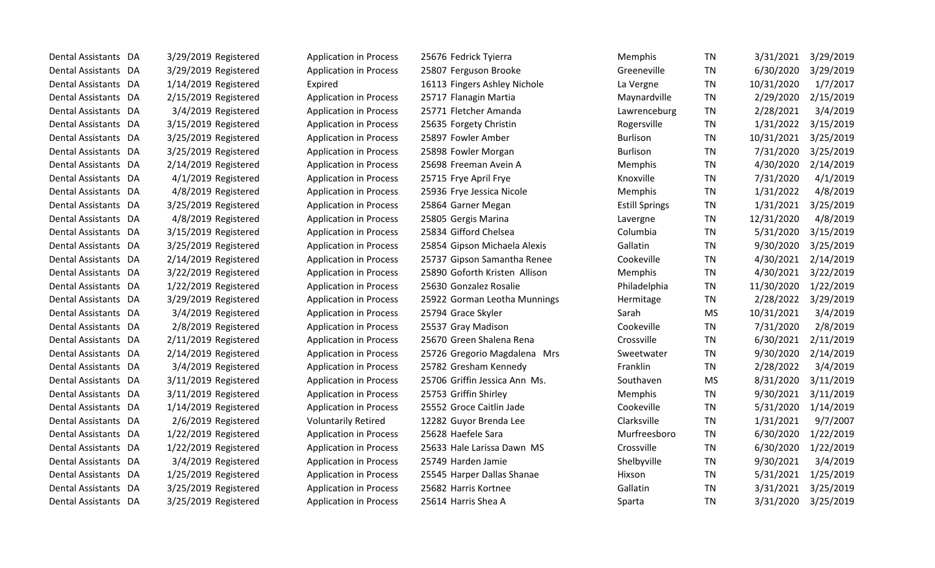| Dental Assistants DA | 3/29/2019 Registered   | <b>Application in Process</b> | 25676 Fedrick Tyierra         | <b>Memphis</b>        | <b>TN</b> | 3/31/2021  | 3/29/2019 |
|----------------------|------------------------|-------------------------------|-------------------------------|-----------------------|-----------|------------|-----------|
| Dental Assistants DA | 3/29/2019 Registered   | <b>Application in Process</b> | 25807 Ferguson Brooke         | Greeneville           | <b>TN</b> | 6/30/2020  | 3/29/2019 |
| Dental Assistants DA | 1/14/2019 Registered   | Expired                       | 16113 Fingers Ashley Nichole  | La Vergne             | <b>TN</b> | 10/31/2020 | 1/7/2017  |
| Dental Assistants DA | 2/15/2019 Registered   | <b>Application in Process</b> | 25717 Flanagin Martia         | Maynardville          | TN        | 2/29/2020  | 2/15/2019 |
| Dental Assistants DA | 3/4/2019 Registered    | <b>Application in Process</b> | 25771 Fletcher Amanda         | Lawrenceburg          | TN        | 2/28/2021  | 3/4/2019  |
| Dental Assistants DA | 3/15/2019 Registered   | <b>Application in Process</b> | 25635 Forgety Christin        | Rogersville           | TN        | 1/31/2022  | 3/15/2019 |
| Dental Assistants DA | 3/25/2019 Registered   | <b>Application in Process</b> | 25897 Fowler Amber            | <b>Burlison</b>       | <b>TN</b> | 10/31/2021 | 3/25/2019 |
| Dental Assistants DA | 3/25/2019 Registered   | <b>Application in Process</b> | 25898 Fowler Morgan           | <b>Burlison</b>       | <b>TN</b> | 7/31/2020  | 3/25/2019 |
| Dental Assistants DA | 2/14/2019 Registered   | <b>Application in Process</b> | 25698 Freeman Avein A         | Memphis               | <b>TN</b> | 4/30/2020  | 2/14/2019 |
| Dental Assistants DA | 4/1/2019 Registered    | <b>Application in Process</b> | 25715 Frye April Frye         | Knoxville             | <b>TN</b> | 7/31/2020  | 4/1/2019  |
| Dental Assistants DA | 4/8/2019 Registered    | <b>Application in Process</b> | 25936 Frye Jessica Nicole     | Memphis               | TN        | 1/31/2022  | 4/8/2019  |
| Dental Assistants DA | 3/25/2019 Registered   | <b>Application in Process</b> | 25864 Garner Megan            | <b>Estill Springs</b> | TN        | 1/31/2021  | 3/25/2019 |
| Dental Assistants DA | 4/8/2019 Registered    | <b>Application in Process</b> | 25805 Gergis Marina           | Lavergne              | <b>TN</b> | 12/31/2020 | 4/8/2019  |
| Dental Assistants DA | 3/15/2019 Registered   | <b>Application in Process</b> | 25834 Gifford Chelsea         | Columbia              | <b>TN</b> | 5/31/2020  | 3/15/2019 |
| Dental Assistants DA | 3/25/2019 Registered   | <b>Application in Process</b> | 25854 Gipson Michaela Alexis  | Gallatin              | TN        | 9/30/2020  | 3/25/2019 |
| Dental Assistants DA | $2/14/2019$ Registered | <b>Application in Process</b> | 25737 Gipson Samantha Renee   | Cookeville            | <b>TN</b> | 4/30/2021  | 2/14/2019 |
| Dental Assistants DA | 3/22/2019 Registered   | <b>Application in Process</b> | 25890 Goforth Kristen Allison | Memphis               | TN        | 4/30/2021  | 3/22/2019 |
| Dental Assistants DA | 1/22/2019 Registered   | <b>Application in Process</b> | 25630 Gonzalez Rosalie        | Philadelphia          | TN        | 11/30/2020 | 1/22/2019 |
| Dental Assistants DA | 3/29/2019 Registered   | <b>Application in Process</b> | 25922 Gorman Leotha Munnings  | Hermitage             | <b>TN</b> | 2/28/2022  | 3/29/2019 |
| Dental Assistants DA | 3/4/2019 Registered    | <b>Application in Process</b> | 25794 Grace Skyler            | Sarah                 | <b>MS</b> | 10/31/2021 | 3/4/2019  |
| Dental Assistants DA | 2/8/2019 Registered    | <b>Application in Process</b> | 25537 Gray Madison            | Cookeville            | <b>TN</b> | 7/31/2020  | 2/8/2019  |
| Dental Assistants DA | 2/11/2019 Registered   | <b>Application in Process</b> | 25670 Green Shalena Rena      | Crossville            | <b>TN</b> | 6/30/2021  | 2/11/2019 |
| Dental Assistants DA | $2/14/2019$ Registered | <b>Application in Process</b> | 25726 Gregorio Magdalena Mrs  | Sweetwater            | TN        | 9/30/2020  | 2/14/2019 |
| Dental Assistants DA | 3/4/2019 Registered    | <b>Application in Process</b> | 25782 Gresham Kennedy         | Franklin              | <b>TN</b> | 2/28/2022  | 3/4/2019  |
| Dental Assistants DA | 3/11/2019 Registered   | <b>Application in Process</b> | 25706 Griffin Jessica Ann Ms. | Southaven             | <b>MS</b> | 8/31/2020  | 3/11/2019 |
| Dental Assistants DA | 3/11/2019 Registered   | <b>Application in Process</b> | 25753 Griffin Shirley         | Memphis               | <b>TN</b> | 9/30/2021  | 3/11/2019 |
| Dental Assistants DA | 1/14/2019 Registered   | <b>Application in Process</b> | 25552 Groce Caitlin Jade      | Cookeville            | <b>TN</b> | 5/31/2020  | 1/14/2019 |
| Dental Assistants DA | 2/6/2019 Registered    | <b>Voluntarily Retired</b>    | 12282 Guyor Brenda Lee        | Clarksville           | TN        | 1/31/2021  | 9/7/2007  |
| Dental Assistants DA | 1/22/2019 Registered   | <b>Application in Process</b> | 25628 Haefele Sara            | Murfreesboro          | TN        | 6/30/2020  | 1/22/2019 |
| Dental Assistants DA | 1/22/2019 Registered   | <b>Application in Process</b> | 25633 Hale Larissa Dawn MS    | Crossville            | <b>TN</b> | 6/30/2020  | 1/22/2019 |
| Dental Assistants DA | 3/4/2019 Registered    | <b>Application in Process</b> | 25749 Harden Jamie            | Shelbyville           | TN        | 9/30/2021  | 3/4/2019  |
| Dental Assistants DA | 1/25/2019 Registered   | <b>Application in Process</b> | 25545 Harper Dallas Shanae    | Hixson                | <b>TN</b> | 5/31/2021  | 1/25/2019 |
| Dental Assistants DA | 3/25/2019 Registered   | <b>Application in Process</b> | 25682 Harris Kortnee          | Gallatin              | <b>TN</b> | 3/31/2021  | 3/25/2019 |
| Dental Assistants DA | 3/25/2019 Registered   | <b>Application in Process</b> | 25614 Harris Shea A           | Sparta                | <b>TN</b> | 3/31/2020  | 3/25/2019 |
|                      |                        |                               |                               |                       |           |            |           |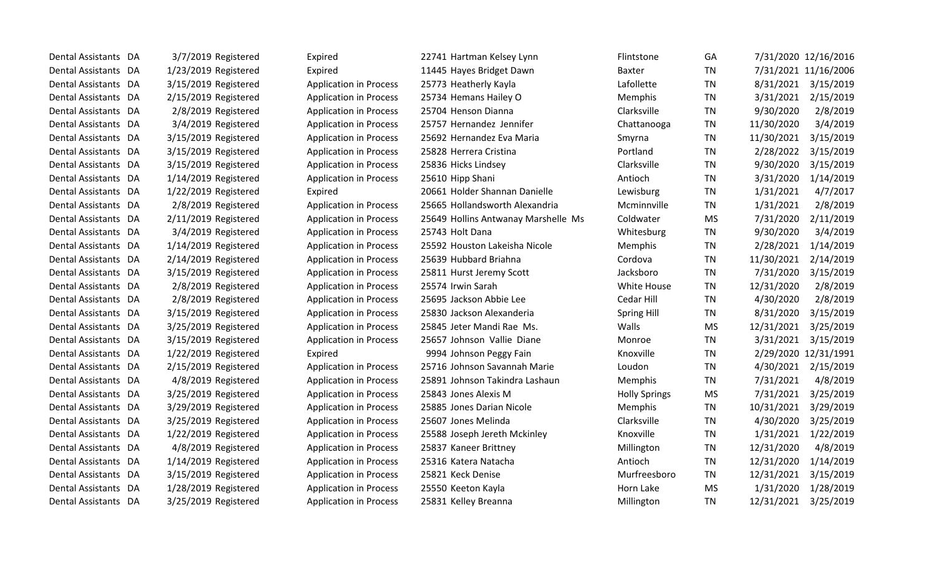| Dental Assistants DA | 3/7/2019 Registered  | Expired                       | 22741 Hartman Kelsey Lynn           | <b>Flintstone</b>    | GА        |            | 7/31/2020 12/16/2016 |
|----------------------|----------------------|-------------------------------|-------------------------------------|----------------------|-----------|------------|----------------------|
| Dental Assistants DA | 1/23/2019 Registered | Expired                       | 11445 Hayes Bridget Dawn            | <b>Baxter</b>        | <b>TN</b> |            | 7/31/2021 11/16/2006 |
| Dental Assistants DA | 3/15/2019 Registered | <b>Application in Process</b> | 25773 Heatherly Kayla               | Lafollette           | <b>TN</b> | 8/31/2021  | 3/15/2019            |
| Dental Assistants DA | 2/15/2019 Registered | <b>Application in Process</b> | 25734 Hemans Hailey O               | Memphis              | <b>TN</b> | 3/31/2021  | 2/15/2019            |
| Dental Assistants DA | 2/8/2019 Registered  | <b>Application in Process</b> | 25704 Henson Dianna                 | Clarksville          | <b>TN</b> | 9/30/2020  | 2/8/2019             |
| Dental Assistants DA | 3/4/2019 Registered  | <b>Application in Process</b> | 25757 Hernandez Jennifer            | Chattanooga          | <b>TN</b> | 11/30/2020 | 3/4/2019             |
| Dental Assistants DA | 3/15/2019 Registered | <b>Application in Process</b> | 25692 Hernandez Eva Maria           | Smyrna               | <b>TN</b> | 11/30/2021 | 3/15/2019            |
| Dental Assistants DA | 3/15/2019 Registered | <b>Application in Process</b> | 25828 Herrera Cristina              | Portland             | <b>TN</b> | 2/28/2022  | 3/15/2019            |
| Dental Assistants DA | 3/15/2019 Registered | <b>Application in Process</b> | 25836 Hicks Lindsey                 | Clarksville          | <b>TN</b> | 9/30/2020  | 3/15/2019            |
| Dental Assistants DA | 1/14/2019 Registered | <b>Application in Process</b> | 25610 Hipp Shani                    | Antioch              | <b>TN</b> | 3/31/2020  | 1/14/2019            |
| Dental Assistants DA | 1/22/2019 Registered | Expired                       | 20661 Holder Shannan Danielle       | Lewisburg            | <b>TN</b> | 1/31/2021  | 4/7/2017             |
| Dental Assistants DA | 2/8/2019 Registered  | <b>Application in Process</b> | 25665 Hollandsworth Alexandria      | Mcminnville          | <b>TN</b> | 1/31/2021  | 2/8/2019             |
| Dental Assistants DA | 2/11/2019 Registered | <b>Application in Process</b> | 25649 Hollins Antwanay Marshelle Ms | Coldwater            | <b>MS</b> | 7/31/2020  | 2/11/2019            |
| Dental Assistants DA | 3/4/2019 Registered  | <b>Application in Process</b> | 25743 Holt Dana                     | Whitesburg           | <b>TN</b> | 9/30/2020  | 3/4/2019             |
| Dental Assistants DA | 1/14/2019 Registered | <b>Application in Process</b> | 25592 Houston Lakeisha Nicole       | Memphis              | <b>TN</b> | 2/28/2021  | 1/14/2019            |
| Dental Assistants DA | 2/14/2019 Registered | <b>Application in Process</b> | 25639 Hubbard Briahna               | Cordova              | <b>TN</b> | 11/30/2021 | 2/14/2019            |
| Dental Assistants DA | 3/15/2019 Registered | <b>Application in Process</b> | 25811 Hurst Jeremy Scott            | Jacksboro            | <b>TN</b> | 7/31/2020  | 3/15/2019            |
| Dental Assistants DA | 2/8/2019 Registered  | <b>Application in Process</b> | 25574 Irwin Sarah                   | White House          | TN        | 12/31/2020 | 2/8/2019             |
| Dental Assistants DA | 2/8/2019 Registered  | <b>Application in Process</b> | 25695 Jackson Abbie Lee             | Cedar Hill           | <b>TN</b> | 4/30/2020  | 2/8/2019             |
| Dental Assistants DA | 3/15/2019 Registered | <b>Application in Process</b> | 25830 Jackson Alexanderia           | <b>Spring Hill</b>   | <b>TN</b> | 8/31/2020  | 3/15/2019            |
| Dental Assistants DA | 3/25/2019 Registered | <b>Application in Process</b> | 25845 Jeter Mandi Rae Ms.           | Walls                | <b>MS</b> | 12/31/2021 | 3/25/2019            |
| Dental Assistants DA | 3/15/2019 Registered | <b>Application in Process</b> | 25657 Johnson Vallie Diane          | Monroe               | TN        | 3/31/2021  | 3/15/2019            |
| Dental Assistants DA | 1/22/2019 Registered | Expired                       | 9994 Johnson Peggy Fain             | Knoxville            | <b>TN</b> |            | 2/29/2020 12/31/1991 |
| Dental Assistants DA | 2/15/2019 Registered | <b>Application in Process</b> | 25716 Johnson Savannah Marie        | Loudon               | <b>TN</b> | 4/30/2021  | 2/15/2019            |
| Dental Assistants DA | 4/8/2019 Registered  | <b>Application in Process</b> | 25891 Johnson Takindra Lashaun      | Memphis              | <b>TN</b> | 7/31/2021  | 4/8/2019             |
| Dental Assistants DA | 3/25/2019 Registered | <b>Application in Process</b> | 25843 Jones Alexis M                | <b>Holly Springs</b> | <b>MS</b> | 7/31/2021  | 3/25/2019            |
| Dental Assistants DA | 3/29/2019 Registered | <b>Application in Process</b> | 25885 Jones Darian Nicole           | Memphis              | <b>TN</b> | 10/31/2021 | 3/29/2019            |
| Dental Assistants DA | 3/25/2019 Registered | <b>Application in Process</b> | 25607 Jones Melinda                 | Clarksville          | <b>TN</b> | 4/30/2020  | 3/25/2019            |
| Dental Assistants DA | 1/22/2019 Registered | <b>Application in Process</b> | 25588 Joseph Jereth Mckinley        | Knoxville            | <b>TN</b> | 1/31/2021  | 1/22/2019            |
| Dental Assistants DA | 4/8/2019 Registered  | <b>Application in Process</b> | 25837 Kaneer Brittney               | Millington           | <b>TN</b> | 12/31/2020 | 4/8/2019             |
| Dental Assistants DA | 1/14/2019 Registered | <b>Application in Process</b> | 25316 Katera Natacha                | Antioch              | TN        | 12/31/2020 | 1/14/2019            |
| Dental Assistants DA | 3/15/2019 Registered | <b>Application in Process</b> | 25821 Keck Denise                   | Murfreesboro         | TN        | 12/31/2021 | 3/15/2019            |
| Dental Assistants DA | 1/28/2019 Registered | <b>Application in Process</b> | 25550 Keeton Kayla                  | Horn Lake            | MS        | 1/31/2020  | 1/28/2019            |
| Dental Assistants DA | 3/25/2019 Registered | <b>Application in Process</b> | 25831 Kelley Breanna                | Millington           | <b>TN</b> | 12/31/2021 | 3/25/2019            |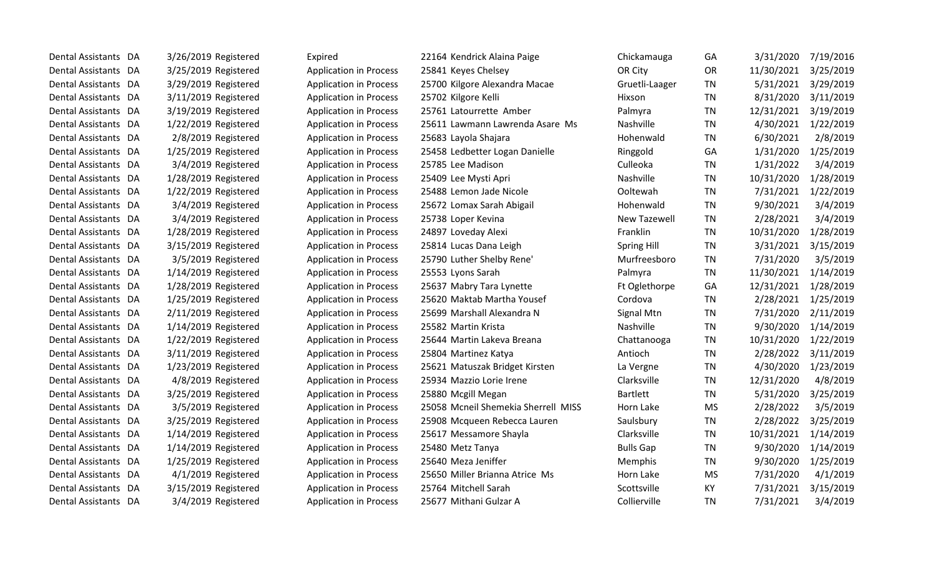| Dental Assistants DA | 3/26/2019 Registered | Expired                       | 22164 Kendrick Alaina Paige         | Chickamauga         | GA        | 3/31/2020  | 7/19/2016 |
|----------------------|----------------------|-------------------------------|-------------------------------------|---------------------|-----------|------------|-----------|
| Dental Assistants DA | 3/25/2019 Registered | <b>Application in Process</b> | 25841 Keyes Chelsey                 | OR City             | <b>OR</b> | 11/30/2021 | 3/25/2019 |
| Dental Assistants DA | 3/29/2019 Registered | <b>Application in Process</b> | 25700 Kilgore Alexandra Macae       | Gruetli-Laager      | <b>TN</b> | 5/31/2021  | 3/29/2019 |
| Dental Assistants DA | 3/11/2019 Registered | <b>Application in Process</b> | 25702 Kilgore Kelli                 | Hixson              | TN        | 8/31/2020  | 3/11/2019 |
| Dental Assistants DA | 3/19/2019 Registered | <b>Application in Process</b> | 25761 Latourrette Amber             | Palmyra             | TN        | 12/31/2021 | 3/19/2019 |
| Dental Assistants DA | 1/22/2019 Registered | <b>Application in Process</b> | 25611 Lawmann Lawrenda Asare Ms     | Nashville           | <b>TN</b> | 4/30/2021  | 1/22/2019 |
| Dental Assistants DA | 2/8/2019 Registered  | <b>Application in Process</b> | 25683 Layola Shajara                | Hohenwald           | TN        | 6/30/2021  | 2/8/2019  |
| Dental Assistants DA | 1/25/2019 Registered | <b>Application in Process</b> | 25458 Ledbetter Logan Danielle      | Ringgold            | GA        | 1/31/2020  | 1/25/2019 |
| Dental Assistants DA | 3/4/2019 Registered  | <b>Application in Process</b> | 25785 Lee Madison                   | Culleoka            | TN        | 1/31/2022  | 3/4/2019  |
| Dental Assistants DA | 1/28/2019 Registered | <b>Application in Process</b> | 25409 Lee Mysti Apri                | Nashville           | <b>TN</b> | 10/31/2020 | 1/28/2019 |
| Dental Assistants DA | 1/22/2019 Registered | <b>Application in Process</b> | 25488 Lemon Jade Nicole             | Ooltewah            | <b>TN</b> | 7/31/2021  | 1/22/2019 |
| Dental Assistants DA | 3/4/2019 Registered  | <b>Application in Process</b> | 25672 Lomax Sarah Abigail           | Hohenwald           | TN        | 9/30/2021  | 3/4/2019  |
| Dental Assistants DA | 3/4/2019 Registered  | <b>Application in Process</b> | 25738 Loper Kevina                  | <b>New Tazewell</b> | TN        | 2/28/2021  | 3/4/2019  |
| Dental Assistants DA | 1/28/2019 Registered | <b>Application in Process</b> | 24897 Loveday Alexi                 | Franklin            | <b>TN</b> | 10/31/2020 | 1/28/2019 |
| Dental Assistants DA | 3/15/2019 Registered | <b>Application in Process</b> | 25814 Lucas Dana Leigh              | <b>Spring Hill</b>  | TN        | 3/31/2021  | 3/15/2019 |
| Dental Assistants DA | 3/5/2019 Registered  | <b>Application in Process</b> | 25790 Luther Shelby Rene'           | Murfreesboro        | <b>TN</b> | 7/31/2020  | 3/5/2019  |
| Dental Assistants DA | 1/14/2019 Registered | <b>Application in Process</b> | 25553 Lyons Sarah                   | Palmyra             | TN        | 11/30/2021 | 1/14/2019 |
| Dental Assistants DA | 1/28/2019 Registered | <b>Application in Process</b> | 25637 Mabry Tara Lynette            | Ft Oglethorpe       | GA        | 12/31/2021 | 1/28/2019 |
| Dental Assistants DA | 1/25/2019 Registered | <b>Application in Process</b> | 25620 Maktab Martha Yousef          | Cordova             | <b>TN</b> | 2/28/2021  | 1/25/2019 |
| Dental Assistants DA | 2/11/2019 Registered | <b>Application in Process</b> | 25699 Marshall Alexandra N          | Signal Mtn          | <b>TN</b> | 7/31/2020  | 2/11/2019 |
| Dental Assistants DA | 1/14/2019 Registered | <b>Application in Process</b> | 25582 Martin Krista                 | Nashville           | TN        | 9/30/2020  | 1/14/2019 |
| Dental Assistants DA | 1/22/2019 Registered | <b>Application in Process</b> | 25644 Martin Lakeva Breana          | Chattanooga         | TN        | 10/31/2020 | 1/22/2019 |
| Dental Assistants DA | 3/11/2019 Registered | <b>Application in Process</b> | 25804 Martinez Katya                | Antioch             | TN        | 2/28/2022  | 3/11/2019 |
| Dental Assistants DA | 1/23/2019 Registered | <b>Application in Process</b> | 25621 Matuszak Bridget Kirsten      | La Vergne           | TN        | 4/30/2020  | 1/23/2019 |
| Dental Assistants DA | 4/8/2019 Registered  | <b>Application in Process</b> | 25934 Mazzio Lorie Irene            | Clarksville         | TN        | 12/31/2020 | 4/8/2019  |
| Dental Assistants DA | 3/25/2019 Registered | <b>Application in Process</b> | 25880 Mcgill Megan                  | <b>Bartlett</b>     | TN        | 5/31/2020  | 3/25/2019 |
| Dental Assistants DA | 3/5/2019 Registered  | <b>Application in Process</b> | 25058 Mcneil Shemekia Sherrell MISS | Horn Lake           | <b>MS</b> | 2/28/2022  | 3/5/2019  |
| Dental Assistants DA | 3/25/2019 Registered | <b>Application in Process</b> | 25908 Mcqueen Rebecca Lauren        | Saulsbury           | TN        | 2/28/2022  | 3/25/2019 |
| Dental Assistants DA | 1/14/2019 Registered | <b>Application in Process</b> | 25617 Messamore Shayla              | Clarksville         | <b>TN</b> | 10/31/2021 | 1/14/2019 |
| Dental Assistants DA | 1/14/2019 Registered | <b>Application in Process</b> | 25480 Metz Tanya                    | <b>Bulls Gap</b>    | <b>TN</b> | 9/30/2020  | 1/14/2019 |
| Dental Assistants DA | 1/25/2019 Registered | <b>Application in Process</b> | 25640 Meza Jeniffer                 | Memphis             | TN        | 9/30/2020  | 1/25/2019 |
| Dental Assistants DA | 4/1/2019 Registered  | <b>Application in Process</b> | 25650 Miller Brianna Atrice Ms      | Horn Lake           | <b>MS</b> | 7/31/2020  | 4/1/2019  |
| Dental Assistants DA | 3/15/2019 Registered | <b>Application in Process</b> | 25764 Mitchell Sarah                | Scottsville         | KY        | 7/31/2021  | 3/15/2019 |
| Dental Assistants DA | 3/4/2019 Registered  | <b>Application in Process</b> | 25677 Mithani Gulzar A              | Collierville        | <b>TN</b> | 7/31/2021  | 3/4/2019  |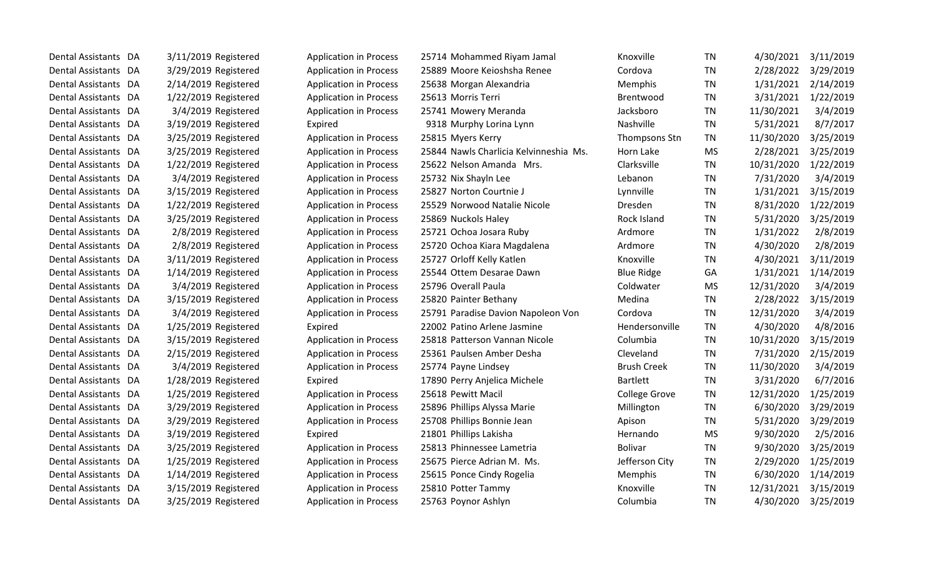| Dental Assistants DA | 3/11/2019 Registered   | <b>Application in Process</b> | 25714 Mohammed Riyam Jamal             | Knoxville            | <b>TN</b> | 4/30/2021  | 3/11/2019 |
|----------------------|------------------------|-------------------------------|----------------------------------------|----------------------|-----------|------------|-----------|
| Dental Assistants DA | 3/29/2019 Registered   | <b>Application in Process</b> | 25889 Moore Keioshsha Renee            | Cordova              | <b>TN</b> | 2/28/2022  | 3/29/2019 |
| Dental Assistants DA | $2/14/2019$ Registered | <b>Application in Process</b> | 25638 Morgan Alexandria                | Memphis              | <b>TN</b> | 1/31/2021  | 2/14/2019 |
| Dental Assistants DA | 1/22/2019 Registered   | <b>Application in Process</b> | 25613 Morris Terri                     | Brentwood            | <b>TN</b> | 3/31/2021  | 1/22/2019 |
| Dental Assistants DA | 3/4/2019 Registered    | <b>Application in Process</b> | 25741 Mowery Meranda                   | Jacksboro            | <b>TN</b> | 11/30/2021 | 3/4/2019  |
| Dental Assistants DA | 3/19/2019 Registered   | Expired                       | 9318 Murphy Lorina Lynn                | Nashville            | <b>TN</b> | 5/31/2021  | 8/7/2017  |
| Dental Assistants DA | 3/25/2019 Registered   | <b>Application in Process</b> | 25815 Myers Kerry                      | Thompsons Stn        | <b>TN</b> | 11/30/2020 | 3/25/2019 |
| Dental Assistants DA | 3/25/2019 Registered   | <b>Application in Process</b> | 25844 Nawls Charlicia Kelvinneshia Ms. | Horn Lake            | <b>MS</b> | 2/28/2021  | 3/25/2019 |
| Dental Assistants DA | 1/22/2019 Registered   | <b>Application in Process</b> | 25622 Nelson Amanda Mrs.               | Clarksville          | <b>TN</b> | 10/31/2020 | 1/22/2019 |
| Dental Assistants DA | 3/4/2019 Registered    | <b>Application in Process</b> | 25732 Nix Shayln Lee                   | Lebanon              | <b>TN</b> | 7/31/2020  | 3/4/2019  |
| Dental Assistants DA | 3/15/2019 Registered   | <b>Application in Process</b> | 25827 Norton Courtnie J                | Lynnville            | <b>TN</b> | 1/31/2021  | 3/15/2019 |
| Dental Assistants DA | 1/22/2019 Registered   | <b>Application in Process</b> | 25529 Norwood Natalie Nicole           | <b>Dresden</b>       | <b>TN</b> | 8/31/2020  | 1/22/2019 |
| Dental Assistants DA | 3/25/2019 Registered   | <b>Application in Process</b> | 25869 Nuckols Haley                    | Rock Island          | <b>TN</b> | 5/31/2020  | 3/25/2019 |
| Dental Assistants DA | 2/8/2019 Registered    | <b>Application in Process</b> | 25721 Ochoa Josara Ruby                | Ardmore              | <b>TN</b> | 1/31/2022  | 2/8/2019  |
| Dental Assistants DA | 2/8/2019 Registered    | <b>Application in Process</b> | 25720 Ochoa Kiara Magdalena            | Ardmore              | <b>TN</b> | 4/30/2020  | 2/8/2019  |
| Dental Assistants DA | 3/11/2019 Registered   | <b>Application in Process</b> | 25727 Orloff Kelly Katlen              | Knoxville            | <b>TN</b> | 4/30/2021  | 3/11/2019 |
| Dental Assistants DA | 1/14/2019 Registered   | <b>Application in Process</b> | 25544 Ottem Desarae Dawn               | <b>Blue Ridge</b>    | GA        | 1/31/2021  | 1/14/2019 |
| Dental Assistants DA | 3/4/2019 Registered    | <b>Application in Process</b> | 25796 Overall Paula                    | Coldwater            | <b>MS</b> | 12/31/2020 | 3/4/2019  |
| Dental Assistants DA | 3/15/2019 Registered   | <b>Application in Process</b> | 25820 Painter Bethany                  | Medina               | <b>TN</b> | 2/28/2022  | 3/15/2019 |
| Dental Assistants DA | 3/4/2019 Registered    | <b>Application in Process</b> | 25791 Paradise Davion Napoleon Von     | Cordova              | <b>TN</b> | 12/31/2020 | 3/4/2019  |
| Dental Assistants DA | 1/25/2019 Registered   | Expired                       | 22002 Patino Arlene Jasmine            | Hendersonville       | <b>TN</b> | 4/30/2020  | 4/8/2016  |
| Dental Assistants DA | 3/15/2019 Registered   | <b>Application in Process</b> | 25818 Patterson Vannan Nicole          | Columbia             | <b>TN</b> | 10/31/2020 | 3/15/2019 |
| Dental Assistants DA | 2/15/2019 Registered   | <b>Application in Process</b> | 25361 Paulsen Amber Desha              | Cleveland            | <b>TN</b> | 7/31/2020  | 2/15/2019 |
| Dental Assistants DA | 3/4/2019 Registered    | <b>Application in Process</b> | 25774 Payne Lindsey                    | <b>Brush Creek</b>   | <b>TN</b> | 11/30/2020 | 3/4/2019  |
| Dental Assistants DA | 1/28/2019 Registered   | Expired                       | 17890 Perry Anjelica Michele           | <b>Bartlett</b>      | <b>TN</b> | 3/31/2020  | 6/7/2016  |
| Dental Assistants DA | 1/25/2019 Registered   | <b>Application in Process</b> | 25618 Pewitt Macil                     | <b>College Grove</b> | <b>TN</b> | 12/31/2020 | 1/25/2019 |
| Dental Assistants DA | 3/29/2019 Registered   | <b>Application in Process</b> | 25896 Phillips Alyssa Marie            | Millington           | <b>TN</b> | 6/30/2020  | 3/29/2019 |
| Dental Assistants DA | 3/29/2019 Registered   | <b>Application in Process</b> | 25708 Phillips Bonnie Jean             | Apison               | <b>TN</b> | 5/31/2020  | 3/29/2019 |
| Dental Assistants DA | 3/19/2019 Registered   | Expired                       | 21801 Phillips Lakisha                 | Hernando             | <b>MS</b> | 9/30/2020  | 2/5/2016  |
| Dental Assistants DA | 3/25/2019 Registered   | <b>Application in Process</b> | 25813 Phinnessee Lametria              | <b>Bolivar</b>       | <b>TN</b> | 9/30/2020  | 3/25/2019 |
| Dental Assistants DA | 1/25/2019 Registered   | <b>Application in Process</b> | 25675 Pierce Adrian M. Ms.             | Jefferson City       | <b>TN</b> | 2/29/2020  | 1/25/2019 |
| Dental Assistants DA | 1/14/2019 Registered   | <b>Application in Process</b> | 25615 Ponce Cindy Rogelia              | Memphis              | <b>TN</b> | 6/30/2020  | 1/14/2019 |
| Dental Assistants DA | 3/15/2019 Registered   | <b>Application in Process</b> | 25810 Potter Tammy                     | Knoxville            | <b>TN</b> | 12/31/2021 | 3/15/2019 |
| Dental Assistants DA | 3/25/2019 Registered   | <b>Application in Process</b> | 25763 Poynor Ashlyn                    | Columbia             | <b>TN</b> | 4/30/2020  | 3/25/2019 |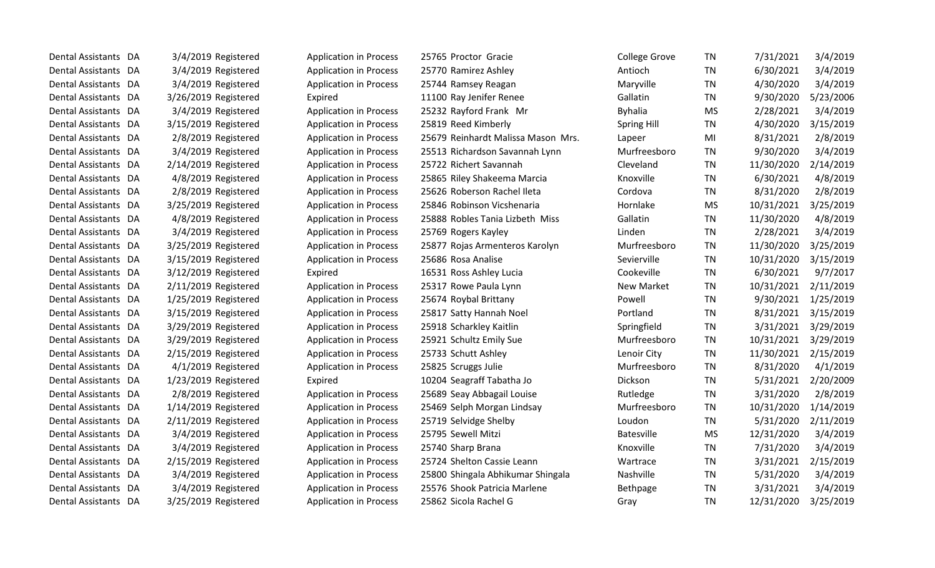| Dental Assistants DA | 3/4/2019 Registered    | <b>Application in Process</b> | 25765 Proctor Gracie               | <b>College Grove</b> | <b>TN</b> | 7/31/2021  | 3/4/2019  |
|----------------------|------------------------|-------------------------------|------------------------------------|----------------------|-----------|------------|-----------|
| Dental Assistants DA | 3/4/2019 Registered    | <b>Application in Process</b> | 25770 Ramirez Ashley               | Antioch              | <b>TN</b> | 6/30/2021  | 3/4/2019  |
| Dental Assistants DA | 3/4/2019 Registered    | <b>Application in Process</b> | 25744 Ramsey Reagan                | Maryville            | <b>TN</b> | 4/30/2020  | 3/4/2019  |
| Dental Assistants DA | 3/26/2019 Registered   | Expired                       | 11100 Ray Jenifer Renee            | Gallatin             | <b>TN</b> | 9/30/2020  | 5/23/2006 |
| Dental Assistants DA | 3/4/2019 Registered    | <b>Application in Process</b> | 25232 Rayford Frank Mr             | <b>Byhalia</b>       | <b>MS</b> | 2/28/2021  | 3/4/2019  |
| Dental Assistants DA | 3/15/2019 Registered   | <b>Application in Process</b> | 25819 Reed Kimberly                | <b>Spring Hill</b>   | <b>TN</b> | 4/30/2020  | 3/15/2019 |
| Dental Assistants DA | 2/8/2019 Registered    | <b>Application in Process</b> | 25679 Reinhardt Malissa Mason Mrs. | Lapeer               | MI        | 8/31/2021  | 2/8/2019  |
| Dental Assistants DA | 3/4/2019 Registered    | <b>Application in Process</b> | 25513 Richardson Savannah Lynn     | Murfreesboro         | <b>TN</b> | 9/30/2020  | 3/4/2019  |
| Dental Assistants DA | 2/14/2019 Registered   | <b>Application in Process</b> | 25722 Richert Savannah             | Cleveland            | <b>TN</b> | 11/30/2020 | 2/14/2019 |
| Dental Assistants DA | 4/8/2019 Registered    | <b>Application in Process</b> | 25865 Riley Shakeema Marcia        | Knoxville            | <b>TN</b> | 6/30/2021  | 4/8/2019  |
| Dental Assistants DA | 2/8/2019 Registered    | <b>Application in Process</b> | 25626 Roberson Rachel Ileta        | Cordova              | <b>TN</b> | 8/31/2020  | 2/8/2019  |
| Dental Assistants DA | 3/25/2019 Registered   | <b>Application in Process</b> | 25846 Robinson Vicshenaria         | Hornlake             | <b>MS</b> | 10/31/2021 | 3/25/2019 |
| Dental Assistants DA | 4/8/2019 Registered    | <b>Application in Process</b> | 25888 Robles Tania Lizbeth Miss    | Gallatin             | <b>TN</b> | 11/30/2020 | 4/8/2019  |
| Dental Assistants DA | 3/4/2019 Registered    | <b>Application in Process</b> | 25769 Rogers Kayley                | Linden               | <b>TN</b> | 2/28/2021  | 3/4/2019  |
| Dental Assistants DA | 3/25/2019 Registered   | <b>Application in Process</b> | 25877 Rojas Armenteros Karolyn     | Murfreesboro         | <b>TN</b> | 11/30/2020 | 3/25/2019 |
| Dental Assistants DA | 3/15/2019 Registered   | <b>Application in Process</b> | 25686 Rosa Analise                 | Sevierville          | <b>TN</b> | 10/31/2020 | 3/15/2019 |
| Dental Assistants DA | 3/12/2019 Registered   | Expired                       | 16531 Ross Ashley Lucia            | Cookeville           | <b>TN</b> | 6/30/2021  | 9/7/2017  |
| Dental Assistants DA | $2/11/2019$ Registered | <b>Application in Process</b> | 25317 Rowe Paula Lynn              | New Market           | <b>TN</b> | 10/31/2021 | 2/11/2019 |
| Dental Assistants DA | 1/25/2019 Registered   | <b>Application in Process</b> | 25674 Roybal Brittany              | Powell               | <b>TN</b> | 9/30/2021  | 1/25/2019 |
| Dental Assistants DA | 3/15/2019 Registered   | <b>Application in Process</b> | 25817 Satty Hannah Noel            | Portland             | <b>TN</b> | 8/31/2021  | 3/15/2019 |
| Dental Assistants DA | 3/29/2019 Registered   | <b>Application in Process</b> | 25918 Scharkley Kaitlin            | Springfield          | <b>TN</b> | 3/31/2021  | 3/29/2019 |
| Dental Assistants DA | 3/29/2019 Registered   | <b>Application in Process</b> | 25921 Schultz Emily Sue            | Murfreesboro         | <b>TN</b> | 10/31/2021 | 3/29/2019 |
| Dental Assistants DA | 2/15/2019 Registered   | <b>Application in Process</b> | 25733 Schutt Ashley                | Lenoir City          | <b>TN</b> | 11/30/2021 | 2/15/2019 |
| Dental Assistants DA | 4/1/2019 Registered    | <b>Application in Process</b> | 25825 Scruggs Julie                | Murfreesboro         | <b>TN</b> | 8/31/2020  | 4/1/2019  |
| Dental Assistants DA | 1/23/2019 Registered   | Expired                       | 10204 Seagraff Tabatha Jo          | Dickson              | <b>TN</b> | 5/31/2021  | 2/20/2009 |
| Dental Assistants DA | 2/8/2019 Registered    | <b>Application in Process</b> | 25689 Seay Abbagail Louise         | Rutledge             | <b>TN</b> | 3/31/2020  | 2/8/2019  |
| Dental Assistants DA | 1/14/2019 Registered   | <b>Application in Process</b> | 25469 Selph Morgan Lindsay         | Murfreesboro         | <b>TN</b> | 10/31/2020 | 1/14/2019 |
| Dental Assistants DA | 2/11/2019 Registered   | <b>Application in Process</b> | 25719 Selvidge Shelby              | Loudon               | <b>TN</b> | 5/31/2020  | 2/11/2019 |
| Dental Assistants DA | 3/4/2019 Registered    | <b>Application in Process</b> | 25795 Sewell Mitzi                 | Batesville           | <b>MS</b> | 12/31/2020 | 3/4/2019  |
| Dental Assistants DA | 3/4/2019 Registered    | <b>Application in Process</b> | 25740 Sharp Brana                  | Knoxville            | <b>TN</b> | 7/31/2020  | 3/4/2019  |
| Dental Assistants DA | 2/15/2019 Registered   | <b>Application in Process</b> | 25724 Shelton Cassie Leann         | Wartrace             | TN        | 3/31/2021  | 2/15/2019 |
| Dental Assistants DA | 3/4/2019 Registered    | <b>Application in Process</b> | 25800 Shingala Abhikumar Shingala  | Nashville            | <b>TN</b> | 5/31/2020  | 3/4/2019  |
| Dental Assistants DA | 3/4/2019 Registered    | <b>Application in Process</b> | 25576 Shook Patricia Marlene       | Bethpage             | <b>TN</b> | 3/31/2021  | 3/4/2019  |
| Dental Assistants DA | 3/25/2019 Registered   | <b>Application in Process</b> | 25862 Sicola Rachel G              | Gray                 | <b>TN</b> | 12/31/2020 | 3/25/2019 |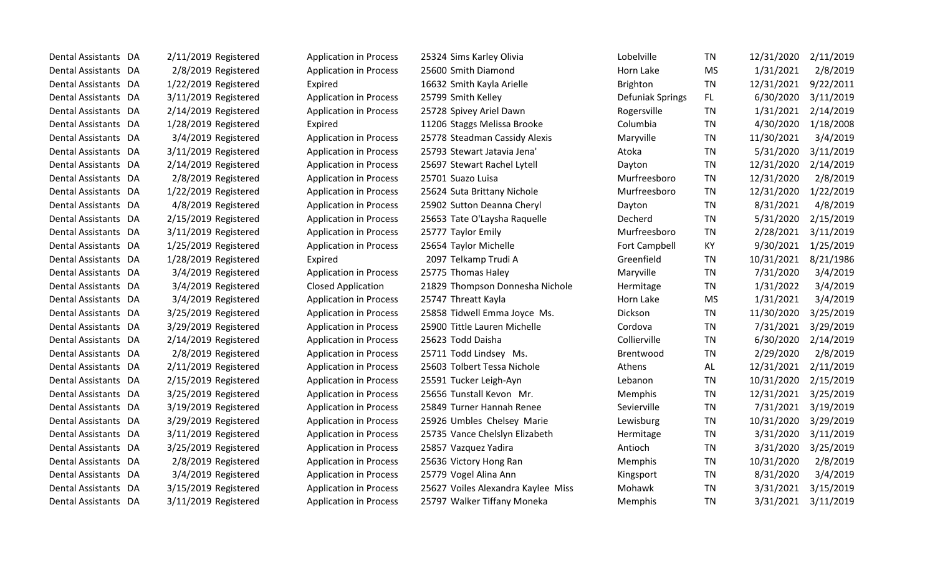| Dental Assistants DA     |    | 2/11/2019 Registered | <b>Application in Process</b> | 25324 Sims Karley Olivia           | Lobelville           | <b>TN</b> | 12/31/2020 | 2/11/2019 |
|--------------------------|----|----------------------|-------------------------------|------------------------------------|----------------------|-----------|------------|-----------|
| Dental Assistants DA     |    | 2/8/2019 Registered  | <b>Application in Process</b> | 25600 Smith Diamond                | Horn Lake            | <b>MS</b> | 1/31/2021  | 2/8/2019  |
| Dental Assistants DA     |    | 1/22/2019 Registered | Expired                       | 16632 Smith Kayla Arielle          | Brighton             | <b>TN</b> | 12/31/2021 | 9/22/2011 |
| Dental Assistants DA     |    | 3/11/2019 Registered | <b>Application in Process</b> | 25799 Smith Kelley                 | Defuniak Springs     | FL        | 6/30/2020  | 3/11/2019 |
| Dental Assistants DA     |    | 2/14/2019 Registered | <b>Application in Process</b> | 25728 Spivey Ariel Dawn            | Rogersville          | <b>TN</b> | 1/31/2021  | 2/14/2019 |
| <b>Dental Assistants</b> | DA | 1/28/2019 Registered | Expired                       | 11206 Staggs Melissa Brooke        | Columbia             | <b>TN</b> | 4/30/2020  | 1/18/2008 |
| Dental Assistants DA     |    | 3/4/2019 Registered  | <b>Application in Process</b> | 25778 Steadman Cassidy Alexis      | Maryville            | <b>TN</b> | 11/30/2021 | 3/4/2019  |
| Dental Assistants DA     |    | 3/11/2019 Registered | <b>Application in Process</b> | 25793 Stewart Jatavia Jena'        | Atoka                | <b>TN</b> | 5/31/2020  | 3/11/2019 |
| Dental Assistants DA     |    | 2/14/2019 Registered | <b>Application in Process</b> | 25697 Stewart Rachel Lytell        | Dayton               | <b>TN</b> | 12/31/2020 | 2/14/2019 |
| Dental Assistants DA     |    | 2/8/2019 Registered  | <b>Application in Process</b> | 25701 Suazo Luisa                  | Murfreesboro         | <b>TN</b> | 12/31/2020 | 2/8/2019  |
| Dental Assistants DA     |    | 1/22/2019 Registered | <b>Application in Process</b> | 25624 Suta Brittany Nichole        | Murfreesboro         | TN        | 12/31/2020 | 1/22/2019 |
| <b>Dental Assistants</b> | DA | 4/8/2019 Registered  | <b>Application in Process</b> | 25902 Sutton Deanna Cheryl         | Dayton               | <b>TN</b> | 8/31/2021  | 4/8/2019  |
| Dental Assistants DA     |    | 2/15/2019 Registered | <b>Application in Process</b> | 25653 Tate O'Laysha Raquelle       | Decherd              | <b>TN</b> | 5/31/2020  | 2/15/2019 |
| Dental Assistants DA     |    | 3/11/2019 Registered | <b>Application in Process</b> | 25777 Taylor Emily                 | Murfreesboro         | <b>TN</b> | 2/28/2021  | 3/11/2019 |
| Dental Assistants DA     |    | 1/25/2019 Registered | <b>Application in Process</b> | 25654 Taylor Michelle              | <b>Fort Campbell</b> | KY        | 9/30/2021  | 1/25/2019 |
| Dental Assistants DA     |    | 1/28/2019 Registered | Expired                       | 2097 Telkamp Trudi A               | Greenfield           | <b>TN</b> | 10/31/2021 | 8/21/1986 |
| Dental Assistants DA     |    | 3/4/2019 Registered  | <b>Application in Process</b> | 25775 Thomas Haley                 | Maryville            | <b>TN</b> | 7/31/2020  | 3/4/2019  |
| Dental Assistants DA     |    | 3/4/2019 Registered  | <b>Closed Application</b>     | 21829 Thompson Donnesha Nichole    | Hermitage            | <b>TN</b> | 1/31/2022  | 3/4/2019  |
| Dental Assistants DA     |    | 3/4/2019 Registered  | <b>Application in Process</b> | 25747 Threatt Kayla                | Horn Lake            | <b>MS</b> | 1/31/2021  | 3/4/2019  |
| Dental Assistants DA     |    | 3/25/2019 Registered | <b>Application in Process</b> | 25858 Tidwell Emma Joyce Ms.       | Dickson              | <b>TN</b> | 11/30/2020 | 3/25/2019 |
| Dental Assistants DA     |    | 3/29/2019 Registered | <b>Application in Process</b> | 25900 Tittle Lauren Michelle       | Cordova              | <b>TN</b> | 7/31/2021  | 3/29/2019 |
| Dental Assistants DA     |    | 2/14/2019 Registered | <b>Application in Process</b> | 25623 Todd Daisha                  | Collierville         | <b>TN</b> | 6/30/2020  | 2/14/2019 |
| <b>Dental Assistants</b> | DA | 2/8/2019 Registered  | <b>Application in Process</b> | 25711 Todd Lindsey Ms.             | <b>Brentwood</b>     | <b>TN</b> | 2/29/2020  | 2/8/2019  |
| Dental Assistants DA     |    | 2/11/2019 Registered | <b>Application in Process</b> | 25603 Tolbert Tessa Nichole        | Athens               | AL        | 12/31/2021 | 2/11/2019 |
| Dental Assistants DA     |    | 2/15/2019 Registered | <b>Application in Process</b> | 25591 Tucker Leigh-Ayn             | Lebanon              | <b>TN</b> | 10/31/2020 | 2/15/2019 |
| Dental Assistants DA     |    | 3/25/2019 Registered | <b>Application in Process</b> | 25656 Tunstall Kevon Mr.           | Memphis              | <b>TN</b> | 12/31/2021 | 3/25/2019 |
| Dental Assistants DA     |    | 3/19/2019 Registered | <b>Application in Process</b> | 25849 Turner Hannah Renee          | Sevierville          | <b>TN</b> | 7/31/2021  | 3/19/2019 |
| <b>Dental Assistants</b> | DA | 3/29/2019 Registered | <b>Application in Process</b> | 25926 Umbles Chelsey Marie         | Lewisburg            | <b>TN</b> | 10/31/2020 | 3/29/2019 |
| Dental Assistants DA     |    | 3/11/2019 Registered | <b>Application in Process</b> | 25735 Vance Chelslyn Elizabeth     | Hermitage            | <b>TN</b> | 3/31/2020  | 3/11/2019 |
| Dental Assistants DA     |    | 3/25/2019 Registered | <b>Application in Process</b> | 25857 Vazquez Yadira               | Antioch              | <b>TN</b> | 3/31/2020  | 3/25/2019 |
| Dental Assistants DA     |    | 2/8/2019 Registered  | <b>Application in Process</b> | 25636 Victory Hong Ran             | Memphis              | <b>TN</b> | 10/31/2020 | 2/8/2019  |
| Dental Assistants DA     |    | 3/4/2019 Registered  | <b>Application in Process</b> | 25779 Vogel Alina Ann              | Kingsport            | TN        | 8/31/2020  | 3/4/2019  |
| <b>Dental Assistants</b> | DA | 3/15/2019 Registered | <b>Application in Process</b> | 25627 Voiles Alexandra Kaylee Miss | Mohawk               | TN        | 3/31/2021  | 3/15/2019 |
| Dental Assistants DA     |    | 3/11/2019 Registered | <b>Application in Process</b> | 25797 Walker Tiffany Moneka        | Memphis              | <b>TN</b> | 3/31/2021  | 3/11/2019 |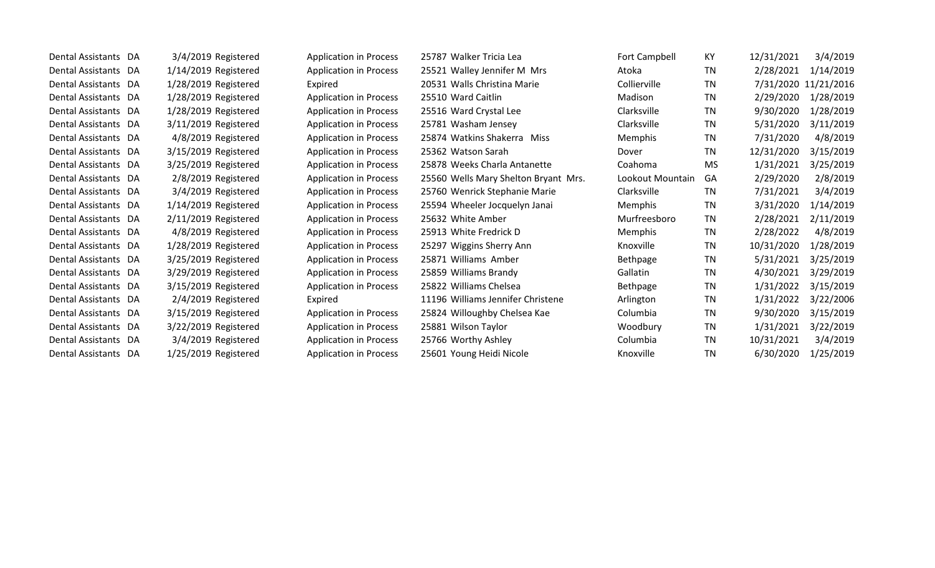| Dental Assistants DA | 3/4/2019 Registered  | <b>Application in Process</b> | 25787 Walker Tricia Lea              | Fort Campbell    | KY        | 12/31/2021 | 3/4/2019             |
|----------------------|----------------------|-------------------------------|--------------------------------------|------------------|-----------|------------|----------------------|
| Dental Assistants DA | 1/14/2019 Registered | <b>Application in Process</b> | 25521 Walley Jennifer M Mrs          | Atoka            | <b>TN</b> | 2/28/2021  | 1/14/2019            |
| Dental Assistants DA | 1/28/2019 Registered | Expired                       | 20531 Walls Christina Marie          | Collierville     | TN        |            | 7/31/2020 11/21/2016 |
| Dental Assistants DA | 1/28/2019 Registered | <b>Application in Process</b> | 25510 Ward Caitlin                   | Madison          | TN        | 2/29/2020  | 1/28/2019            |
| Dental Assistants DA | 1/28/2019 Registered | <b>Application in Process</b> | 25516 Ward Crystal Lee               | Clarksville      | <b>TN</b> | 9/30/2020  | 1/28/2019            |
| Dental Assistants DA | 3/11/2019 Registered | <b>Application in Process</b> | 25781 Washam Jensey                  | Clarksville      | TN        | 5/31/2020  | 3/11/2019            |
| Dental Assistants DA | 4/8/2019 Registered  | <b>Application in Process</b> | 25874 Watkins Shakerra Miss          | Memphis          | <b>TN</b> | 7/31/2020  | 4/8/2019             |
| Dental Assistants DA | 3/15/2019 Registered | <b>Application in Process</b> | 25362 Watson Sarah                   | Dover            | <b>TN</b> | 12/31/2020 | 3/15/2019            |
| Dental Assistants DA | 3/25/2019 Registered | <b>Application in Process</b> | 25878 Weeks Charla Antanette         | Coahoma          | <b>MS</b> | 1/31/2021  | 3/25/2019            |
| Dental Assistants DA | 2/8/2019 Registered  | <b>Application in Process</b> | 25560 Wells Mary Shelton Bryant Mrs. | Lookout Mountain | GA        | 2/29/2020  | 2/8/2019             |
| Dental Assistants DA | 3/4/2019 Registered  | <b>Application in Process</b> | 25760 Wenrick Stephanie Marie        | Clarksville      | TN        | 7/31/2021  | 3/4/2019             |
| Dental Assistants DA | 1/14/2019 Registered | <b>Application in Process</b> | 25594 Wheeler Jocquelyn Janai        | <b>Memphis</b>   | <b>TN</b> | 3/31/2020  | 1/14/2019            |
| Dental Assistants DA | 2/11/2019 Registered | <b>Application in Process</b> | 25632 White Amber                    | Murfreesboro     | <b>TN</b> | 2/28/2021  | 2/11/2019            |
| Dental Assistants DA | 4/8/2019 Registered  | <b>Application in Process</b> | 25913 White Fredrick D               | Memphis          | TN        | 2/28/2022  | 4/8/2019             |
| Dental Assistants DA | 1/28/2019 Registered | <b>Application in Process</b> | 25297 Wiggins Sherry Ann             | Knoxville        | TN        | 10/31/2020 | 1/28/2019            |
| Dental Assistants DA | 3/25/2019 Registered | <b>Application in Process</b> | 25871 Williams Amber                 | Bethpage         | <b>TN</b> | 5/31/2021  | 3/25/2019            |
| Dental Assistants DA | 3/29/2019 Registered | <b>Application in Process</b> | 25859 Williams Brandy                | Gallatin         | <b>TN</b> | 4/30/2021  | 3/29/2019            |
| Dental Assistants DA | 3/15/2019 Registered | <b>Application in Process</b> | 25822 Williams Chelsea               | Bethpage         | TN        | 1/31/2022  | 3/15/2019            |
| Dental Assistants DA | 2/4/2019 Registered  | Expired                       | 11196 Williams Jennifer Christene    | Arlington        | TN        | 1/31/2022  | 3/22/2006            |
| Dental Assistants DA | 3/15/2019 Registered | <b>Application in Process</b> | 25824 Willoughby Chelsea Kae         | Columbia         | TN        | 9/30/2020  | 3/15/2019            |
| Dental Assistants DA | 3/22/2019 Registered | <b>Application in Process</b> | 25881 Wilson Taylor                  | Woodbury         | TN        | 1/31/2021  | 3/22/2019            |
| Dental Assistants DA | 3/4/2019 Registered  | <b>Application in Process</b> | 25766 Worthy Ashley                  | Columbia         | TN        | 10/31/2021 | 3/4/2019             |
| Dental Assistants DA | 1/25/2019 Registered | <b>Application in Process</b> | 25601 Young Heidi Nicole             | Knoxville        | TN        | 6/30/2020  | 1/25/2019            |
|                      |                      |                               |                                      |                  |           |            |                      |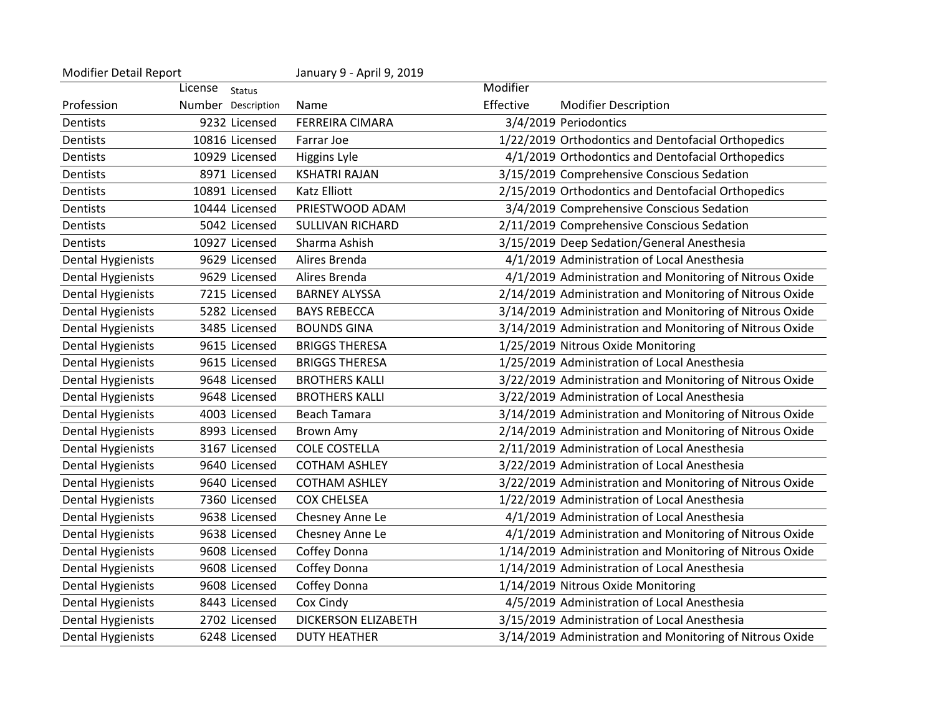| <b>Modifier Detail Report</b> |                          | January 9 - April 9, 2019 |           |                                                          |
|-------------------------------|--------------------------|---------------------------|-----------|----------------------------------------------------------|
|                               | License<br><b>Status</b> |                           | Modifier  |                                                          |
| Profession                    | Number Description       | Name                      | Effective | <b>Modifier Description</b>                              |
| Dentists                      | 9232 Licensed            | <b>FERREIRA CIMARA</b>    |           | 3/4/2019 Periodontics                                    |
| Dentists                      | 10816 Licensed           | Farrar Joe                |           | 1/22/2019 Orthodontics and Dentofacial Orthopedics       |
| Dentists                      | 10929 Licensed           | Higgins Lyle              |           | 4/1/2019 Orthodontics and Dentofacial Orthopedics        |
| Dentists                      | 8971 Licensed            | <b>KSHATRI RAJAN</b>      |           | 3/15/2019 Comprehensive Conscious Sedation               |
| Dentists                      | 10891 Licensed           | <b>Katz Elliott</b>       |           | 2/15/2019 Orthodontics and Dentofacial Orthopedics       |
| Dentists                      | 10444 Licensed           | PRIESTWOOD ADAM           |           | 3/4/2019 Comprehensive Conscious Sedation                |
| Dentists                      | 5042 Licensed            | <b>SULLIVAN RICHARD</b>   |           | 2/11/2019 Comprehensive Conscious Sedation               |
| Dentists                      | 10927 Licensed           | Sharma Ashish             |           | 3/15/2019 Deep Sedation/General Anesthesia               |
| <b>Dental Hygienists</b>      | 9629 Licensed            | Alires Brenda             |           | 4/1/2019 Administration of Local Anesthesia              |
| Dental Hygienists             | 9629 Licensed            | Alires Brenda             |           | 4/1/2019 Administration and Monitoring of Nitrous Oxide  |
| <b>Dental Hygienists</b>      | 7215 Licensed            | <b>BARNEY ALYSSA</b>      |           | 2/14/2019 Administration and Monitoring of Nitrous Oxide |
| <b>Dental Hygienists</b>      | 5282 Licensed            | <b>BAYS REBECCA</b>       |           | 3/14/2019 Administration and Monitoring of Nitrous Oxide |
| <b>Dental Hygienists</b>      | 3485 Licensed            | <b>BOUNDS GINA</b>        |           | 3/14/2019 Administration and Monitoring of Nitrous Oxide |
| <b>Dental Hygienists</b>      | 9615 Licensed            | <b>BRIGGS THERESA</b>     |           | 1/25/2019 Nitrous Oxide Monitoring                       |
| <b>Dental Hygienists</b>      | 9615 Licensed            | <b>BRIGGS THERESA</b>     |           | 1/25/2019 Administration of Local Anesthesia             |
| <b>Dental Hygienists</b>      | 9648 Licensed            | <b>BROTHERS KALLI</b>     |           | 3/22/2019 Administration and Monitoring of Nitrous Oxide |
| <b>Dental Hygienists</b>      | 9648 Licensed            | <b>BROTHERS KALLI</b>     |           | 3/22/2019 Administration of Local Anesthesia             |
| <b>Dental Hygienists</b>      | 4003 Licensed            | <b>Beach Tamara</b>       |           | 3/14/2019 Administration and Monitoring of Nitrous Oxide |
| <b>Dental Hygienists</b>      | 8993 Licensed            | <b>Brown Amy</b>          |           | 2/14/2019 Administration and Monitoring of Nitrous Oxide |
| <b>Dental Hygienists</b>      | 3167 Licensed            | <b>COLE COSTELLA</b>      |           | 2/11/2019 Administration of Local Anesthesia             |
| Dental Hygienists             | 9640 Licensed            | <b>COTHAM ASHLEY</b>      |           | 3/22/2019 Administration of Local Anesthesia             |
| <b>Dental Hygienists</b>      | 9640 Licensed            | <b>COTHAM ASHLEY</b>      |           | 3/22/2019 Administration and Monitoring of Nitrous Oxide |
| <b>Dental Hygienists</b>      | 7360 Licensed            | <b>COX CHELSEA</b>        |           | 1/22/2019 Administration of Local Anesthesia             |
| <b>Dental Hygienists</b>      | 9638 Licensed            | Chesney Anne Le           |           | 4/1/2019 Administration of Local Anesthesia              |
| <b>Dental Hygienists</b>      | 9638 Licensed            | Chesney Anne Le           |           | 4/1/2019 Administration and Monitoring of Nitrous Oxide  |
| <b>Dental Hygienists</b>      | 9608 Licensed            | Coffey Donna              |           | 1/14/2019 Administration and Monitoring of Nitrous Oxide |
| <b>Dental Hygienists</b>      | 9608 Licensed            | Coffey Donna              |           | 1/14/2019 Administration of Local Anesthesia             |
| <b>Dental Hygienists</b>      | 9608 Licensed            | Coffey Donna              |           | 1/14/2019 Nitrous Oxide Monitoring                       |
| <b>Dental Hygienists</b>      | 8443 Licensed            | Cox Cindy                 |           | 4/5/2019 Administration of Local Anesthesia              |
| <b>Dental Hygienists</b>      | 2702 Licensed            | DICKERSON ELIZABETH       |           | 3/15/2019 Administration of Local Anesthesia             |
| <b>Dental Hygienists</b>      | 6248 Licensed            | <b>DUTY HEATHER</b>       |           | 3/14/2019 Administration and Monitoring of Nitrous Oxide |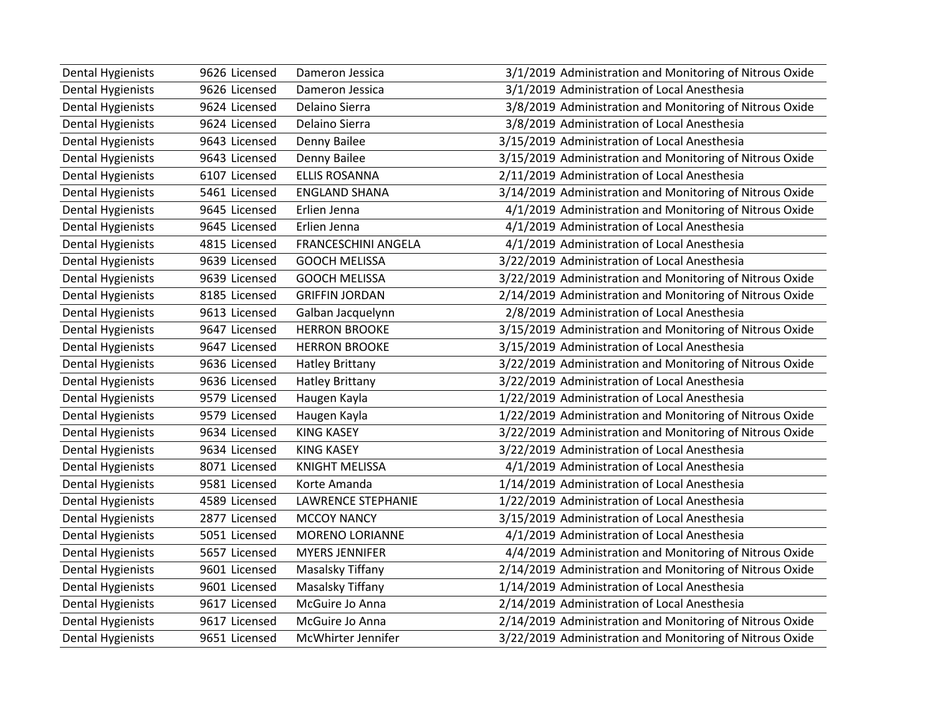| <b>Dental Hygienists</b> | 9626 Licensed | Dameron Jessica            | 3/1/2019 Administration and Monitoring of Nitrous Oxide  |
|--------------------------|---------------|----------------------------|----------------------------------------------------------|
| <b>Dental Hygienists</b> | 9626 Licensed | Dameron Jessica            | 3/1/2019 Administration of Local Anesthesia              |
| <b>Dental Hygienists</b> | 9624 Licensed | Delaino Sierra             | 3/8/2019 Administration and Monitoring of Nitrous Oxide  |
| <b>Dental Hygienists</b> | 9624 Licensed | Delaino Sierra             | 3/8/2019 Administration of Local Anesthesia              |
| <b>Dental Hygienists</b> | 9643 Licensed | Denny Bailee               | 3/15/2019 Administration of Local Anesthesia             |
| <b>Dental Hygienists</b> | 9643 Licensed | Denny Bailee               | 3/15/2019 Administration and Monitoring of Nitrous Oxide |
| <b>Dental Hygienists</b> | 6107 Licensed | <b>ELLIS ROSANNA</b>       | 2/11/2019 Administration of Local Anesthesia             |
| Dental Hygienists        | 5461 Licensed | <b>ENGLAND SHANA</b>       | 3/14/2019 Administration and Monitoring of Nitrous Oxide |
| <b>Dental Hygienists</b> | 9645 Licensed | Erlien Jenna               | 4/1/2019 Administration and Monitoring of Nitrous Oxide  |
| <b>Dental Hygienists</b> | 9645 Licensed | Erlien Jenna               | 4/1/2019 Administration of Local Anesthesia              |
| <b>Dental Hygienists</b> | 4815 Licensed | <b>FRANCESCHINI ANGELA</b> | 4/1/2019 Administration of Local Anesthesia              |
| <b>Dental Hygienists</b> | 9639 Licensed | <b>GOOCH MELISSA</b>       | 3/22/2019 Administration of Local Anesthesia             |
| <b>Dental Hygienists</b> | 9639 Licensed | <b>GOOCH MELISSA</b>       | 3/22/2019 Administration and Monitoring of Nitrous Oxide |
| <b>Dental Hygienists</b> | 8185 Licensed | <b>GRIFFIN JORDAN</b>      | 2/14/2019 Administration and Monitoring of Nitrous Oxide |
| <b>Dental Hygienists</b> | 9613 Licensed | Galban Jacquelynn          | 2/8/2019 Administration of Local Anesthesia              |
| <b>Dental Hygienists</b> | 9647 Licensed | <b>HERRON BROOKE</b>       | 3/15/2019 Administration and Monitoring of Nitrous Oxide |
| <b>Dental Hygienists</b> | 9647 Licensed | <b>HERRON BROOKE</b>       | 3/15/2019 Administration of Local Anesthesia             |
| <b>Dental Hygienists</b> | 9636 Licensed | <b>Hatley Brittany</b>     | 3/22/2019 Administration and Monitoring of Nitrous Oxide |
| <b>Dental Hygienists</b> | 9636 Licensed | <b>Hatley Brittany</b>     | 3/22/2019 Administration of Local Anesthesia             |
| <b>Dental Hygienists</b> | 9579 Licensed | Haugen Kayla               | 1/22/2019 Administration of Local Anesthesia             |
| <b>Dental Hygienists</b> | 9579 Licensed | Haugen Kayla               | 1/22/2019 Administration and Monitoring of Nitrous Oxide |
| <b>Dental Hygienists</b> | 9634 Licensed | <b>KING KASEY</b>          | 3/22/2019 Administration and Monitoring of Nitrous Oxide |
| <b>Dental Hygienists</b> | 9634 Licensed | <b>KING KASEY</b>          | 3/22/2019 Administration of Local Anesthesia             |
| <b>Dental Hygienists</b> | 8071 Licensed | <b>KNIGHT MELISSA</b>      | 4/1/2019 Administration of Local Anesthesia              |
| <b>Dental Hygienists</b> | 9581 Licensed | Korte Amanda               | 1/14/2019 Administration of Local Anesthesia             |
| <b>Dental Hygienists</b> | 4589 Licensed | <b>LAWRENCE STEPHANIE</b>  | 1/22/2019 Administration of Local Anesthesia             |
| <b>Dental Hygienists</b> | 2877 Licensed | <b>MCCOY NANCY</b>         | 3/15/2019 Administration of Local Anesthesia             |
| <b>Dental Hygienists</b> | 5051 Licensed | <b>MORENO LORIANNE</b>     | 4/1/2019 Administration of Local Anesthesia              |
| <b>Dental Hygienists</b> | 5657 Licensed | <b>MYERS JENNIFER</b>      | 4/4/2019 Administration and Monitoring of Nitrous Oxide  |
| <b>Dental Hygienists</b> | 9601 Licensed | Masalsky Tiffany           | 2/14/2019 Administration and Monitoring of Nitrous Oxide |
| <b>Dental Hygienists</b> | 9601 Licensed | Masalsky Tiffany           | 1/14/2019 Administration of Local Anesthesia             |
| <b>Dental Hygienists</b> | 9617 Licensed | McGuire Jo Anna            | 2/14/2019 Administration of Local Anesthesia             |
| <b>Dental Hygienists</b> | 9617 Licensed | McGuire Jo Anna            | 2/14/2019 Administration and Monitoring of Nitrous Oxide |
| <b>Dental Hygienists</b> | 9651 Licensed | McWhirter Jennifer         | 3/22/2019 Administration and Monitoring of Nitrous Oxide |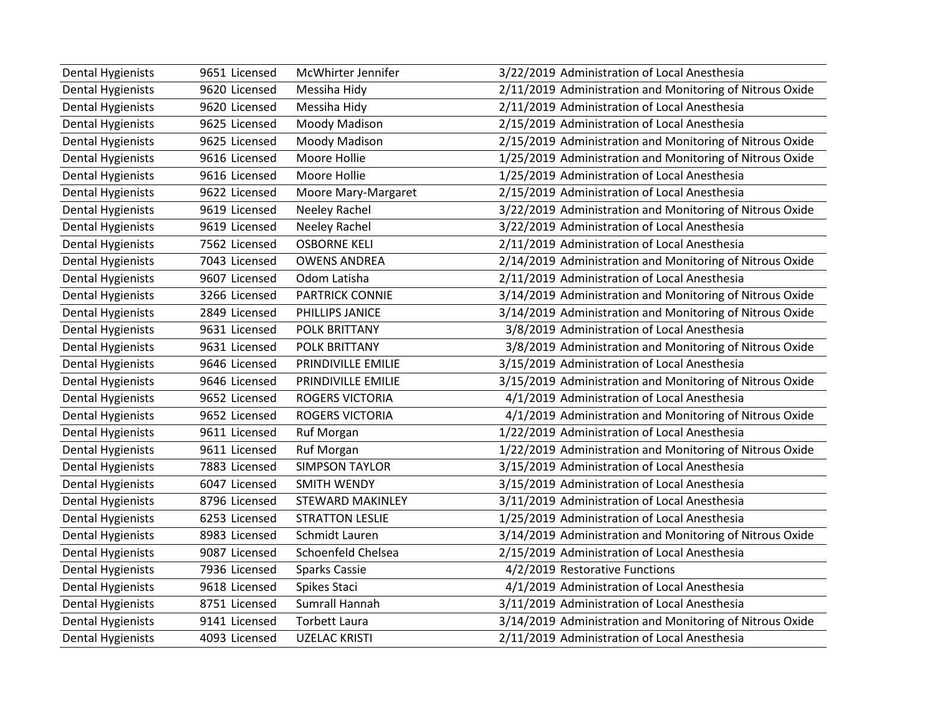| <b>Dental Hygienists</b> | 9651 Licensed | McWhirter Jennifer      | 3/22/2019 Administration of Local Anesthesia             |
|--------------------------|---------------|-------------------------|----------------------------------------------------------|
| <b>Dental Hygienists</b> | 9620 Licensed | Messiha Hidy            | 2/11/2019 Administration and Monitoring of Nitrous Oxide |
| <b>Dental Hygienists</b> | 9620 Licensed | Messiha Hidy            | 2/11/2019 Administration of Local Anesthesia             |
| <b>Dental Hygienists</b> | 9625 Licensed | Moody Madison           | 2/15/2019 Administration of Local Anesthesia             |
| <b>Dental Hygienists</b> | 9625 Licensed | Moody Madison           | 2/15/2019 Administration and Monitoring of Nitrous Oxide |
| <b>Dental Hygienists</b> | 9616 Licensed | Moore Hollie            | 1/25/2019 Administration and Monitoring of Nitrous Oxide |
| <b>Dental Hygienists</b> | 9616 Licensed | Moore Hollie            | 1/25/2019 Administration of Local Anesthesia             |
| <b>Dental Hygienists</b> | 9622 Licensed | Moore Mary-Margaret     | 2/15/2019 Administration of Local Anesthesia             |
| <b>Dental Hygienists</b> | 9619 Licensed | <b>Neeley Rachel</b>    | 3/22/2019 Administration and Monitoring of Nitrous Oxide |
| <b>Dental Hygienists</b> | 9619 Licensed | Neeley Rachel           | 3/22/2019 Administration of Local Anesthesia             |
| <b>Dental Hygienists</b> | 7562 Licensed | <b>OSBORNE KELI</b>     | 2/11/2019 Administration of Local Anesthesia             |
| <b>Dental Hygienists</b> | 7043 Licensed | <b>OWENS ANDREA</b>     | 2/14/2019 Administration and Monitoring of Nitrous Oxide |
| <b>Dental Hygienists</b> | 9607 Licensed | Odom Latisha            | 2/11/2019 Administration of Local Anesthesia             |
| Dental Hygienists        | 3266 Licensed | <b>PARTRICK CONNIE</b>  | 3/14/2019 Administration and Monitoring of Nitrous Oxide |
| <b>Dental Hygienists</b> | 2849 Licensed | PHILLIPS JANICE         | 3/14/2019 Administration and Monitoring of Nitrous Oxide |
| <b>Dental Hygienists</b> | 9631 Licensed | POLK BRITTANY           | 3/8/2019 Administration of Local Anesthesia              |
| <b>Dental Hygienists</b> | 9631 Licensed | <b>POLK BRITTANY</b>    | 3/8/2019 Administration and Monitoring of Nitrous Oxide  |
| <b>Dental Hygienists</b> | 9646 Licensed | PRINDIVILLE EMILIE      | 3/15/2019 Administration of Local Anesthesia             |
| <b>Dental Hygienists</b> | 9646 Licensed | PRINDIVILLE EMILIE      | 3/15/2019 Administration and Monitoring of Nitrous Oxide |
| <b>Dental Hygienists</b> | 9652 Licensed | ROGERS VICTORIA         | 4/1/2019 Administration of Local Anesthesia              |
| <b>Dental Hygienists</b> | 9652 Licensed | <b>ROGERS VICTORIA</b>  | 4/1/2019 Administration and Monitoring of Nitrous Oxide  |
| <b>Dental Hygienists</b> | 9611 Licensed | <b>Ruf Morgan</b>       | 1/22/2019 Administration of Local Anesthesia             |
| <b>Dental Hygienists</b> | 9611 Licensed | Ruf Morgan              | 1/22/2019 Administration and Monitoring of Nitrous Oxide |
| <b>Dental Hygienists</b> | 7883 Licensed | <b>SIMPSON TAYLOR</b>   | 3/15/2019 Administration of Local Anesthesia             |
| <b>Dental Hygienists</b> | 6047 Licensed | <b>SMITH WENDY</b>      | 3/15/2019 Administration of Local Anesthesia             |
| <b>Dental Hygienists</b> | 8796 Licensed | <b>STEWARD MAKINLEY</b> | 3/11/2019 Administration of Local Anesthesia             |
| <b>Dental Hygienists</b> | 6253 Licensed | <b>STRATTON LESLIE</b>  | 1/25/2019 Administration of Local Anesthesia             |
| <b>Dental Hygienists</b> | 8983 Licensed | Schmidt Lauren          | 3/14/2019 Administration and Monitoring of Nitrous Oxide |
| <b>Dental Hygienists</b> | 9087 Licensed | Schoenfeld Chelsea      | 2/15/2019 Administration of Local Anesthesia             |
| <b>Dental Hygienists</b> | 7936 Licensed | <b>Sparks Cassie</b>    | 4/2/2019 Restorative Functions                           |
| <b>Dental Hygienists</b> | 9618 Licensed | Spikes Staci            | 4/1/2019 Administration of Local Anesthesia              |
| <b>Dental Hygienists</b> | 8751 Licensed | Sumrall Hannah          | 3/11/2019 Administration of Local Anesthesia             |
| <b>Dental Hygienists</b> | 9141 Licensed | <b>Torbett Laura</b>    | 3/14/2019 Administration and Monitoring of Nitrous Oxide |
| <b>Dental Hygienists</b> | 4093 Licensed | <b>UZELAC KRISTI</b>    | 2/11/2019 Administration of Local Anesthesia             |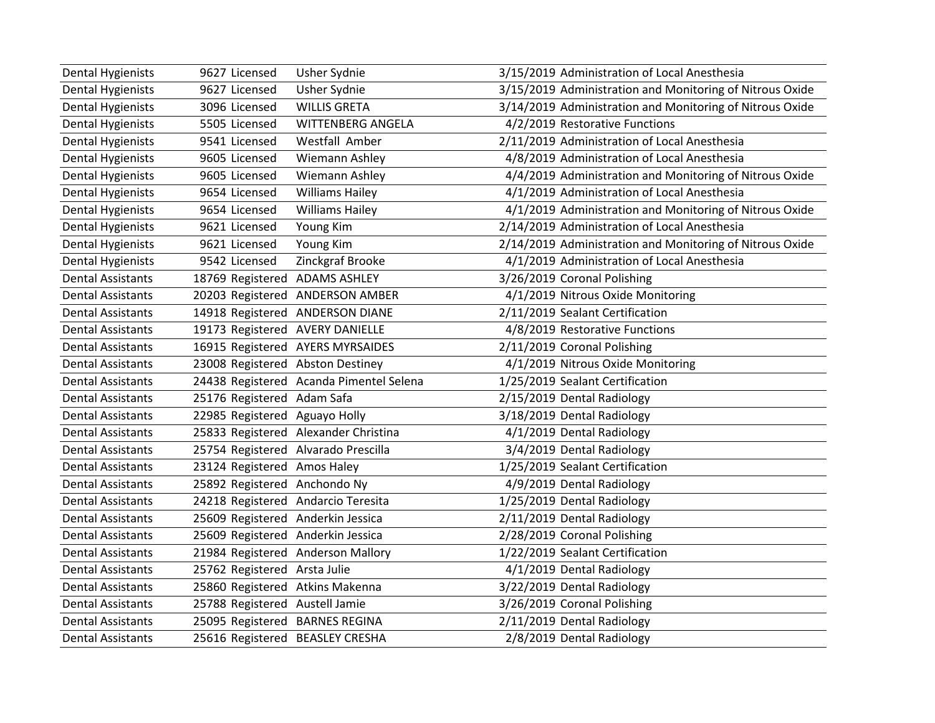| <b>Dental Hygienists</b> | 9627 Licensed                       | Usher Sydnie                            | 3/15/2019 Administration of Local Anesthesia             |
|--------------------------|-------------------------------------|-----------------------------------------|----------------------------------------------------------|
| <b>Dental Hygienists</b> | 9627 Licensed                       | Usher Sydnie                            | 3/15/2019 Administration and Monitoring of Nitrous Oxide |
| <b>Dental Hygienists</b> | 3096 Licensed                       | <b>WILLIS GRETA</b>                     | 3/14/2019 Administration and Monitoring of Nitrous Oxide |
| <b>Dental Hygienists</b> | 5505 Licensed                       | <b>WITTENBERG ANGELA</b>                | 4/2/2019 Restorative Functions                           |
| <b>Dental Hygienists</b> | 9541 Licensed                       | Westfall Amber                          | 2/11/2019 Administration of Local Anesthesia             |
| <b>Dental Hygienists</b> | 9605 Licensed                       | Wiemann Ashley                          | 4/8/2019 Administration of Local Anesthesia              |
| <b>Dental Hygienists</b> | 9605 Licensed                       | Wiemann Ashley                          | 4/4/2019 Administration and Monitoring of Nitrous Oxide  |
| <b>Dental Hygienists</b> | 9654 Licensed                       | <b>Williams Hailey</b>                  | 4/1/2019 Administration of Local Anesthesia              |
| <b>Dental Hygienists</b> | 9654 Licensed                       | <b>Williams Hailey</b>                  | 4/1/2019 Administration and Monitoring of Nitrous Oxide  |
| <b>Dental Hygienists</b> | 9621 Licensed                       | Young Kim                               | 2/14/2019 Administration of Local Anesthesia             |
| <b>Dental Hygienists</b> | 9621 Licensed                       | Young Kim                               | 2/14/2019 Administration and Monitoring of Nitrous Oxide |
| <b>Dental Hygienists</b> | 9542 Licensed                       | Zinckgraf Brooke                        | 4/1/2019 Administration of Local Anesthesia              |
| <b>Dental Assistants</b> | 18769 Registered ADAMS ASHLEY       |                                         | 3/26/2019 Coronal Polishing                              |
| <b>Dental Assistants</b> |                                     | 20203 Registered ANDERSON AMBER         | 4/1/2019 Nitrous Oxide Monitoring                        |
| <b>Dental Assistants</b> |                                     | 14918 Registered ANDERSON DIANE         | 2/11/2019 Sealant Certification                          |
| <b>Dental Assistants</b> | 19173 Registered AVERY DANIELLE     |                                         | 4/8/2019 Restorative Functions                           |
| <b>Dental Assistants</b> |                                     | 16915 Registered AYERS MYRSAIDES        | 2/11/2019 Coronal Polishing                              |
| <b>Dental Assistants</b> | 23008 Registered Abston Destiney    |                                         | 4/1/2019 Nitrous Oxide Monitoring                        |
| <b>Dental Assistants</b> |                                     | 24438 Registered Acanda Pimentel Selena | 1/25/2019 Sealant Certification                          |
| <b>Dental Assistants</b> | 25176 Registered Adam Safa          |                                         | 2/15/2019 Dental Radiology                               |
| <b>Dental Assistants</b> | 22985 Registered Aguayo Holly       |                                         | 3/18/2019 Dental Radiology                               |
| <b>Dental Assistants</b> |                                     | 25833 Registered Alexander Christina    | 4/1/2019 Dental Radiology                                |
| <b>Dental Assistants</b> | 25754 Registered Alvarado Prescilla |                                         | 3/4/2019 Dental Radiology                                |
| <b>Dental Assistants</b> | 23124 Registered Amos Haley         |                                         | 1/25/2019 Sealant Certification                          |
| <b>Dental Assistants</b> | 25892 Registered Anchondo Ny        |                                         | 4/9/2019 Dental Radiology                                |
| <b>Dental Assistants</b> | 24218 Registered Andarcio Teresita  |                                         | 1/25/2019 Dental Radiology                               |
| <b>Dental Assistants</b> | 25609 Registered Anderkin Jessica   |                                         | 2/11/2019 Dental Radiology                               |
| <b>Dental Assistants</b> | 25609 Registered Anderkin Jessica   |                                         | 2/28/2019 Coronal Polishing                              |
| <b>Dental Assistants</b> | 21984 Registered Anderson Mallory   |                                         | 1/22/2019 Sealant Certification                          |
| <b>Dental Assistants</b> | 25762 Registered Arsta Julie        |                                         | 4/1/2019 Dental Radiology                                |
| <b>Dental Assistants</b> | 25860 Registered Atkins Makenna     |                                         | 3/22/2019 Dental Radiology                               |
| <b>Dental Assistants</b> | 25788 Registered Austell Jamie      |                                         | 3/26/2019 Coronal Polishing                              |
| <b>Dental Assistants</b> | 25095 Registered BARNES REGINA      |                                         | 2/11/2019 Dental Radiology                               |
| <b>Dental Assistants</b> | 25616 Registered BEASLEY CRESHA     |                                         | 2/8/2019 Dental Radiology                                |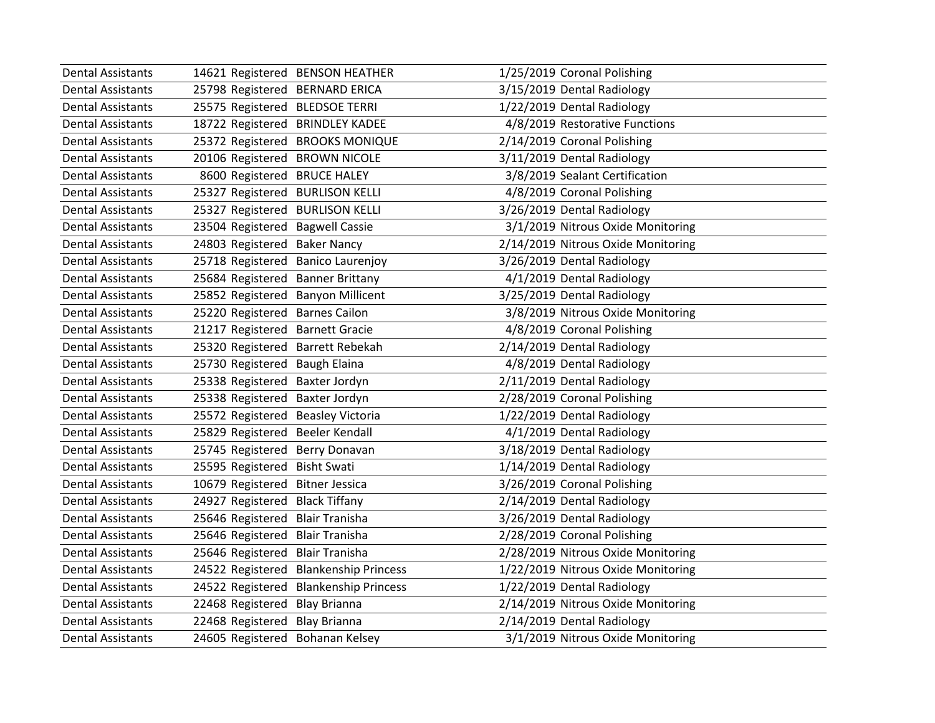| <b>Dental Assistants</b> | 14621 Registered BENSON HEATHER   |                                       | 1/25/2019 Coronal Polishing        |
|--------------------------|-----------------------------------|---------------------------------------|------------------------------------|
| <b>Dental Assistants</b> | 25798 Registered BERNARD ERICA    |                                       | 3/15/2019 Dental Radiology         |
| <b>Dental Assistants</b> | 25575 Registered BLEDSOE TERRI    |                                       | 1/22/2019 Dental Radiology         |
| <b>Dental Assistants</b> | 18722 Registered BRINDLEY KADEE   |                                       | 4/8/2019 Restorative Functions     |
| <b>Dental Assistants</b> |                                   | 25372 Registered BROOKS MONIQUE       | 2/14/2019 Coronal Polishing        |
| <b>Dental Assistants</b> | 20106 Registered BROWN NICOLE     |                                       | 3/11/2019 Dental Radiology         |
| <b>Dental Assistants</b> | 8600 Registered                   | <b>BRUCE HALEY</b>                    | 3/8/2019 Sealant Certification     |
| <b>Dental Assistants</b> | 25327 Registered BURLISON KELLI   |                                       | 4/8/2019 Coronal Polishing         |
| <b>Dental Assistants</b> | 25327 Registered BURLISON KELLI   |                                       | 3/26/2019 Dental Radiology         |
| <b>Dental Assistants</b> | 23504 Registered Bagwell Cassie   |                                       | 3/1/2019 Nitrous Oxide Monitoring  |
| <b>Dental Assistants</b> | 24803 Registered Baker Nancy      |                                       | 2/14/2019 Nitrous Oxide Monitoring |
| <b>Dental Assistants</b> | 25718 Registered Banico Laurenjoy |                                       | 3/26/2019 Dental Radiology         |
| <b>Dental Assistants</b> | 25684 Registered Banner Brittany  |                                       | 4/1/2019 Dental Radiology          |
| <b>Dental Assistants</b> | 25852 Registered Banyon Millicent |                                       | 3/25/2019 Dental Radiology         |
| <b>Dental Assistants</b> | 25220 Registered Barnes Cailon    |                                       | 3/8/2019 Nitrous Oxide Monitoring  |
| <b>Dental Assistants</b> | 21217 Registered Barnett Gracie   |                                       | 4/8/2019 Coronal Polishing         |
| <b>Dental Assistants</b> | 25320 Registered Barrett Rebekah  |                                       | 2/14/2019 Dental Radiology         |
| <b>Dental Assistants</b> | 25730 Registered Baugh Elaina     |                                       | 4/8/2019 Dental Radiology          |
| <b>Dental Assistants</b> | 25338 Registered Baxter Jordyn    |                                       | 2/11/2019 Dental Radiology         |
| <b>Dental Assistants</b> | 25338 Registered Baxter Jordyn    |                                       | 2/28/2019 Coronal Polishing        |
| <b>Dental Assistants</b> | 25572 Registered Beasley Victoria |                                       | 1/22/2019 Dental Radiology         |
| <b>Dental Assistants</b> | 25829 Registered Beeler Kendall   |                                       | 4/1/2019 Dental Radiology          |
| <b>Dental Assistants</b> | 25745 Registered Berry Donavan    |                                       | 3/18/2019 Dental Radiology         |
| <b>Dental Assistants</b> | 25595 Registered Bisht Swati      |                                       | 1/14/2019 Dental Radiology         |
| <b>Dental Assistants</b> | 10679 Registered                  | <b>Bitner Jessica</b>                 | 3/26/2019 Coronal Polishing        |
| <b>Dental Assistants</b> | 24927 Registered Black Tiffany    |                                       | 2/14/2019 Dental Radiology         |
| <b>Dental Assistants</b> | 25646 Registered                  | <b>Blair Tranisha</b>                 | 3/26/2019 Dental Radiology         |
| <b>Dental Assistants</b> | 25646 Registered Blair Tranisha   |                                       | 2/28/2019 Coronal Polishing        |
| <b>Dental Assistants</b> | 25646 Registered Blair Tranisha   |                                       | 2/28/2019 Nitrous Oxide Monitoring |
| <b>Dental Assistants</b> |                                   | 24522 Registered Blankenship Princess | 1/22/2019 Nitrous Oxide Monitoring |
| <b>Dental Assistants</b> |                                   | 24522 Registered Blankenship Princess | 1/22/2019 Dental Radiology         |
| <b>Dental Assistants</b> | 22468 Registered Blay Brianna     |                                       | 2/14/2019 Nitrous Oxide Monitoring |
| <b>Dental Assistants</b> | 22468 Registered Blay Brianna     |                                       | 2/14/2019 Dental Radiology         |
| <b>Dental Assistants</b> | 24605 Registered Bohanan Kelsey   |                                       | 3/1/2019 Nitrous Oxide Monitoring  |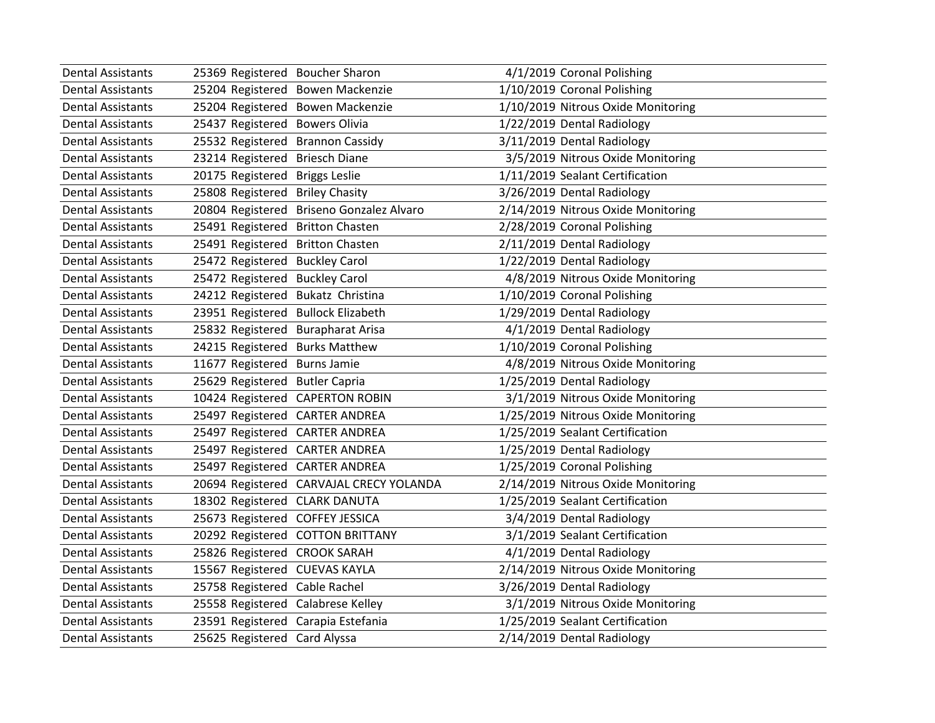| <b>Dental Assistants</b> | 25369 Registered Boucher Sharon    |                                         | 4/1/2019 Coronal Polishing         |
|--------------------------|------------------------------------|-----------------------------------------|------------------------------------|
| <b>Dental Assistants</b> | 25204 Registered                   | <b>Bowen Mackenzie</b>                  | 1/10/2019 Coronal Polishing        |
| <b>Dental Assistants</b> | 25204 Registered Bowen Mackenzie   |                                         | 1/10/2019 Nitrous Oxide Monitoring |
| <b>Dental Assistants</b> | 25437 Registered Bowers Olivia     |                                         | 1/22/2019 Dental Radiology         |
| <b>Dental Assistants</b> | 25532 Registered                   | <b>Brannon Cassidy</b>                  | 3/11/2019 Dental Radiology         |
| <b>Dental Assistants</b> | 23214 Registered                   | <b>Briesch Diane</b>                    | 3/5/2019 Nitrous Oxide Monitoring  |
| Dental Assistants        | 20175 Registered                   | <b>Briggs Leslie</b>                    | 1/11/2019 Sealant Certification    |
| <b>Dental Assistants</b> | 25808 Registered                   | <b>Briley Chasity</b>                   | 3/26/2019 Dental Radiology         |
| <b>Dental Assistants</b> | 20804 Registered                   | Briseno Gonzalez Alvaro                 | 2/14/2019 Nitrous Oxide Monitoring |
| <b>Dental Assistants</b> | 25491 Registered Britton Chasten   |                                         | 2/28/2019 Coronal Polishing        |
| <b>Dental Assistants</b> | 25491 Registered                   | <b>Britton Chasten</b>                  | 2/11/2019 Dental Radiology         |
| <b>Dental Assistants</b> | 25472 Registered                   | <b>Buckley Carol</b>                    | 1/22/2019 Dental Radiology         |
| <b>Dental Assistants</b> | 25472 Registered                   | <b>Buckley Carol</b>                    | 4/8/2019 Nitrous Oxide Monitoring  |
| Dental Assistants        | 24212 Registered Bukatz Christina  |                                         | 1/10/2019 Coronal Polishing        |
| <b>Dental Assistants</b> | 23951 Registered Bullock Elizabeth |                                         | 1/29/2019 Dental Radiology         |
| <b>Dental Assistants</b> | 25832 Registered                   | <b>Burapharat Arisa</b>                 | 4/1/2019 Dental Radiology          |
| <b>Dental Assistants</b> | 24215 Registered                   | <b>Burks Matthew</b>                    | 1/10/2019 Coronal Polishing        |
| <b>Dental Assistants</b> | 11677 Registered                   | <b>Burns Jamie</b>                      | 4/8/2019 Nitrous Oxide Monitoring  |
| <b>Dental Assistants</b> | 25629 Registered Butler Capria     |                                         | 1/25/2019 Dental Radiology         |
| <b>Dental Assistants</b> | 10424 Registered CAPERTON ROBIN    |                                         | 3/1/2019 Nitrous Oxide Monitoring  |
| <b>Dental Assistants</b> | 25497 Registered CARTER ANDREA     |                                         | 1/25/2019 Nitrous Oxide Monitoring |
| <b>Dental Assistants</b> | 25497 Registered CARTER ANDREA     |                                         | 1/25/2019 Sealant Certification    |
| <b>Dental Assistants</b> | 25497 Registered CARTER ANDREA     |                                         | 1/25/2019 Dental Radiology         |
| <b>Dental Assistants</b> | 25497 Registered CARTER ANDREA     |                                         | 1/25/2019 Coronal Polishing        |
| <b>Dental Assistants</b> |                                    | 20694 Registered CARVAJAL CRECY YOLANDA | 2/14/2019 Nitrous Oxide Monitoring |
| <b>Dental Assistants</b> | 18302 Registered CLARK DANUTA      |                                         | 1/25/2019 Sealant Certification    |
| <b>Dental Assistants</b> | 25673 Registered COFFEY JESSICA    |                                         | 3/4/2019 Dental Radiology          |
| <b>Dental Assistants</b> | 20292 Registered COTTON BRITTANY   |                                         | 3/1/2019 Sealant Certification     |
| <b>Dental Assistants</b> | 25826 Registered CROOK SARAH       |                                         | 4/1/2019 Dental Radiology          |
| <b>Dental Assistants</b> | 15567 Registered CUEVAS KAYLA      |                                         | 2/14/2019 Nitrous Oxide Monitoring |
| <b>Dental Assistants</b> | 25758 Registered Cable Rachel      |                                         | 3/26/2019 Dental Radiology         |
| <b>Dental Assistants</b> | 25558 Registered Calabrese Kelley  |                                         | 3/1/2019 Nitrous Oxide Monitoring  |
| <b>Dental Assistants</b> | 23591 Registered Carapia Estefania |                                         | 1/25/2019 Sealant Certification    |
| Dental Assistants        | 25625 Registered Card Alyssa       |                                         | 2/14/2019 Dental Radiology         |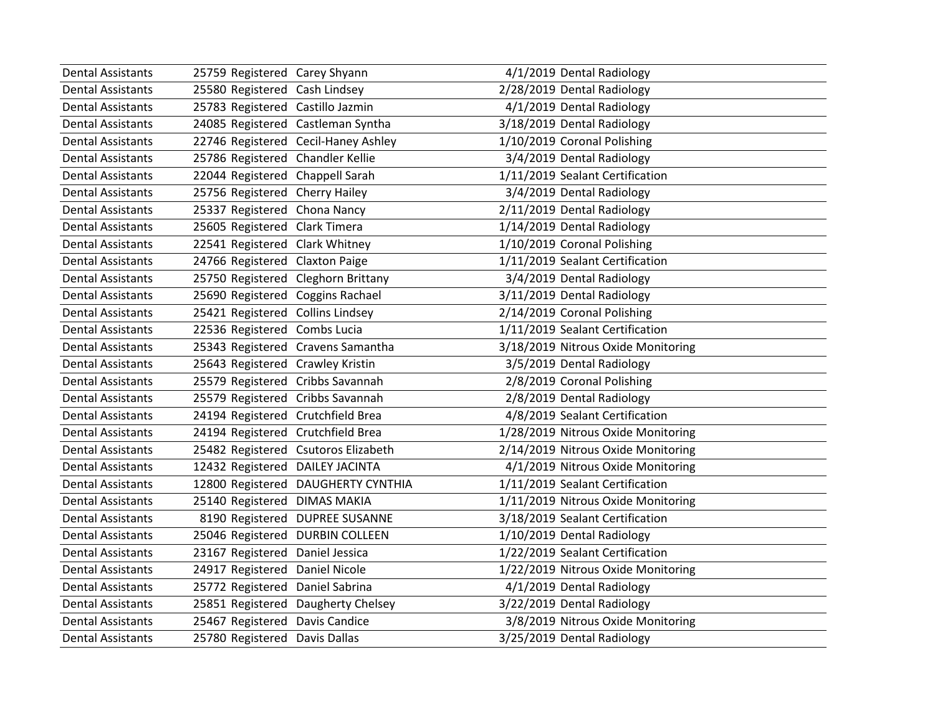| <b>Dental Assistants</b> | 25759 Registered Carey Shyann      |                                     | 4/1/2019 Dental Radiology          |
|--------------------------|------------------------------------|-------------------------------------|------------------------------------|
| <b>Dental Assistants</b> | 25580 Registered Cash Lindsey      |                                     | 2/28/2019 Dental Radiology         |
| <b>Dental Assistants</b> | 25783 Registered Castillo Jazmin   |                                     | 4/1/2019 Dental Radiology          |
| <b>Dental Assistants</b> | 24085 Registered Castleman Syntha  |                                     | 3/18/2019 Dental Radiology         |
| <b>Dental Assistants</b> |                                    | 22746 Registered Cecil-Haney Ashley | 1/10/2019 Coronal Polishing        |
| <b>Dental Assistants</b> | 25786 Registered Chandler Kellie   |                                     | 3/4/2019 Dental Radiology          |
| <b>Dental Assistants</b> | 22044 Registered Chappell Sarah    |                                     | 1/11/2019 Sealant Certification    |
| <b>Dental Assistants</b> | 25756 Registered Cherry Hailey     |                                     | 3/4/2019 Dental Radiology          |
| <b>Dental Assistants</b> | 25337 Registered Chona Nancy       |                                     | 2/11/2019 Dental Radiology         |
| <b>Dental Assistants</b> | 25605 Registered Clark Timera      |                                     | 1/14/2019 Dental Radiology         |
| <b>Dental Assistants</b> | 22541 Registered Clark Whitney     |                                     | 1/10/2019 Coronal Polishing        |
| <b>Dental Assistants</b> | 24766 Registered Claxton Paige     |                                     | 1/11/2019 Sealant Certification    |
| <b>Dental Assistants</b> | 25750 Registered Cleghorn Brittany |                                     | 3/4/2019 Dental Radiology          |
| <b>Dental Assistants</b> | 25690 Registered Coggins Rachael   |                                     | 3/11/2019 Dental Radiology         |
| <b>Dental Assistants</b> | 25421 Registered Collins Lindsey   |                                     | 2/14/2019 Coronal Polishing        |
| <b>Dental Assistants</b> | 22536 Registered Combs Lucia       |                                     | 1/11/2019 Sealant Certification    |
| <b>Dental Assistants</b> |                                    | 25343 Registered Cravens Samantha   | 3/18/2019 Nitrous Oxide Monitoring |
| <b>Dental Assistants</b> | 25643 Registered Crawley Kristin   |                                     | 3/5/2019 Dental Radiology          |
| <b>Dental Assistants</b> | 25579 Registered Cribbs Savannah   |                                     | 2/8/2019 Coronal Polishing         |
| <b>Dental Assistants</b> | 25579 Registered Cribbs Savannah   |                                     | 2/8/2019 Dental Radiology          |
| <b>Dental Assistants</b> | 24194 Registered Crutchfield Brea  |                                     | 4/8/2019 Sealant Certification     |
| <b>Dental Assistants</b> | 24194 Registered Crutchfield Brea  |                                     | 1/28/2019 Nitrous Oxide Monitoring |
| <b>Dental Assistants</b> |                                    | 25482 Registered Csutoros Elizabeth | 2/14/2019 Nitrous Oxide Monitoring |
| <b>Dental Assistants</b> | 12432 Registered DAILEY JACINTA    |                                     | 4/1/2019 Nitrous Oxide Monitoring  |
| <b>Dental Assistants</b> |                                    | 12800 Registered DAUGHERTY CYNTHIA  | 1/11/2019 Sealant Certification    |
| <b>Dental Assistants</b> | 25140 Registered DIMAS MAKIA       |                                     | 1/11/2019 Nitrous Oxide Monitoring |
| <b>Dental Assistants</b> | 8190 Registered                    | <b>DUPREE SUSANNE</b>               | 3/18/2019 Sealant Certification    |
| <b>Dental Assistants</b> | 25046 Registered DURBIN COLLEEN    |                                     | 1/10/2019 Dental Radiology         |
| <b>Dental Assistants</b> | 23167 Registered Daniel Jessica    |                                     | 1/22/2019 Sealant Certification    |
| <b>Dental Assistants</b> | 24917 Registered Daniel Nicole     |                                     | 1/22/2019 Nitrous Oxide Monitoring |
| <b>Dental Assistants</b> | 25772 Registered Daniel Sabrina    |                                     | 4/1/2019 Dental Radiology          |
| <b>Dental Assistants</b> |                                    | 25851 Registered Daugherty Chelsey  | 3/22/2019 Dental Radiology         |
| <b>Dental Assistants</b> | 25467 Registered Davis Candice     |                                     | 3/8/2019 Nitrous Oxide Monitoring  |
| Dental Assistants        | 25780 Registered Davis Dallas      |                                     | 3/25/2019 Dental Radiology         |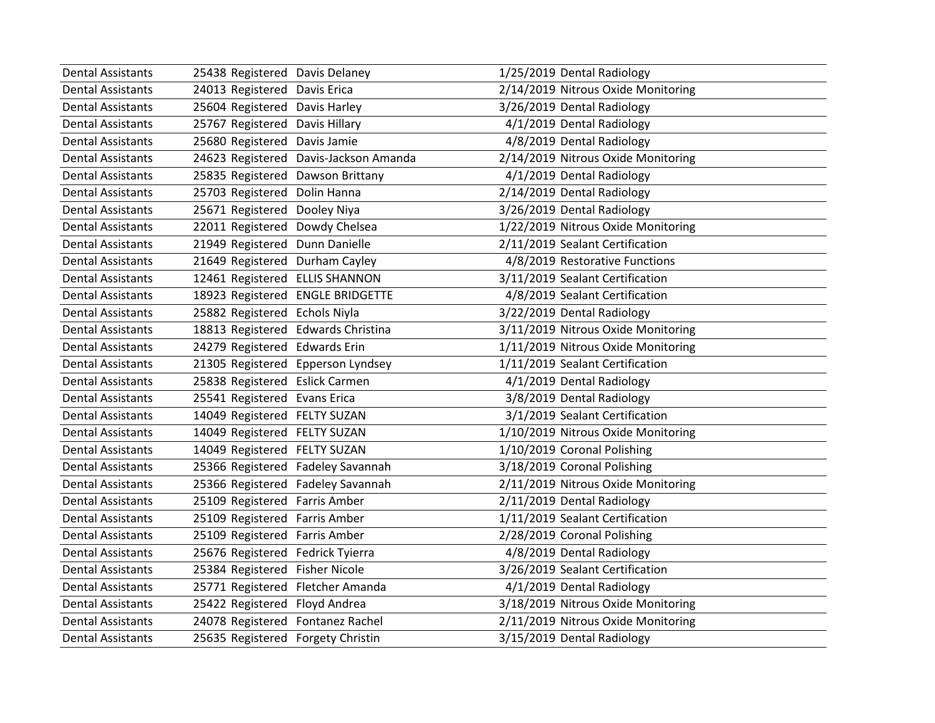| <b>Dental Assistants</b> | 25438 Registered Davis Delaney     |                                  | 1/25/2019 Dental Radiology         |
|--------------------------|------------------------------------|----------------------------------|------------------------------------|
| <b>Dental Assistants</b> | 24013 Registered Davis Erica       |                                  | 2/14/2019 Nitrous Oxide Monitoring |
| <b>Dental Assistants</b> | 25604 Registered Davis Harley      |                                  | 3/26/2019 Dental Radiology         |
| <b>Dental Assistants</b> | 25767 Registered                   | Davis Hillary                    | 4/1/2019 Dental Radiology          |
| <b>Dental Assistants</b> | 25680 Registered                   | Davis Jamie                      | 4/8/2019 Dental Radiology          |
| <b>Dental Assistants</b> | 24623 Registered                   | Davis-Jackson Amanda             | 2/14/2019 Nitrous Oxide Monitoring |
| <b>Dental Assistants</b> | 25835 Registered                   | Dawson Brittany                  | 4/1/2019 Dental Radiology          |
| <b>Dental Assistants</b> | 25703 Registered                   | Dolin Hanna                      | 2/14/2019 Dental Radiology         |
| <b>Dental Assistants</b> | 25671 Registered                   | Dooley Niya                      | 3/26/2019 Dental Radiology         |
| <b>Dental Assistants</b> | 22011 Registered                   | Dowdy Chelsea                    | 1/22/2019 Nitrous Oxide Monitoring |
| <b>Dental Assistants</b> | 21949 Registered                   | Dunn Danielle                    | 2/11/2019 Sealant Certification    |
| <b>Dental Assistants</b> | 21649 Registered                   | Durham Cayley                    | 4/8/2019 Restorative Functions     |
| <b>Dental Assistants</b> | 12461 Registered ELLIS SHANNON     |                                  | 3/11/2019 Sealant Certification    |
| <b>Dental Assistants</b> |                                    | 18923 Registered ENGLE BRIDGETTE | 4/8/2019 Sealant Certification     |
| <b>Dental Assistants</b> | 25882 Registered Echols Niyla      |                                  | 3/22/2019 Dental Radiology         |
| <b>Dental Assistants</b> | 18813 Registered Edwards Christina |                                  | 3/11/2019 Nitrous Oxide Monitoring |
| <b>Dental Assistants</b> | 24279 Registered                   | <b>Edwards Erin</b>              | 1/11/2019 Nitrous Oxide Monitoring |
| <b>Dental Assistants</b> | 21305 Registered                   | Epperson Lyndsey                 | 1/11/2019 Sealant Certification    |
| <b>Dental Assistants</b> | 25838 Registered Eslick Carmen     |                                  | 4/1/2019 Dental Radiology          |
| <b>Dental Assistants</b> | 25541 Registered Evans Erica       |                                  | 3/8/2019 Dental Radiology          |
| <b>Dental Assistants</b> | 14049 Registered FELTY SUZAN       |                                  | 3/1/2019 Sealant Certification     |
| <b>Dental Assistants</b> | 14049 Registered FELTY SUZAN       |                                  | 1/10/2019 Nitrous Oxide Monitoring |
| <b>Dental Assistants</b> | 14049 Registered FELTY SUZAN       |                                  | 1/10/2019 Coronal Polishing        |
| <b>Dental Assistants</b> | 25366 Registered Fadeley Savannah  |                                  | 3/18/2019 Coronal Polishing        |
| <b>Dental Assistants</b> | 25366 Registered Fadeley Savannah  |                                  | 2/11/2019 Nitrous Oxide Monitoring |
| <b>Dental Assistants</b> | 25109 Registered                   | Farris Amber                     | 2/11/2019 Dental Radiology         |
| <b>Dental Assistants</b> | 25109 Registered                   | <b>Farris Amber</b>              | 1/11/2019 Sealant Certification    |
| <b>Dental Assistants</b> | 25109 Registered Farris Amber      |                                  | 2/28/2019 Coronal Polishing        |
| <b>Dental Assistants</b> | 25676 Registered Fedrick Tyierra   |                                  | 4/8/2019 Dental Radiology          |
| Dental Assistants        | 25384 Registered Fisher Nicole     |                                  | 3/26/2019 Sealant Certification    |
| <b>Dental Assistants</b> | 25771 Registered Fletcher Amanda   |                                  | 4/1/2019 Dental Radiology          |
| <b>Dental Assistants</b> | 25422 Registered                   | Floyd Andrea                     | 3/18/2019 Nitrous Oxide Monitoring |
| <b>Dental Assistants</b> | 24078 Registered Fontanez Rachel   |                                  | 2/11/2019 Nitrous Oxide Monitoring |
| Dental Assistants        | 25635 Registered Forgety Christin  |                                  | 3/15/2019 Dental Radiology         |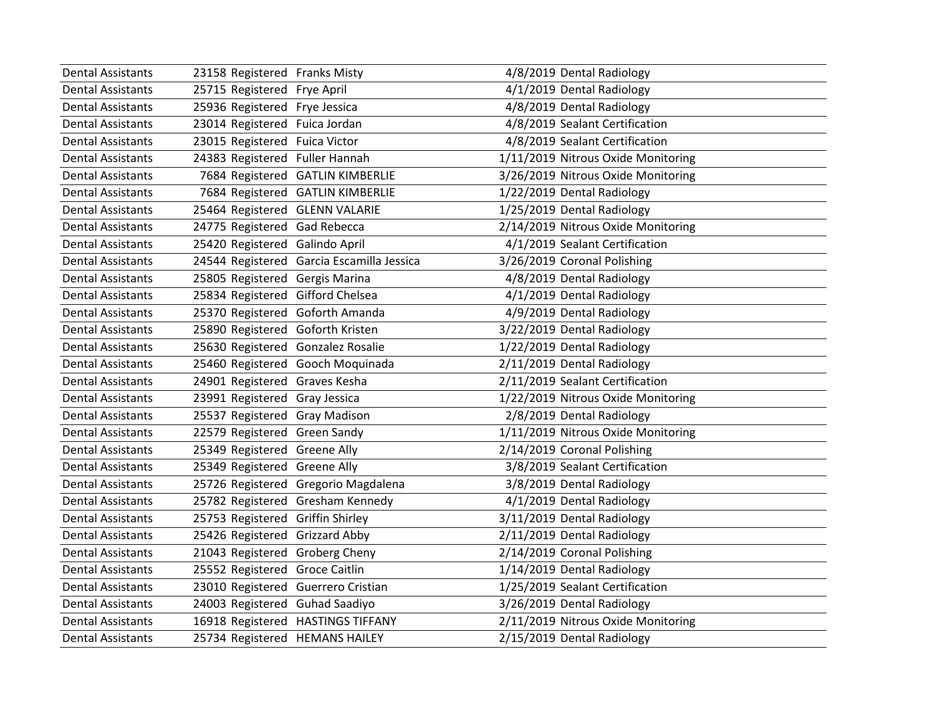| <b>Dental Assistants</b> | 23158 Registered Franks Misty      |                                           | 4/8/2019 Dental Radiology          |
|--------------------------|------------------------------------|-------------------------------------------|------------------------------------|
| <b>Dental Assistants</b> | 25715 Registered Frye April        |                                           | 4/1/2019 Dental Radiology          |
| <b>Dental Assistants</b> | 25936 Registered Frye Jessica      |                                           | 4/8/2019 Dental Radiology          |
| <b>Dental Assistants</b> | 23014 Registered Fuica Jordan      |                                           | 4/8/2019 Sealant Certification     |
| <b>Dental Assistants</b> | 23015 Registered Fuica Victor      |                                           | 4/8/2019 Sealant Certification     |
| <b>Dental Assistants</b> | 24383 Registered Fuller Hannah     |                                           | 1/11/2019 Nitrous Oxide Monitoring |
| <b>Dental Assistants</b> |                                    | 7684 Registered GATLIN KIMBERLIE          | 3/26/2019 Nitrous Oxide Monitoring |
| <b>Dental Assistants</b> |                                    | 7684 Registered GATLIN KIMBERLIE          | 1/22/2019 Dental Radiology         |
| <b>Dental Assistants</b> | 25464 Registered GLENN VALARIE     |                                           | 1/25/2019 Dental Radiology         |
| <b>Dental Assistants</b> | 24775 Registered Gad Rebecca       |                                           | 2/14/2019 Nitrous Oxide Monitoring |
| <b>Dental Assistants</b> | 25420 Registered Galindo April     |                                           | 4/1/2019 Sealant Certification     |
| <b>Dental Assistants</b> |                                    | 24544 Registered Garcia Escamilla Jessica | 3/26/2019 Coronal Polishing        |
| <b>Dental Assistants</b> | 25805 Registered Gergis Marina     |                                           | 4/8/2019 Dental Radiology          |
| <b>Dental Assistants</b> | 25834 Registered Gifford Chelsea   |                                           | 4/1/2019 Dental Radiology          |
| <b>Dental Assistants</b> | 25370 Registered Goforth Amanda    |                                           | 4/9/2019 Dental Radiology          |
| <b>Dental Assistants</b> | 25890 Registered Goforth Kristen   |                                           | 3/22/2019 Dental Radiology         |
| <b>Dental Assistants</b> | 25630 Registered Gonzalez Rosalie  |                                           | 1/22/2019 Dental Radiology         |
| <b>Dental Assistants</b> |                                    | 25460 Registered Gooch Moquinada          | 2/11/2019 Dental Radiology         |
| <b>Dental Assistants</b> | 24901 Registered Graves Kesha      |                                           | 2/11/2019 Sealant Certification    |
| <b>Dental Assistants</b> | 23991 Registered Gray Jessica      |                                           | 1/22/2019 Nitrous Oxide Monitoring |
| <b>Dental Assistants</b> | 25537 Registered Gray Madison      |                                           | 2/8/2019 Dental Radiology          |
| <b>Dental Assistants</b> | 22579 Registered Green Sandy       |                                           | 1/11/2019 Nitrous Oxide Monitoring |
| <b>Dental Assistants</b> | 25349 Registered Greene Ally       |                                           | 2/14/2019 Coronal Polishing        |
| <b>Dental Assistants</b> | 25349 Registered Greene Ally       |                                           | 3/8/2019 Sealant Certification     |
| <b>Dental Assistants</b> |                                    | 25726 Registered Gregorio Magdalena       | 3/8/2019 Dental Radiology          |
| <b>Dental Assistants</b> |                                    | 25782 Registered Gresham Kennedy          | 4/1/2019 Dental Radiology          |
| <b>Dental Assistants</b> | 25753 Registered Griffin Shirley   |                                           | 3/11/2019 Dental Radiology         |
| <b>Dental Assistants</b> | 25426 Registered Grizzard Abby     |                                           | 2/11/2019 Dental Radiology         |
| <b>Dental Assistants</b> | 21043 Registered Groberg Cheny     |                                           | 2/14/2019 Coronal Polishing        |
| <b>Dental Assistants</b> | 25552 Registered Groce Caitlin     |                                           | 1/14/2019 Dental Radiology         |
| <b>Dental Assistants</b> | 23010 Registered Guerrero Cristian |                                           | 1/25/2019 Sealant Certification    |
| <b>Dental Assistants</b> | 24003 Registered Guhad Saadiyo     |                                           | 3/26/2019 Dental Radiology         |
| <b>Dental Assistants</b> |                                    | 16918 Registered HASTINGS TIFFANY         | 2/11/2019 Nitrous Oxide Monitoring |
| <b>Dental Assistants</b> | 25734 Registered HEMANS HAILEY     |                                           | 2/15/2019 Dental Radiology         |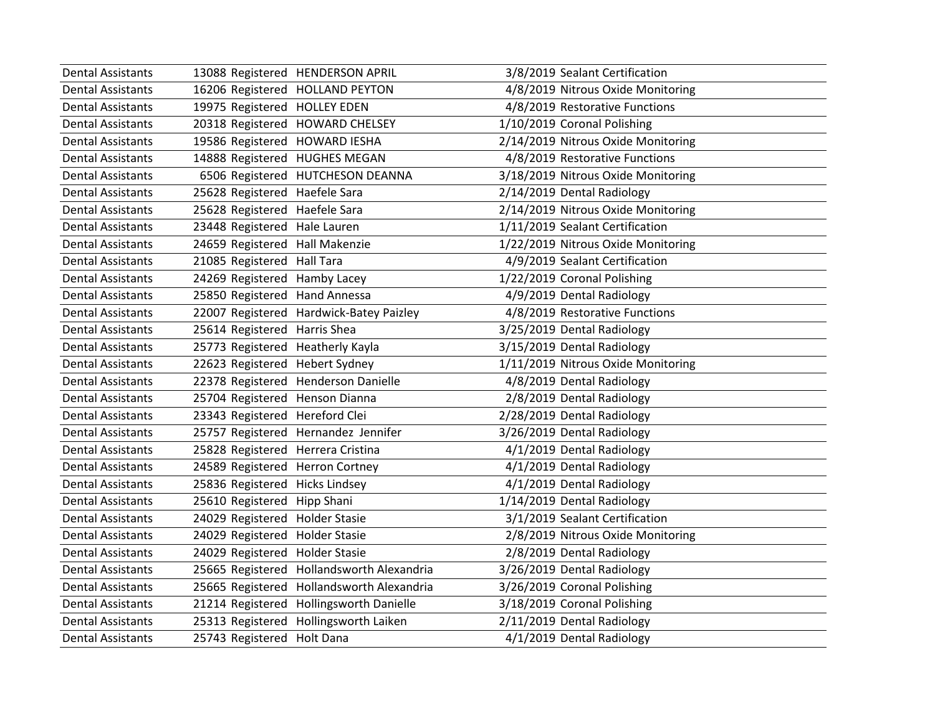| <b>Dental Assistants</b> |                                   | 13088 Registered HENDERSON APRIL          | 3/8/2019 Sealant Certification     |
|--------------------------|-----------------------------------|-------------------------------------------|------------------------------------|
| <b>Dental Assistants</b> |                                   | 16206 Registered HOLLAND PEYTON           | 4/8/2019 Nitrous Oxide Monitoring  |
| <b>Dental Assistants</b> | 19975 Registered HOLLEY EDEN      |                                           | 4/8/2019 Restorative Functions     |
| <b>Dental Assistants</b> |                                   | 20318 Registered HOWARD CHELSEY           | 1/10/2019 Coronal Polishing        |
| <b>Dental Assistants</b> | 19586 Registered HOWARD IESHA     |                                           | 2/14/2019 Nitrous Oxide Monitoring |
| <b>Dental Assistants</b> | 14888 Registered HUGHES MEGAN     |                                           | 4/8/2019 Restorative Functions     |
| <b>Dental Assistants</b> |                                   | 6506 Registered HUTCHESON DEANNA          | 3/18/2019 Nitrous Oxide Monitoring |
| <b>Dental Assistants</b> | 25628 Registered Haefele Sara     |                                           | 2/14/2019 Dental Radiology         |
| <b>Dental Assistants</b> | 25628 Registered Haefele Sara     |                                           | 2/14/2019 Nitrous Oxide Monitoring |
| <b>Dental Assistants</b> | 23448 Registered Hale Lauren      |                                           | 1/11/2019 Sealant Certification    |
| <b>Dental Assistants</b> | 24659 Registered Hall Makenzie    |                                           | 1/22/2019 Nitrous Oxide Monitoring |
| <b>Dental Assistants</b> | 21085 Registered Hall Tara        |                                           | 4/9/2019 Sealant Certification     |
| <b>Dental Assistants</b> | 24269 Registered Hamby Lacey      |                                           | 1/22/2019 Coronal Polishing        |
| <b>Dental Assistants</b> | 25850 Registered Hand Annessa     |                                           | 4/9/2019 Dental Radiology          |
| <b>Dental Assistants</b> |                                   | 22007 Registered Hardwick-Batey Paizley   | 4/8/2019 Restorative Functions     |
| <b>Dental Assistants</b> | 25614 Registered Harris Shea      |                                           | 3/25/2019 Dental Radiology         |
| <b>Dental Assistants</b> | 25773 Registered Heatherly Kayla  |                                           | 3/15/2019 Dental Radiology         |
| <b>Dental Assistants</b> | 22623 Registered Hebert Sydney    |                                           | 1/11/2019 Nitrous Oxide Monitoring |
| <b>Dental Assistants</b> |                                   | 22378 Registered Henderson Danielle       | 4/8/2019 Dental Radiology          |
| <b>Dental Assistants</b> | 25704 Registered Henson Dianna    |                                           | 2/8/2019 Dental Radiology          |
| <b>Dental Assistants</b> | 23343 Registered Hereford Clei    |                                           | 2/28/2019 Dental Radiology         |
| <b>Dental Assistants</b> |                                   | 25757 Registered Hernandez Jennifer       | 3/26/2019 Dental Radiology         |
| <b>Dental Assistants</b> | 25828 Registered Herrera Cristina |                                           | 4/1/2019 Dental Radiology          |
| <b>Dental Assistants</b> | 24589 Registered Herron Cortney   |                                           | 4/1/2019 Dental Radiology          |
| <b>Dental Assistants</b> | 25836 Registered Hicks Lindsey    |                                           | 4/1/2019 Dental Radiology          |
| <b>Dental Assistants</b> | 25610 Registered Hipp Shani       |                                           | 1/14/2019 Dental Radiology         |
| <b>Dental Assistants</b> | 24029 Registered Holder Stasie    |                                           | 3/1/2019 Sealant Certification     |
| <b>Dental Assistants</b> | 24029 Registered Holder Stasie    |                                           | 2/8/2019 Nitrous Oxide Monitoring  |
| <b>Dental Assistants</b> | 24029 Registered Holder Stasie    |                                           | 2/8/2019 Dental Radiology          |
| <b>Dental Assistants</b> |                                   | 25665 Registered Hollandsworth Alexandria | 3/26/2019 Dental Radiology         |
| <b>Dental Assistants</b> |                                   | 25665 Registered Hollandsworth Alexandria | 3/26/2019 Coronal Polishing        |
| <b>Dental Assistants</b> |                                   | 21214 Registered Hollingsworth Danielle   | 3/18/2019 Coronal Polishing        |
| <b>Dental Assistants</b> |                                   | 25313 Registered Hollingsworth Laiken     | 2/11/2019 Dental Radiology         |
| Dental Assistants        | 25743 Registered Holt Dana        |                                           | 4/1/2019 Dental Radiology          |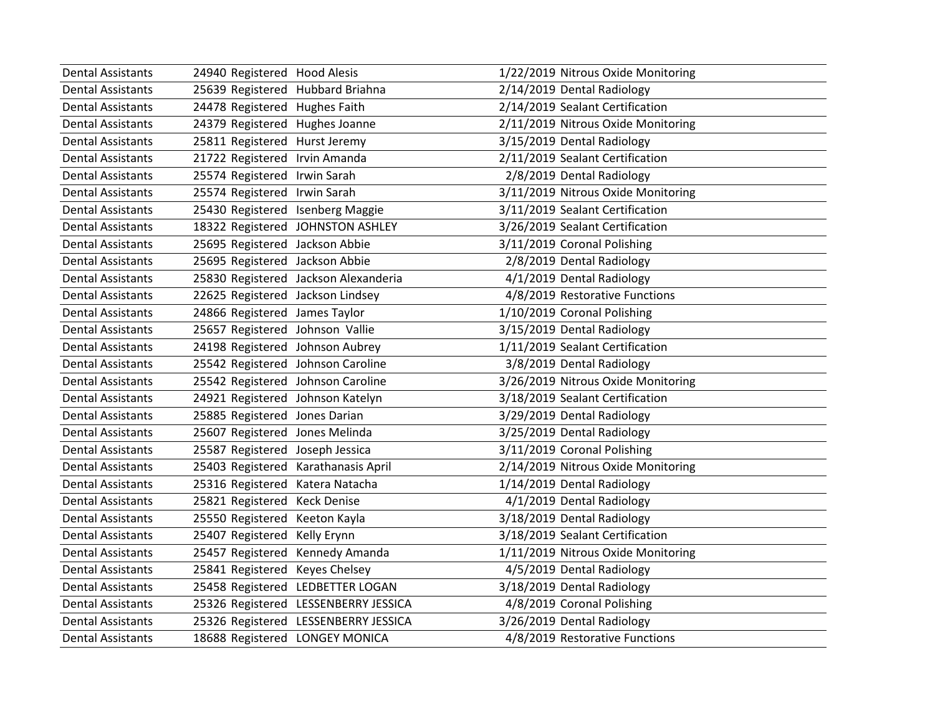| <b>Dental Assistants</b> | 24940 Registered Hood Alesis         | 1/22/2019 Nitrous Oxide Monitoring |
|--------------------------|--------------------------------------|------------------------------------|
| <b>Dental Assistants</b> | 25639 Registered Hubbard Briahna     | 2/14/2019 Dental Radiology         |
| <b>Dental Assistants</b> | 24478 Registered Hughes Faith        | 2/14/2019 Sealant Certification    |
| <b>Dental Assistants</b> | 24379 Registered Hughes Joanne       | 2/11/2019 Nitrous Oxide Monitoring |
| <b>Dental Assistants</b> | 25811 Registered Hurst Jeremy        | 3/15/2019 Dental Radiology         |
| <b>Dental Assistants</b> | 21722 Registered Irvin Amanda        | 2/11/2019 Sealant Certification    |
| <b>Dental Assistants</b> | 25574 Registered Irwin Sarah         | 2/8/2019 Dental Radiology          |
| <b>Dental Assistants</b> | 25574 Registered Irwin Sarah         | 3/11/2019 Nitrous Oxide Monitoring |
| <b>Dental Assistants</b> | 25430 Registered Isenberg Maggie     | 3/11/2019 Sealant Certification    |
| <b>Dental Assistants</b> | 18322 Registered JOHNSTON ASHLEY     | 3/26/2019 Sealant Certification    |
| <b>Dental Assistants</b> | 25695 Registered Jackson Abbie       | 3/11/2019 Coronal Polishing        |
| <b>Dental Assistants</b> | 25695 Registered Jackson Abbie       | 2/8/2019 Dental Radiology          |
| <b>Dental Assistants</b> | 25830 Registered Jackson Alexanderia | 4/1/2019 Dental Radiology          |
| <b>Dental Assistants</b> | 22625 Registered Jackson Lindsey     | 4/8/2019 Restorative Functions     |
| <b>Dental Assistants</b> | 24866 Registered James Taylor        | 1/10/2019 Coronal Polishing        |
| <b>Dental Assistants</b> | 25657 Registered Johnson Vallie      | 3/15/2019 Dental Radiology         |
| <b>Dental Assistants</b> | 24198 Registered Johnson Aubrey      | 1/11/2019 Sealant Certification    |
| <b>Dental Assistants</b> | 25542 Registered Johnson Caroline    | 3/8/2019 Dental Radiology          |
| <b>Dental Assistants</b> | 25542 Registered Johnson Caroline    | 3/26/2019 Nitrous Oxide Monitoring |
| <b>Dental Assistants</b> | 24921 Registered Johnson Katelyn     | 3/18/2019 Sealant Certification    |
| <b>Dental Assistants</b> | 25885 Registered Jones Darian        | 3/29/2019 Dental Radiology         |
| <b>Dental Assistants</b> | 25607 Registered Jones Melinda       | 3/25/2019 Dental Radiology         |
| <b>Dental Assistants</b> | 25587 Registered Joseph Jessica      | 3/11/2019 Coronal Polishing        |
| <b>Dental Assistants</b> | 25403 Registered Karathanasis April  | 2/14/2019 Nitrous Oxide Monitoring |
| <b>Dental Assistants</b> | 25316 Registered Katera Natacha      | 1/14/2019 Dental Radiology         |
| <b>Dental Assistants</b> | 25821 Registered Keck Denise         | 4/1/2019 Dental Radiology          |
| <b>Dental Assistants</b> | 25550 Registered Keeton Kayla        | 3/18/2019 Dental Radiology         |
| <b>Dental Assistants</b> | 25407 Registered Kelly Erynn         | 3/18/2019 Sealant Certification    |
| <b>Dental Assistants</b> | 25457 Registered Kennedy Amanda      | 1/11/2019 Nitrous Oxide Monitoring |
| <b>Dental Assistants</b> | 25841 Registered Keyes Chelsey       | 4/5/2019 Dental Radiology          |
| <b>Dental Assistants</b> | 25458 Registered LEDBETTER LOGAN     | 3/18/2019 Dental Radiology         |
| <b>Dental Assistants</b> | 25326 Registered LESSENBERRY JESSICA | 4/8/2019 Coronal Polishing         |
| <b>Dental Assistants</b> | 25326 Registered LESSENBERRY JESSICA | 3/26/2019 Dental Radiology         |
| <b>Dental Assistants</b> | 18688 Registered LONGEY MONICA       | 4/8/2019 Restorative Functions     |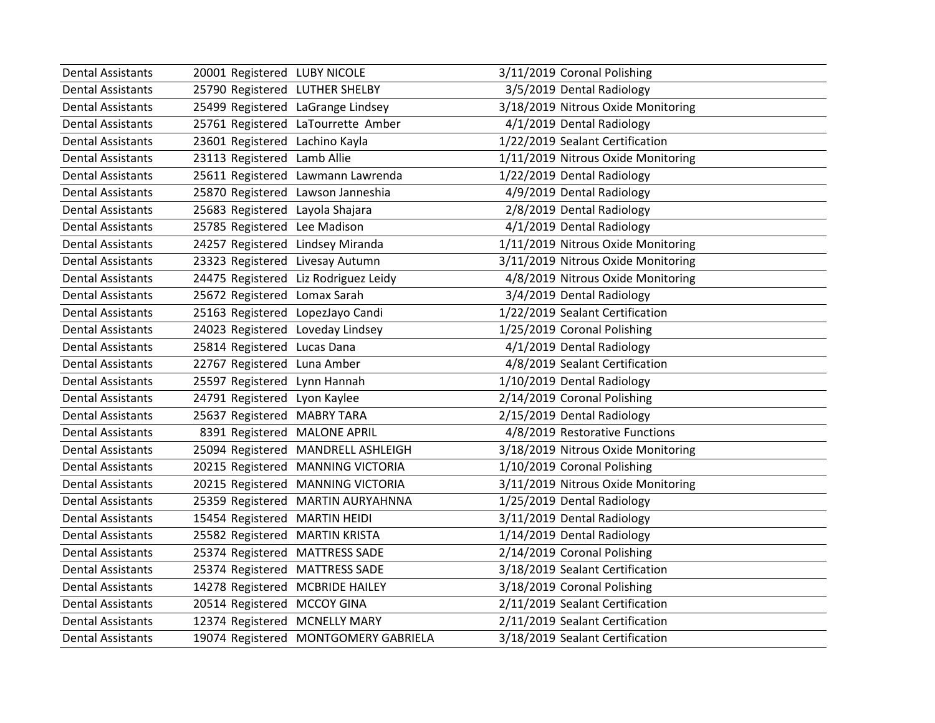| <b>Dental Assistants</b> | 20001 Registered LUBY NICOLE      |                                      | 3/11/2019 Coronal Polishing        |
|--------------------------|-----------------------------------|--------------------------------------|------------------------------------|
| <b>Dental Assistants</b> | 25790 Registered LUTHER SHELBY    |                                      | 3/5/2019 Dental Radiology          |
| <b>Dental Assistants</b> | 25499 Registered LaGrange Lindsey |                                      | 3/18/2019 Nitrous Oxide Monitoring |
| <b>Dental Assistants</b> |                                   | 25761 Registered LaTourrette Amber   | 4/1/2019 Dental Radiology          |
| <b>Dental Assistants</b> | 23601 Registered Lachino Kayla    |                                      | 1/22/2019 Sealant Certification    |
| <b>Dental Assistants</b> | 23113 Registered Lamb Allie       |                                      | 1/11/2019 Nitrous Oxide Monitoring |
| <b>Dental Assistants</b> |                                   | 25611 Registered Lawmann Lawrenda    | 1/22/2019 Dental Radiology         |
| <b>Dental Assistants</b> |                                   | 25870 Registered Lawson Janneshia    | 4/9/2019 Dental Radiology          |
| <b>Dental Assistants</b> | 25683 Registered Layola Shajara   |                                      | 2/8/2019 Dental Radiology          |
| <b>Dental Assistants</b> | 25785 Registered Lee Madison      |                                      | 4/1/2019 Dental Radiology          |
| <b>Dental Assistants</b> | 24257 Registered Lindsey Miranda  |                                      | 1/11/2019 Nitrous Oxide Monitoring |
| <b>Dental Assistants</b> | 23323 Registered Livesay Autumn   |                                      | 3/11/2019 Nitrous Oxide Monitoring |
| <b>Dental Assistants</b> |                                   | 24475 Registered Liz Rodriguez Leidy | 4/8/2019 Nitrous Oxide Monitoring  |
| <b>Dental Assistants</b> | 25672 Registered Lomax Sarah      |                                      | 3/4/2019 Dental Radiology          |
| <b>Dental Assistants</b> | 25163 Registered LopezJayo Candi  |                                      | 1/22/2019 Sealant Certification    |
| <b>Dental Assistants</b> | 24023 Registered Loveday Lindsey  |                                      | 1/25/2019 Coronal Polishing        |
| <b>Dental Assistants</b> | 25814 Registered Lucas Dana       |                                      | 4/1/2019 Dental Radiology          |
| <b>Dental Assistants</b> | 22767 Registered Luna Amber       |                                      | 4/8/2019 Sealant Certification     |
| <b>Dental Assistants</b> | 25597 Registered Lynn Hannah      |                                      | 1/10/2019 Dental Radiology         |
| <b>Dental Assistants</b> | 24791 Registered Lyon Kaylee      |                                      | 2/14/2019 Coronal Polishing        |
| <b>Dental Assistants</b> | 25637 Registered MABRY TARA       |                                      | 2/15/2019 Dental Radiology         |
| <b>Dental Assistants</b> | 8391 Registered MALONE APRIL      |                                      | 4/8/2019 Restorative Functions     |
| <b>Dental Assistants</b> |                                   | 25094 Registered MANDRELL ASHLEIGH   | 3/18/2019 Nitrous Oxide Monitoring |
| <b>Dental Assistants</b> |                                   | 20215 Registered MANNING VICTORIA    | 1/10/2019 Coronal Polishing        |
| <b>Dental Assistants</b> |                                   | 20215 Registered MANNING VICTORIA    | 3/11/2019 Nitrous Oxide Monitoring |
| <b>Dental Assistants</b> |                                   | 25359 Registered MARTIN AURYAHNNA    | 1/25/2019 Dental Radiology         |
| <b>Dental Assistants</b> | 15454 Registered MARTIN HEIDI     |                                      | 3/11/2019 Dental Radiology         |
| <b>Dental Assistants</b> | 25582 Registered MARTIN KRISTA    |                                      | 1/14/2019 Dental Radiology         |
| <b>Dental Assistants</b> | 25374 Registered MATTRESS SADE    |                                      | 2/14/2019 Coronal Polishing        |
| Dental Assistants        | 25374 Registered MATTRESS SADE    |                                      | 3/18/2019 Sealant Certification    |
| <b>Dental Assistants</b> | 14278 Registered MCBRIDE HAILEY   |                                      | 3/18/2019 Coronal Polishing        |
| <b>Dental Assistants</b> | 20514 Registered MCCOY GINA       |                                      | 2/11/2019 Sealant Certification    |
| <b>Dental Assistants</b> | 12374 Registered MCNELLY MARY     |                                      | 2/11/2019 Sealant Certification    |
| Dental Assistants        |                                   | 19074 Registered MONTGOMERY GABRIELA | 3/18/2019 Sealant Certification    |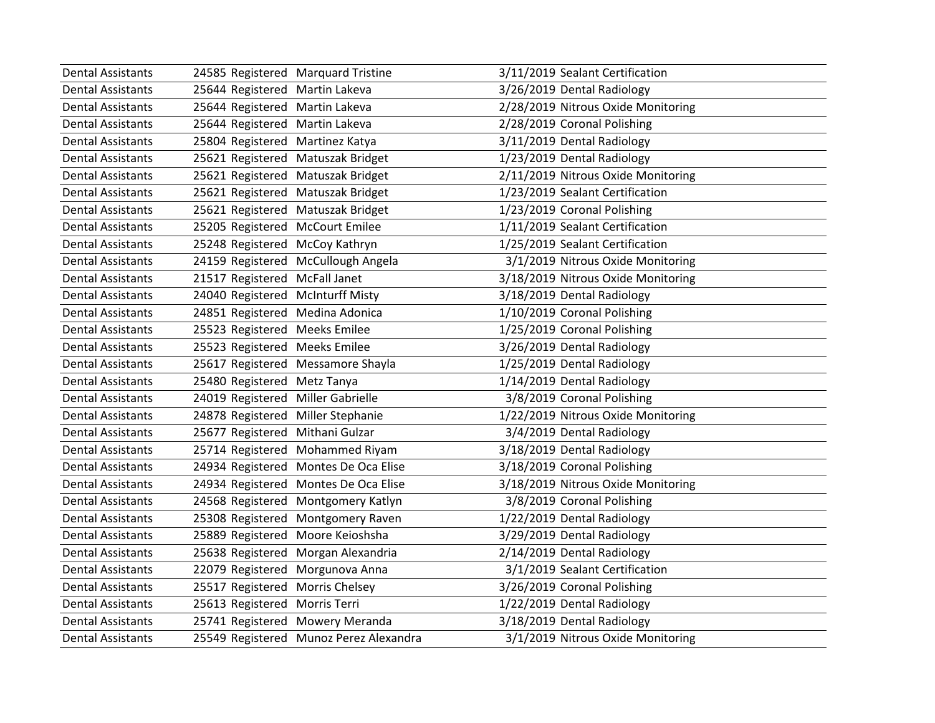| <b>Dental Assistants</b> | 24585 Registered Marquard Tristine |                                        | 3/11/2019 Sealant Certification    |
|--------------------------|------------------------------------|----------------------------------------|------------------------------------|
| <b>Dental Assistants</b> | 25644 Registered Martin Lakeva     |                                        | 3/26/2019 Dental Radiology         |
| <b>Dental Assistants</b> | 25644 Registered Martin Lakeva     |                                        | 2/28/2019 Nitrous Oxide Monitoring |
| <b>Dental Assistants</b> | 25644 Registered Martin Lakeva     |                                        | 2/28/2019 Coronal Polishing        |
| <b>Dental Assistants</b> | 25804 Registered Martinez Katya    |                                        | 3/11/2019 Dental Radiology         |
| <b>Dental Assistants</b> | 25621 Registered Matuszak Bridget  |                                        | 1/23/2019 Dental Radiology         |
| <b>Dental Assistants</b> | 25621 Registered Matuszak Bridget  |                                        | 2/11/2019 Nitrous Oxide Monitoring |
| <b>Dental Assistants</b> | 25621 Registered Matuszak Bridget  |                                        | 1/23/2019 Sealant Certification    |
| <b>Dental Assistants</b> | 25621 Registered Matuszak Bridget  |                                        | 1/23/2019 Coronal Polishing        |
| <b>Dental Assistants</b> | 25205 Registered McCourt Emilee    |                                        | 1/11/2019 Sealant Certification    |
| <b>Dental Assistants</b> | 25248 Registered McCoy Kathryn     |                                        | 1/25/2019 Sealant Certification    |
| <b>Dental Assistants</b> |                                    | 24159 Registered McCullough Angela     | 3/1/2019 Nitrous Oxide Monitoring  |
| <b>Dental Assistants</b> | 21517 Registered McFall Janet      |                                        | 3/18/2019 Nitrous Oxide Monitoring |
| <b>Dental Assistants</b> | 24040 Registered McInturff Misty   |                                        | 3/18/2019 Dental Radiology         |
| <b>Dental Assistants</b> | 24851 Registered Medina Adonica    |                                        | 1/10/2019 Coronal Polishing        |
| <b>Dental Assistants</b> | 25523 Registered Meeks Emilee      |                                        | 1/25/2019 Coronal Polishing        |
| <b>Dental Assistants</b> | 25523 Registered Meeks Emilee      |                                        | 3/26/2019 Dental Radiology         |
| <b>Dental Assistants</b> | 25617 Registered Messamore Shayla  |                                        | 1/25/2019 Dental Radiology         |
| <b>Dental Assistants</b> | 25480 Registered Metz Tanya        |                                        | 1/14/2019 Dental Radiology         |
| <b>Dental Assistants</b> | 24019 Registered Miller Gabrielle  |                                        | 3/8/2019 Coronal Polishing         |
| <b>Dental Assistants</b> | 24878 Registered Miller Stephanie  |                                        | 1/22/2019 Nitrous Oxide Monitoring |
| <b>Dental Assistants</b> | 25677 Registered Mithani Gulzar    |                                        | 3/4/2019 Dental Radiology          |
| <b>Dental Assistants</b> |                                    | 25714 Registered Mohammed Riyam        | 3/18/2019 Dental Radiology         |
| <b>Dental Assistants</b> |                                    | 24934 Registered Montes De Oca Elise   | 3/18/2019 Coronal Polishing        |
| <b>Dental Assistants</b> |                                    | 24934 Registered Montes De Oca Elise   | 3/18/2019 Nitrous Oxide Monitoring |
| <b>Dental Assistants</b> |                                    | 24568 Registered Montgomery Katlyn     | 3/8/2019 Coronal Polishing         |
| <b>Dental Assistants</b> |                                    | 25308 Registered Montgomery Raven      | 1/22/2019 Dental Radiology         |
| <b>Dental Assistants</b> | 25889 Registered Moore Keioshsha   |                                        | 3/29/2019 Dental Radiology         |
| <b>Dental Assistants</b> |                                    | 25638 Registered Morgan Alexandria     | 2/14/2019 Dental Radiology         |
| <b>Dental Assistants</b> | 22079 Registered Morgunova Anna    |                                        | 3/1/2019 Sealant Certification     |
| <b>Dental Assistants</b> | 25517 Registered Morris Chelsey    |                                        | 3/26/2019 Coronal Polishing        |
| <b>Dental Assistants</b> | 25613 Registered Morris Terri      |                                        | 1/22/2019 Dental Radiology         |
| <b>Dental Assistants</b> | 25741 Registered Mowery Meranda    |                                        | 3/18/2019 Dental Radiology         |
| <b>Dental Assistants</b> |                                    | 25549 Registered Munoz Perez Alexandra | 3/1/2019 Nitrous Oxide Monitoring  |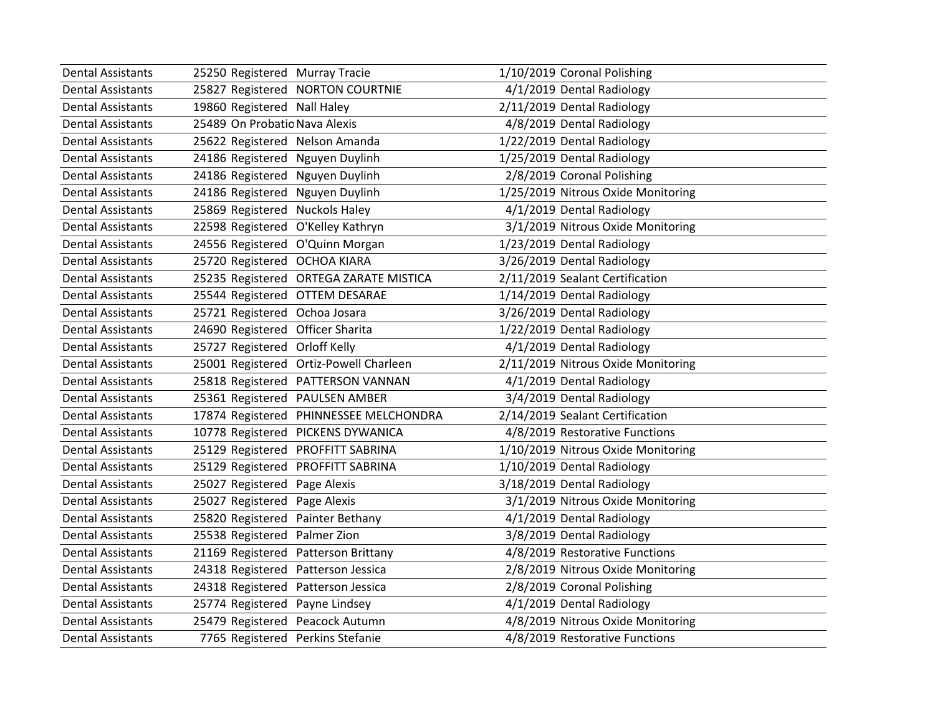| <b>Dental Assistants</b> | 25250 Registered Murray Tracie      |                                        | 1/10/2019 Coronal Polishing        |
|--------------------------|-------------------------------------|----------------------------------------|------------------------------------|
| <b>Dental Assistants</b> |                                     | 25827 Registered NORTON COURTNIE       | 4/1/2019 Dental Radiology          |
| <b>Dental Assistants</b> | 19860 Registered Nall Haley         |                                        | 2/11/2019 Dental Radiology         |
| <b>Dental Assistants</b> | 25489 On Probatio Nava Alexis       |                                        | 4/8/2019 Dental Radiology          |
| <b>Dental Assistants</b> | 25622 Registered Nelson Amanda      |                                        | 1/22/2019 Dental Radiology         |
| <b>Dental Assistants</b> | 24186 Registered Nguyen Duylinh     |                                        | 1/25/2019 Dental Radiology         |
| <b>Dental Assistants</b> | 24186 Registered Nguyen Duylinh     |                                        | 2/8/2019 Coronal Polishing         |
| <b>Dental Assistants</b> | 24186 Registered Nguyen Duylinh     |                                        | 1/25/2019 Nitrous Oxide Monitoring |
| <b>Dental Assistants</b> | 25869 Registered Nuckols Haley      |                                        | 4/1/2019 Dental Radiology          |
| <b>Dental Assistants</b> | 22598 Registered O'Kelley Kathryn   |                                        | 3/1/2019 Nitrous Oxide Monitoring  |
| <b>Dental Assistants</b> | 24556 Registered O'Quinn Morgan     |                                        | 1/23/2019 Dental Radiology         |
| <b>Dental Assistants</b> | 25720 Registered OCHOA KIARA        |                                        | 3/26/2019 Dental Radiology         |
| <b>Dental Assistants</b> |                                     | 25235 Registered ORTEGA ZARATE MISTICA | 2/11/2019 Sealant Certification    |
| <b>Dental Assistants</b> | 25544 Registered OTTEM DESARAE      |                                        | 1/14/2019 Dental Radiology         |
| <b>Dental Assistants</b> | 25721 Registered Ochoa Josara       |                                        | 3/26/2019 Dental Radiology         |
| <b>Dental Assistants</b> | 24690 Registered Officer Sharita    |                                        | 1/22/2019 Dental Radiology         |
| <b>Dental Assistants</b> | 25727 Registered Orloff Kelly       |                                        | 4/1/2019 Dental Radiology          |
| <b>Dental Assistants</b> |                                     | 25001 Registered Ortiz-Powell Charleen | 2/11/2019 Nitrous Oxide Monitoring |
| <b>Dental Assistants</b> |                                     | 25818 Registered PATTERSON VANNAN      | 4/1/2019 Dental Radiology          |
| <b>Dental Assistants</b> | 25361 Registered PAULSEN AMBER      |                                        | 3/4/2019 Dental Radiology          |
| <b>Dental Assistants</b> |                                     | 17874 Registered PHINNESSEE MELCHONDRA | 2/14/2019 Sealant Certification    |
| <b>Dental Assistants</b> |                                     | 10778 Registered PICKENS DYWANICA      | 4/8/2019 Restorative Functions     |
| <b>Dental Assistants</b> | 25129 Registered PROFFITT SABRINA   |                                        | 1/10/2019 Nitrous Oxide Monitoring |
| <b>Dental Assistants</b> | 25129 Registered PROFFITT SABRINA   |                                        | 1/10/2019 Dental Radiology         |
| <b>Dental Assistants</b> | 25027 Registered Page Alexis        |                                        | 3/18/2019 Dental Radiology         |
| <b>Dental Assistants</b> | 25027 Registered                    | Page Alexis                            | 3/1/2019 Nitrous Oxide Monitoring  |
| <b>Dental Assistants</b> | 25820 Registered                    | Painter Bethany                        | 4/1/2019 Dental Radiology          |
| <b>Dental Assistants</b> | 25538 Registered Palmer Zion        |                                        | 3/8/2019 Dental Radiology          |
| <b>Dental Assistants</b> | 21169 Registered Patterson Brittany |                                        | 4/8/2019 Restorative Functions     |
| <b>Dental Assistants</b> | 24318 Registered Patterson Jessica  |                                        | 2/8/2019 Nitrous Oxide Monitoring  |
| <b>Dental Assistants</b> | 24318 Registered Patterson Jessica  |                                        | 2/8/2019 Coronal Polishing         |
| <b>Dental Assistants</b> | 25774 Registered Payne Lindsey      |                                        | 4/1/2019 Dental Radiology          |
| <b>Dental Assistants</b> | 25479 Registered Peacock Autumn     |                                        | 4/8/2019 Nitrous Oxide Monitoring  |
| Dental Assistants        | 7765 Registered Perkins Stefanie    |                                        | 4/8/2019 Restorative Functions     |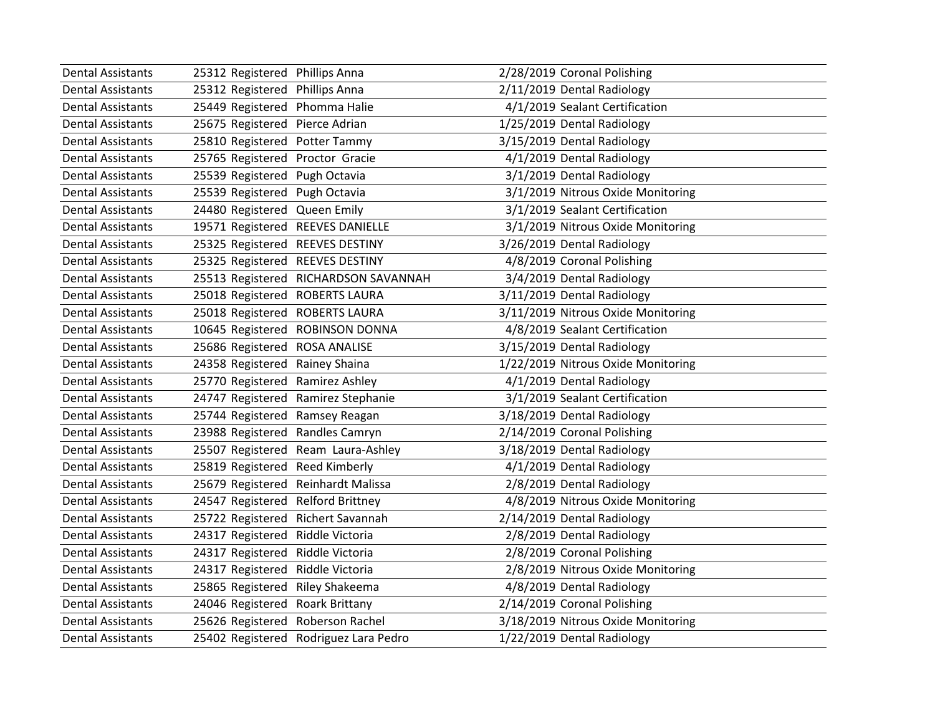| <b>Dental Assistants</b> | 25312 Registered Phillips Anna   |                                       | 2/28/2019 Coronal Polishing        |
|--------------------------|----------------------------------|---------------------------------------|------------------------------------|
| <b>Dental Assistants</b> | 25312 Registered                 | <b>Phillips Anna</b>                  | 2/11/2019 Dental Radiology         |
| <b>Dental Assistants</b> | 25449 Registered                 | Phomma Halie                          | 4/1/2019 Sealant Certification     |
| <b>Dental Assistants</b> | 25675 Registered                 | Pierce Adrian                         | 1/25/2019 Dental Radiology         |
| <b>Dental Assistants</b> | 25810 Registered                 | Potter Tammy                          | 3/15/2019 Dental Radiology         |
| <b>Dental Assistants</b> | 25765 Registered                 | Proctor Gracie                        | 4/1/2019 Dental Radiology          |
| <b>Dental Assistants</b> | 25539 Registered                 | Pugh Octavia                          | 3/1/2019 Dental Radiology          |
| <b>Dental Assistants</b> | 25539 Registered                 | Pugh Octavia                          | 3/1/2019 Nitrous Oxide Monitoring  |
| <b>Dental Assistants</b> | 24480 Registered Queen Emily     |                                       | 3/1/2019 Sealant Certification     |
| <b>Dental Assistants</b> | 19571 Registered REEVES DANIELLE |                                       | 3/1/2019 Nitrous Oxide Monitoring  |
| <b>Dental Assistants</b> | 25325 Registered REEVES DESTINY  |                                       | 3/26/2019 Dental Radiology         |
| <b>Dental Assistants</b> | 25325 Registered                 | <b>REEVES DESTINY</b>                 | 4/8/2019 Coronal Polishing         |
| <b>Dental Assistants</b> | 25513 Registered                 | RICHARDSON SAVANNAH                   | 3/4/2019 Dental Radiology          |
| <b>Dental Assistants</b> | 25018 Registered ROBERTS LAURA   |                                       | 3/11/2019 Dental Radiology         |
| <b>Dental Assistants</b> | 25018 Registered                 | <b>ROBERTS LAURA</b>                  | 3/11/2019 Nitrous Oxide Monitoring |
| <b>Dental Assistants</b> | 10645 Registered                 | <b>ROBINSON DONNA</b>                 | 4/8/2019 Sealant Certification     |
| <b>Dental Assistants</b> | 25686 Registered                 | <b>ROSA ANALISE</b>                   | 3/15/2019 Dental Radiology         |
| <b>Dental Assistants</b> | 24358 Registered                 | Rainey Shaina                         | 1/22/2019 Nitrous Oxide Monitoring |
| <b>Dental Assistants</b> | 25770 Registered                 | Ramirez Ashley                        | 4/1/2019 Dental Radiology          |
| <b>Dental Assistants</b> | 24747 Registered                 | Ramirez Stephanie                     | 3/1/2019 Sealant Certification     |
| <b>Dental Assistants</b> | 25744 Registered                 | Ramsey Reagan                         | 3/18/2019 Dental Radiology         |
| <b>Dental Assistants</b> | 23988 Registered                 | Randles Camryn                        | 2/14/2019 Coronal Polishing        |
| <b>Dental Assistants</b> | 25507 Registered                 | Ream Laura-Ashley                     | 3/18/2019 Dental Radiology         |
| <b>Dental Assistants</b> | 25819 Registered                 | Reed Kimberly                         | 4/1/2019 Dental Radiology          |
| <b>Dental Assistants</b> | 25679 Registered                 | Reinhardt Malissa                     | 2/8/2019 Dental Radiology          |
| <b>Dental Assistants</b> | 24547 Registered                 | <b>Relford Brittney</b>               | 4/8/2019 Nitrous Oxide Monitoring  |
| <b>Dental Assistants</b> | 25722 Registered                 | Richert Savannah                      | 2/14/2019 Dental Radiology         |
| <b>Dental Assistants</b> | 24317 Registered                 | Riddle Victoria                       | 2/8/2019 Dental Radiology          |
| <b>Dental Assistants</b> | 24317 Registered Riddle Victoria |                                       | 2/8/2019 Coronal Polishing         |
| <b>Dental Assistants</b> | 24317 Registered                 | Riddle Victoria                       | 2/8/2019 Nitrous Oxide Monitoring  |
| <b>Dental Assistants</b> | 25865 Registered                 | Riley Shakeema                        | 4/8/2019 Dental Radiology          |
| <b>Dental Assistants</b> | 24046 Registered                 | <b>Roark Brittany</b>                 | 2/14/2019 Coronal Polishing        |
| <b>Dental Assistants</b> | 25626 Registered Roberson Rachel |                                       | 3/18/2019 Nitrous Oxide Monitoring |
| Dental Assistants        |                                  | 25402 Registered Rodriguez Lara Pedro | 1/22/2019 Dental Radiology         |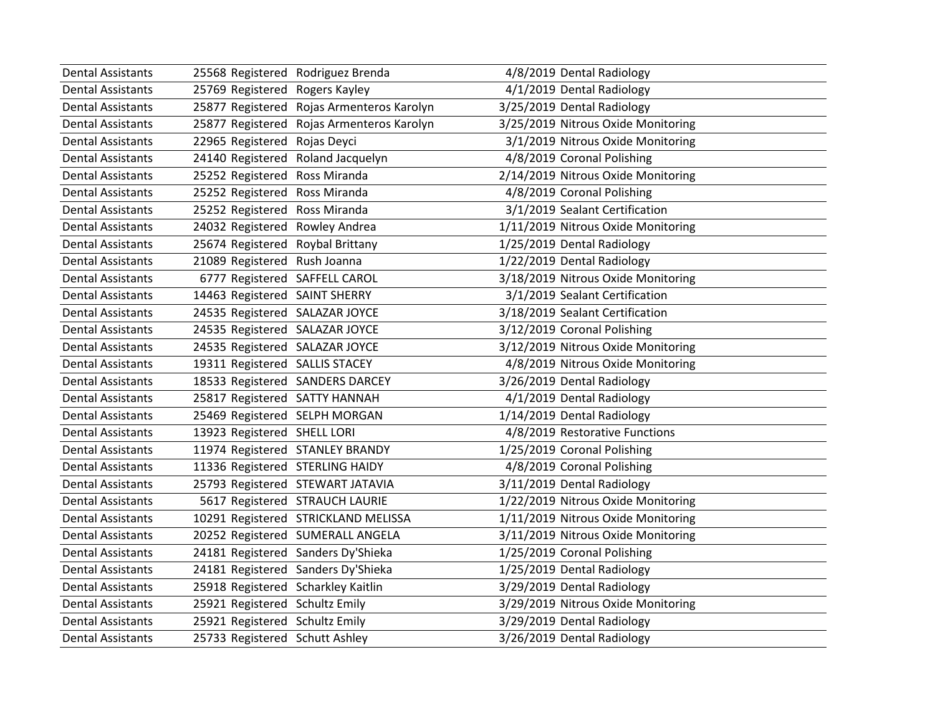| <b>Dental Assistants</b> | 25568 Registered Rodriguez Brenda  |                                           | 4/8/2019 Dental Radiology          |
|--------------------------|------------------------------------|-------------------------------------------|------------------------------------|
| <b>Dental Assistants</b> | 25769 Registered Rogers Kayley     |                                           | 4/1/2019 Dental Radiology          |
| <b>Dental Assistants</b> |                                    | 25877 Registered Rojas Armenteros Karolyn | 3/25/2019 Dental Radiology         |
| <b>Dental Assistants</b> |                                    | 25877 Registered Rojas Armenteros Karolyn | 3/25/2019 Nitrous Oxide Monitoring |
| <b>Dental Assistants</b> | 22965 Registered Rojas Deyci       |                                           | 3/1/2019 Nitrous Oxide Monitoring  |
| <b>Dental Assistants</b> | 24140 Registered                   | Roland Jacquelyn                          | 4/8/2019 Coronal Polishing         |
| <b>Dental Assistants</b> | 25252 Registered                   | Ross Miranda                              | 2/14/2019 Nitrous Oxide Monitoring |
| <b>Dental Assistants</b> | 25252 Registered                   | Ross Miranda                              | 4/8/2019 Coronal Polishing         |
| <b>Dental Assistants</b> | 25252 Registered Ross Miranda      |                                           | 3/1/2019 Sealant Certification     |
| <b>Dental Assistants</b> | 24032 Registered Rowley Andrea     |                                           | 1/11/2019 Nitrous Oxide Monitoring |
| <b>Dental Assistants</b> | 25674 Registered Roybal Brittany   |                                           | 1/25/2019 Dental Radiology         |
| <b>Dental Assistants</b> | 21089 Registered Rush Joanna       |                                           | 1/22/2019 Dental Radiology         |
| <b>Dental Assistants</b> | 6777 Registered SAFFELL CAROL      |                                           | 3/18/2019 Nitrous Oxide Monitoring |
| Dental Assistants        | 14463 Registered SAINT SHERRY      |                                           | 3/1/2019 Sealant Certification     |
| <b>Dental Assistants</b> | 24535 Registered SALAZAR JOYCE     |                                           | 3/18/2019 Sealant Certification    |
| <b>Dental Assistants</b> | 24535 Registered SALAZAR JOYCE     |                                           | 3/12/2019 Coronal Polishing        |
| <b>Dental Assistants</b> | 24535 Registered SALAZAR JOYCE     |                                           | 3/12/2019 Nitrous Oxide Monitoring |
| <b>Dental Assistants</b> | 19311 Registered SALLIS STACEY     |                                           | 4/8/2019 Nitrous Oxide Monitoring  |
| <b>Dental Assistants</b> |                                    | 18533 Registered SANDERS DARCEY           | 3/26/2019 Dental Radiology         |
| <b>Dental Assistants</b> | 25817 Registered SATTY HANNAH      |                                           | 4/1/2019 Dental Radiology          |
| <b>Dental Assistants</b> | 25469 Registered SELPH MORGAN      |                                           | 1/14/2019 Dental Radiology         |
| <b>Dental Assistants</b> | 13923 Registered SHELL LORI        |                                           | 4/8/2019 Restorative Functions     |
| <b>Dental Assistants</b> |                                    | 11974 Registered STANLEY BRANDY           | 1/25/2019 Coronal Polishing        |
| <b>Dental Assistants</b> | 11336 Registered STERLING HAIDY    |                                           | 4/8/2019 Coronal Polishing         |
| <b>Dental Assistants</b> |                                    | 25793 Registered STEWART JATAVIA          | 3/11/2019 Dental Radiology         |
| <b>Dental Assistants</b> |                                    | 5617 Registered STRAUCH LAURIE            | 1/22/2019 Nitrous Oxide Monitoring |
| <b>Dental Assistants</b> |                                    | 10291 Registered STRICKLAND MELISSA       | 1/11/2019 Nitrous Oxide Monitoring |
| <b>Dental Assistants</b> |                                    | 20252 Registered SUMERALL ANGELA          | 3/11/2019 Nitrous Oxide Monitoring |
| <b>Dental Assistants</b> |                                    | 24181 Registered Sanders Dy'Shieka        | 1/25/2019 Coronal Polishing        |
| <b>Dental Assistants</b> |                                    | 24181 Registered Sanders Dy'Shieka        | 1/25/2019 Dental Radiology         |
| <b>Dental Assistants</b> | 25918 Registered Scharkley Kaitlin |                                           | 3/29/2019 Dental Radiology         |
| <b>Dental Assistants</b> | 25921 Registered Schultz Emily     |                                           | 3/29/2019 Nitrous Oxide Monitoring |
| <b>Dental Assistants</b> | 25921 Registered Schultz Emily     |                                           | 3/29/2019 Dental Radiology         |
| Dental Assistants        | 25733 Registered Schutt Ashley     |                                           | 3/26/2019 Dental Radiology         |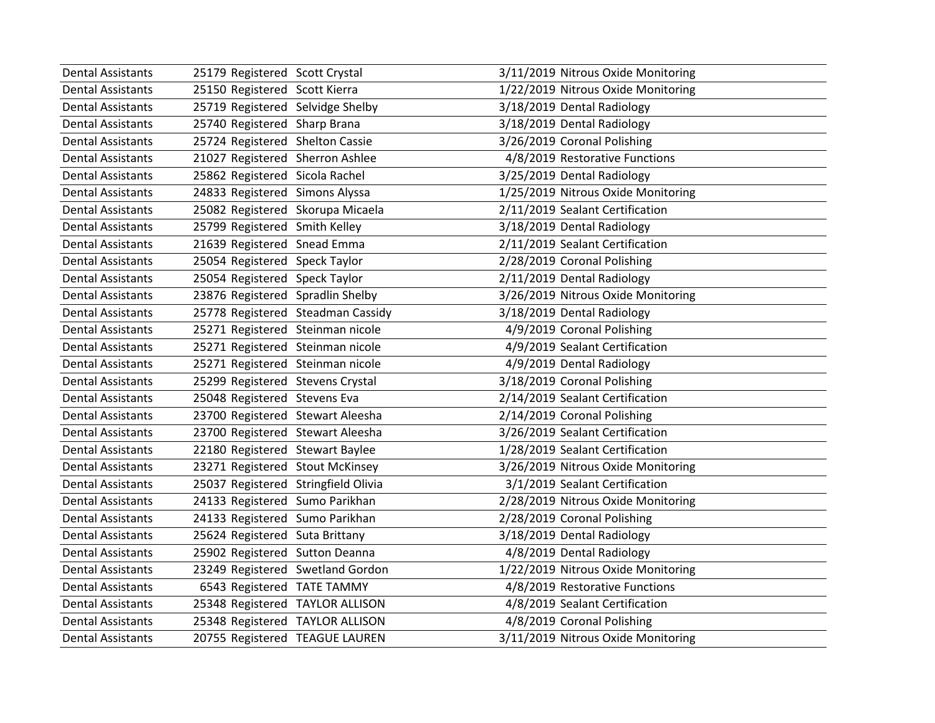| <b>Dental Assistants</b> | 25179 Registered Scott Crystal      |                                   | 3/11/2019 Nitrous Oxide Monitoring |
|--------------------------|-------------------------------------|-----------------------------------|------------------------------------|
| <b>Dental Assistants</b> | 25150 Registered Scott Kierra       |                                   | 1/22/2019 Nitrous Oxide Monitoring |
| <b>Dental Assistants</b> | 25719 Registered Selvidge Shelby    |                                   | 3/18/2019 Dental Radiology         |
| <b>Dental Assistants</b> | 25740 Registered Sharp Brana        |                                   | 3/18/2019 Dental Radiology         |
| <b>Dental Assistants</b> | 25724 Registered Shelton Cassie     |                                   | 3/26/2019 Coronal Polishing        |
| <b>Dental Assistants</b> | 21027 Registered Sherron Ashlee     |                                   | 4/8/2019 Restorative Functions     |
| <b>Dental Assistants</b> | 25862 Registered Sicola Rachel      |                                   | 3/25/2019 Dental Radiology         |
| <b>Dental Assistants</b> | 24833 Registered Simons Alyssa      |                                   | 1/25/2019 Nitrous Oxide Monitoring |
| <b>Dental Assistants</b> | 25082 Registered Skorupa Micaela    |                                   | 2/11/2019 Sealant Certification    |
| <b>Dental Assistants</b> | 25799 Registered Smith Kelley       |                                   | 3/18/2019 Dental Radiology         |
| <b>Dental Assistants</b> | 21639 Registered Snead Emma         |                                   | 2/11/2019 Sealant Certification    |
| <b>Dental Assistants</b> | 25054 Registered Speck Taylor       |                                   | 2/28/2019 Coronal Polishing        |
| <b>Dental Assistants</b> | 25054 Registered Speck Taylor       |                                   | 2/11/2019 Dental Radiology         |
| <b>Dental Assistants</b> | 23876 Registered Spradlin Shelby    |                                   | 3/26/2019 Nitrous Oxide Monitoring |
| <b>Dental Assistants</b> |                                     | 25778 Registered Steadman Cassidy | 3/18/2019 Dental Radiology         |
| <b>Dental Assistants</b> | 25271 Registered Steinman nicole    |                                   | 4/9/2019 Coronal Polishing         |
| <b>Dental Assistants</b> | 25271 Registered Steinman nicole    |                                   | 4/9/2019 Sealant Certification     |
| <b>Dental Assistants</b> | 25271 Registered Steinman nicole    |                                   | 4/9/2019 Dental Radiology          |
| <b>Dental Assistants</b> | 25299 Registered Stevens Crystal    |                                   | 3/18/2019 Coronal Polishing        |
| <b>Dental Assistants</b> | 25048 Registered Stevens Eva        |                                   | 2/14/2019 Sealant Certification    |
| <b>Dental Assistants</b> | 23700 Registered Stewart Aleesha    |                                   | 2/14/2019 Coronal Polishing        |
| <b>Dental Assistants</b> | 23700 Registered Stewart Aleesha    |                                   | 3/26/2019 Sealant Certification    |
| <b>Dental Assistants</b> | 22180 Registered Stewart Baylee     |                                   | 1/28/2019 Sealant Certification    |
| <b>Dental Assistants</b> | 23271 Registered Stout McKinsey     |                                   | 3/26/2019 Nitrous Oxide Monitoring |
| <b>Dental Assistants</b> | 25037 Registered Stringfield Olivia |                                   | 3/1/2019 Sealant Certification     |
| <b>Dental Assistants</b> | 24133 Registered Sumo Parikhan      |                                   | 2/28/2019 Nitrous Oxide Monitoring |
| <b>Dental Assistants</b> | 24133 Registered Sumo Parikhan      |                                   | 2/28/2019 Coronal Polishing        |
| <b>Dental Assistants</b> | 25624 Registered Suta Brittany      |                                   | 3/18/2019 Dental Radiology         |
| <b>Dental Assistants</b> | 25902 Registered Sutton Deanna      |                                   | 4/8/2019 Dental Radiology          |
| <b>Dental Assistants</b> | 23249 Registered Swetland Gordon    |                                   | 1/22/2019 Nitrous Oxide Monitoring |
| <b>Dental Assistants</b> | 6543 Registered TATE TAMMY          |                                   | 4/8/2019 Restorative Functions     |
| <b>Dental Assistants</b> | 25348 Registered TAYLOR ALLISON     |                                   | 4/8/2019 Sealant Certification     |
| <b>Dental Assistants</b> | 25348 Registered TAYLOR ALLISON     |                                   | 4/8/2019 Coronal Polishing         |
| Dental Assistants        | 20755 Registered TEAGUE LAUREN      |                                   | 3/11/2019 Nitrous Oxide Monitoring |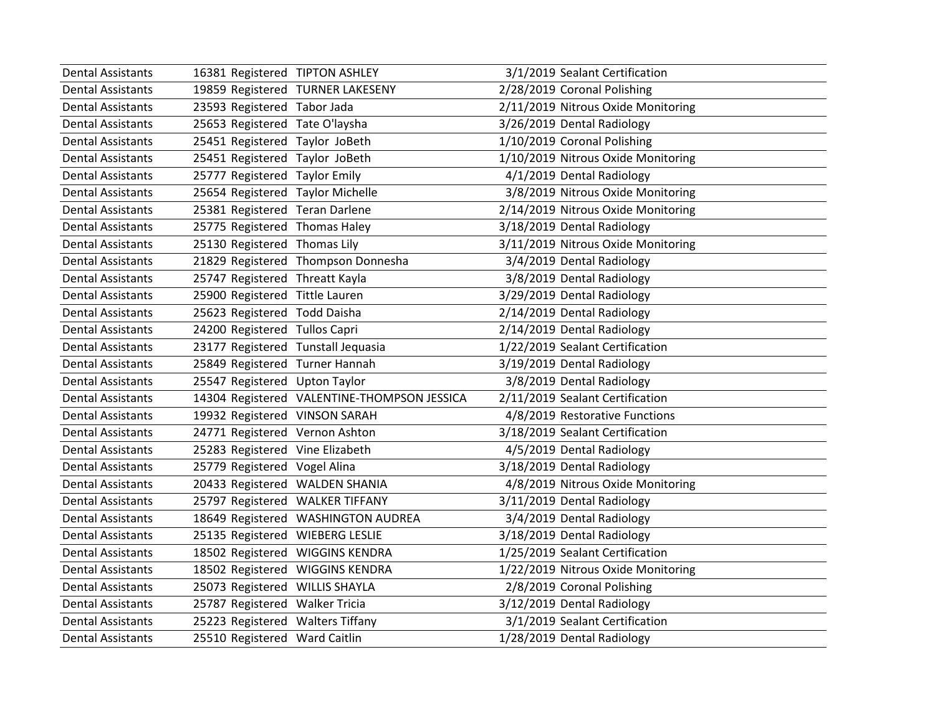| <b>Dental Assistants</b> | 16381 Registered TIPTON ASHLEY              | 3/1/2019 Sealant Certification     |
|--------------------------|---------------------------------------------|------------------------------------|
| <b>Dental Assistants</b> | 19859 Registered TURNER LAKESENY            | 2/28/2019 Coronal Polishing        |
| <b>Dental Assistants</b> | 23593 Registered Tabor Jada                 | 2/11/2019 Nitrous Oxide Monitoring |
| <b>Dental Assistants</b> | 25653 Registered Tate O'laysha              | 3/26/2019 Dental Radiology         |
| <b>Dental Assistants</b> | 25451 Registered Taylor JoBeth              | 1/10/2019 Coronal Polishing        |
| <b>Dental Assistants</b> | 25451 Registered Taylor JoBeth              | 1/10/2019 Nitrous Oxide Monitoring |
| <b>Dental Assistants</b> | 25777 Registered Taylor Emily               | 4/1/2019 Dental Radiology          |
| <b>Dental Assistants</b> | 25654 Registered Taylor Michelle            | 3/8/2019 Nitrous Oxide Monitoring  |
| <b>Dental Assistants</b> | 25381 Registered Teran Darlene              | 2/14/2019 Nitrous Oxide Monitoring |
| <b>Dental Assistants</b> | 25775 Registered Thomas Haley               | 3/18/2019 Dental Radiology         |
| <b>Dental Assistants</b> | 25130 Registered Thomas Lily                | 3/11/2019 Nitrous Oxide Monitoring |
| <b>Dental Assistants</b> | 21829 Registered Thompson Donnesha          | 3/4/2019 Dental Radiology          |
| <b>Dental Assistants</b> | 25747 Registered Threatt Kayla              | 3/8/2019 Dental Radiology          |
| <b>Dental Assistants</b> | 25900 Registered Tittle Lauren              | 3/29/2019 Dental Radiology         |
| <b>Dental Assistants</b> | 25623 Registered Todd Daisha                | 2/14/2019 Dental Radiology         |
| <b>Dental Assistants</b> | 24200 Registered Tullos Capri               | 2/14/2019 Dental Radiology         |
| <b>Dental Assistants</b> | 23177 Registered Tunstall Jequasia          | 1/22/2019 Sealant Certification    |
| <b>Dental Assistants</b> | 25849 Registered Turner Hannah              | 3/19/2019 Dental Radiology         |
| <b>Dental Assistants</b> | 25547 Registered Upton Taylor               | 3/8/2019 Dental Radiology          |
| <b>Dental Assistants</b> | 14304 Registered VALENTINE-THOMPSON JESSICA | 2/11/2019 Sealant Certification    |
| <b>Dental Assistants</b> | 19932 Registered VINSON SARAH               | 4/8/2019 Restorative Functions     |
| <b>Dental Assistants</b> | 24771 Registered Vernon Ashton              | 3/18/2019 Sealant Certification    |
| <b>Dental Assistants</b> | 25283 Registered Vine Elizabeth             | 4/5/2019 Dental Radiology          |
| <b>Dental Assistants</b> | 25779 Registered Vogel Alina                | 3/18/2019 Dental Radiology         |
| <b>Dental Assistants</b> | 20433 Registered WALDEN SHANIA              | 4/8/2019 Nitrous Oxide Monitoring  |
| <b>Dental Assistants</b> | 25797 Registered WALKER TIFFANY             | 3/11/2019 Dental Radiology         |
| <b>Dental Assistants</b> | 18649 Registered WASHINGTON AUDREA          | 3/4/2019 Dental Radiology          |
| <b>Dental Assistants</b> | 25135 Registered WIEBERG LESLIE             | 3/18/2019 Dental Radiology         |
| <b>Dental Assistants</b> | 18502 Registered WIGGINS KENDRA             | 1/25/2019 Sealant Certification    |
| <b>Dental Assistants</b> | 18502 Registered WIGGINS KENDRA             | 1/22/2019 Nitrous Oxide Monitoring |
| <b>Dental Assistants</b> | 25073 Registered WILLIS SHAYLA              | 2/8/2019 Coronal Polishing         |
| <b>Dental Assistants</b> | 25787 Registered Walker Tricia              | 3/12/2019 Dental Radiology         |
| <b>Dental Assistants</b> | 25223 Registered Walters Tiffany            | 3/1/2019 Sealant Certification     |
| Dental Assistants        | 25510 Registered Ward Caitlin               | 1/28/2019 Dental Radiology         |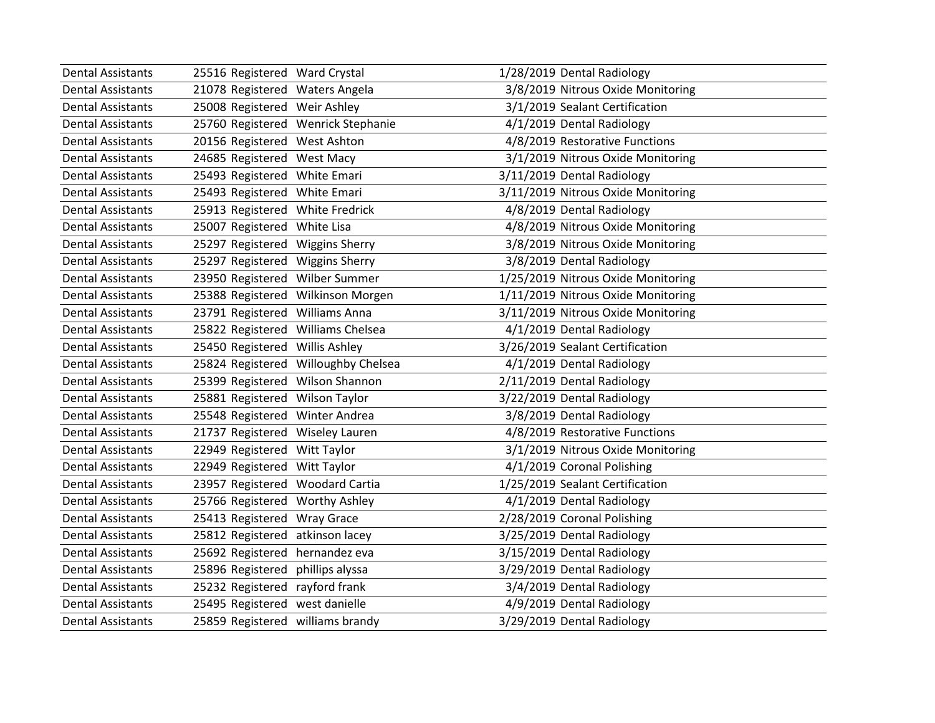| <b>Dental Assistants</b> | 25516 Registered Ward Crystal     |                                     | 1/28/2019 Dental Radiology         |
|--------------------------|-----------------------------------|-------------------------------------|------------------------------------|
| <b>Dental Assistants</b> | 21078 Registered Waters Angela    |                                     | 3/8/2019 Nitrous Oxide Monitoring  |
| <b>Dental Assistants</b> | 25008 Registered Weir Ashley      |                                     | 3/1/2019 Sealant Certification     |
| <b>Dental Assistants</b> |                                   | 25760 Registered Wenrick Stephanie  | 4/1/2019 Dental Radiology          |
| <b>Dental Assistants</b> | 20156 Registered West Ashton      |                                     | 4/8/2019 Restorative Functions     |
| <b>Dental Assistants</b> | 24685 Registered West Macy        |                                     | 3/1/2019 Nitrous Oxide Monitoring  |
| <b>Dental Assistants</b> | 25493 Registered White Emari      |                                     | 3/11/2019 Dental Radiology         |
| <b>Dental Assistants</b> | 25493 Registered White Emari      |                                     | 3/11/2019 Nitrous Oxide Monitoring |
| <b>Dental Assistants</b> | 25913 Registered White Fredrick   |                                     | 4/8/2019 Dental Radiology          |
| <b>Dental Assistants</b> | 25007 Registered White Lisa       |                                     | 4/8/2019 Nitrous Oxide Monitoring  |
| <b>Dental Assistants</b> | 25297 Registered Wiggins Sherry   |                                     | 3/8/2019 Nitrous Oxide Monitoring  |
| <b>Dental Assistants</b> | 25297 Registered Wiggins Sherry   |                                     | 3/8/2019 Dental Radiology          |
| <b>Dental Assistants</b> | 23950 Registered Wilber Summer    |                                     | 1/25/2019 Nitrous Oxide Monitoring |
| <b>Dental Assistants</b> |                                   | 25388 Registered Wilkinson Morgen   | 1/11/2019 Nitrous Oxide Monitoring |
| <b>Dental Assistants</b> | 23791 Registered Williams Anna    |                                     | 3/11/2019 Nitrous Oxide Monitoring |
| <b>Dental Assistants</b> | 25822 Registered Williams Chelsea |                                     | 4/1/2019 Dental Radiology          |
| <b>Dental Assistants</b> | 25450 Registered Willis Ashley    |                                     | 3/26/2019 Sealant Certification    |
| <b>Dental Assistants</b> |                                   | 25824 Registered Willoughby Chelsea | 4/1/2019 Dental Radiology          |
| <b>Dental Assistants</b> | 25399 Registered Wilson Shannon   |                                     | 2/11/2019 Dental Radiology         |
| <b>Dental Assistants</b> | 25881 Registered Wilson Taylor    |                                     | 3/22/2019 Dental Radiology         |
| <b>Dental Assistants</b> | 25548 Registered Winter Andrea    |                                     | 3/8/2019 Dental Radiology          |
| <b>Dental Assistants</b> | 21737 Registered Wiseley Lauren   |                                     | 4/8/2019 Restorative Functions     |
| <b>Dental Assistants</b> | 22949 Registered Witt Taylor      |                                     | 3/1/2019 Nitrous Oxide Monitoring  |
| <b>Dental Assistants</b> | 22949 Registered Witt Taylor      |                                     | 4/1/2019 Coronal Polishing         |
| <b>Dental Assistants</b> | 23957 Registered Woodard Cartia   |                                     | 1/25/2019 Sealant Certification    |
| <b>Dental Assistants</b> | 25766 Registered Worthy Ashley    |                                     | 4/1/2019 Dental Radiology          |
| <b>Dental Assistants</b> | 25413 Registered Wray Grace       |                                     | 2/28/2019 Coronal Polishing        |
| <b>Dental Assistants</b> | 25812 Registered atkinson lacey   |                                     | 3/25/2019 Dental Radiology         |
| <b>Dental Assistants</b> | 25692 Registered hernandez eva    |                                     | 3/15/2019 Dental Radiology         |
| <b>Dental Assistants</b> | 25896 Registered phillips alyssa  |                                     | 3/29/2019 Dental Radiology         |
| <b>Dental Assistants</b> | 25232 Registered rayford frank    |                                     | 3/4/2019 Dental Radiology          |
| <b>Dental Assistants</b> | 25495 Registered west danielle    |                                     | 4/9/2019 Dental Radiology          |
| Dental Assistants        | 25859 Registered williams brandy  |                                     | 3/29/2019 Dental Radiology         |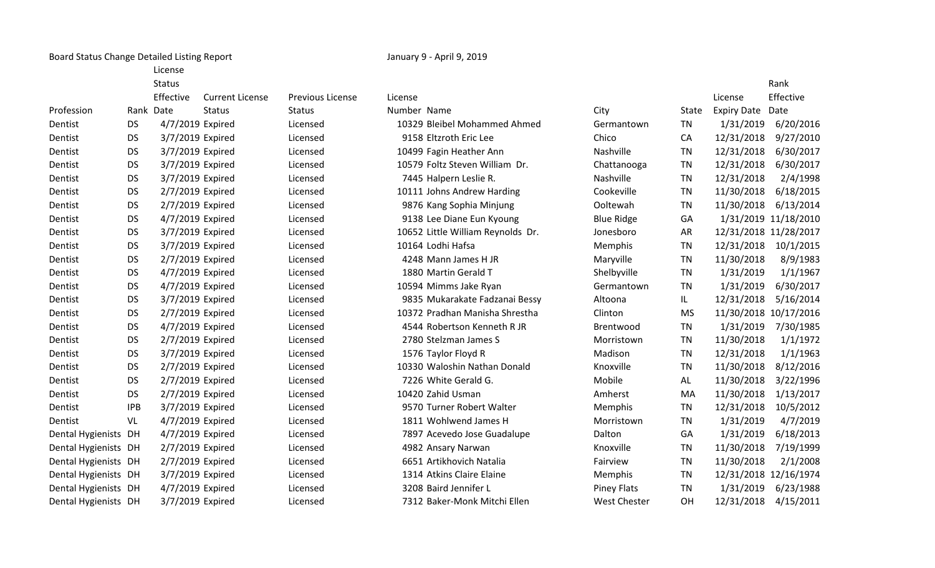Board Status Change Detailed Listing Report **January 9 - April 9, 2019** January 9 - April 9, 2019

License

|                      |            | <b>Status</b>    |                        |                         |             |                                   |                     |           |                    | Rank                  |
|----------------------|------------|------------------|------------------------|-------------------------|-------------|-----------------------------------|---------------------|-----------|--------------------|-----------------------|
|                      |            | Effective        | <b>Current License</b> | <b>Previous License</b> | License     |                                   |                     |           | License            | Effective             |
| Profession           |            | Rank Date        | <b>Status</b>          | <b>Status</b>           | Number Name |                                   | City                | State     | <b>Expiry Date</b> | Date                  |
| Dentist              | <b>DS</b>  | 4/7/2019 Expired |                        | Licensed                |             | 10329 Bleibel Mohammed Ahmed      | Germantown          | <b>TN</b> | 1/31/2019          | 6/20/2016             |
| Dentist              | <b>DS</b>  | 3/7/2019 Expired |                        | Licensed                |             | 9158 Eltzroth Eric Lee            | Chico               | CA        | 12/31/2018         | 9/27/2010             |
| Dentist              | <b>DS</b>  | 3/7/2019 Expired |                        | Licensed                |             | 10499 Fagin Heather Ann           | Nashville           | <b>TN</b> | 12/31/2018         | 6/30/2017             |
| Dentist              | <b>DS</b>  | 3/7/2019 Expired |                        | Licensed                |             | 10579 Foltz Steven William Dr.    | Chattanooga         | <b>TN</b> | 12/31/2018         | 6/30/2017             |
| Dentist              | <b>DS</b>  | 3/7/2019 Expired |                        | Licensed                |             | 7445 Halpern Leslie R.            | Nashville           | <b>TN</b> | 12/31/2018         | 2/4/1998              |
| Dentist              | <b>DS</b>  | 2/7/2019 Expired |                        | Licensed                |             | 10111 Johns Andrew Harding        | Cookeville          | <b>TN</b> | 11/30/2018         | 6/18/2015             |
| Dentist              | <b>DS</b>  | 2/7/2019 Expired |                        | Licensed                |             | 9876 Kang Sophia Minjung          | Ooltewah            | <b>TN</b> | 11/30/2018         | 6/13/2014             |
| Dentist              | <b>DS</b>  | 4/7/2019 Expired |                        | Licensed                |             | 9138 Lee Diane Eun Kyoung         | <b>Blue Ridge</b>   | GA        |                    | 1/31/2019 11/18/2010  |
| Dentist              | <b>DS</b>  | 3/7/2019 Expired |                        | Licensed                |             | 10652 Little William Reynolds Dr. | Jonesboro           | <b>AR</b> |                    | 12/31/2018 11/28/2017 |
| Dentist              | <b>DS</b>  | 3/7/2019 Expired |                        | Licensed                |             | 10164 Lodhi Hafsa                 | Memphis             | <b>TN</b> | 12/31/2018         | 10/1/2015             |
| Dentist              | <b>DS</b>  | 2/7/2019 Expired |                        | Licensed                |             | 4248 Mann James H JR              | Maryville           | <b>TN</b> | 11/30/2018         | 8/9/1983              |
| Dentist              | <b>DS</b>  | 4/7/2019 Expired |                        | Licensed                |             | 1880 Martin Gerald T              | Shelbyville         | TN        | 1/31/2019          | 1/1/1967              |
| Dentist              | <b>DS</b>  | 4/7/2019 Expired |                        | Licensed                |             | 10594 Mimms Jake Ryan             | Germantown          | <b>TN</b> | 1/31/2019          | 6/30/2017             |
| Dentist              | <b>DS</b>  | 3/7/2019 Expired |                        | Licensed                |             | 9835 Mukarakate Fadzanai Bessy    | Altoona             | IL.       | 12/31/2018         | 5/16/2014             |
| Dentist              | <b>DS</b>  | 2/7/2019 Expired |                        | Licensed                |             | 10372 Pradhan Manisha Shrestha    | Clinton             | <b>MS</b> |                    | 11/30/2018 10/17/2016 |
| Dentist              | <b>DS</b>  | 4/7/2019 Expired |                        | Licensed                |             | 4544 Robertson Kenneth R JR       | Brentwood           | <b>TN</b> | 1/31/2019          | 7/30/1985             |
| Dentist              | <b>DS</b>  | 2/7/2019 Expired |                        | Licensed                |             | 2780 Stelzman James S             | Morristown          | <b>TN</b> | 11/30/2018         | 1/1/1972              |
| Dentist              | <b>DS</b>  | 3/7/2019 Expired |                        | Licensed                |             | 1576 Taylor Floyd R               | Madison             | <b>TN</b> | 12/31/2018         | 1/1/1963              |
| Dentist              | <b>DS</b>  | 2/7/2019 Expired |                        | Licensed                |             | 10330 Waloshin Nathan Donald      | Knoxville           | <b>TN</b> | 11/30/2018         | 8/12/2016             |
| Dentist              | <b>DS</b>  | 2/7/2019 Expired |                        | Licensed                |             | 7226 White Gerald G.              | Mobile              | AL        | 11/30/2018         | 3/22/1996             |
| Dentist              | <b>DS</b>  | 2/7/2019 Expired |                        | Licensed                |             | 10420 Zahid Usman                 | Amherst             | MA        | 11/30/2018         | 1/13/2017             |
| Dentist              | <b>IPB</b> | 3/7/2019 Expired |                        | Licensed                |             | 9570 Turner Robert Walter         | Memphis             | <b>TN</b> | 12/31/2018         | 10/5/2012             |
| Dentist              | VL         | 4/7/2019 Expired |                        | Licensed                |             | 1811 Wohlwend James H             | Morristown          | <b>TN</b> | 1/31/2019          | 4/7/2019              |
| Dental Hygienists DH |            | 4/7/2019 Expired |                        | Licensed                |             | 7897 Acevedo Jose Guadalupe       | Dalton              | GA        | 1/31/2019          | 6/18/2013             |
| Dental Hygienists DH |            | 2/7/2019 Expired |                        | Licensed                |             | 4982 Ansary Narwan                | Knoxville           | <b>TN</b> | 11/30/2018         | 7/19/1999             |
| Dental Hygienists DH |            | 2/7/2019 Expired |                        | Licensed                |             | 6651 Artikhovich Natalia          | Fairview            | <b>TN</b> | 11/30/2018         | 2/1/2008              |
| Dental Hygienists DH |            | 3/7/2019 Expired |                        | Licensed                |             | 1314 Atkins Claire Elaine         | <b>Memphis</b>      | <b>TN</b> |                    | 12/31/2018 12/16/1974 |
| Dental Hygienists DH |            | 4/7/2019 Expired |                        | Licensed                |             | 3208 Baird Jennifer L             | <b>Piney Flats</b>  | <b>TN</b> | 1/31/2019          | 6/23/1988             |
| Dental Hygienists DH |            | 3/7/2019 Expired |                        | Licensed                |             | 7312 Baker-Monk Mitchi Ellen      | <b>West Chester</b> | <b>OH</b> | 12/31/2018         | 4/15/2011             |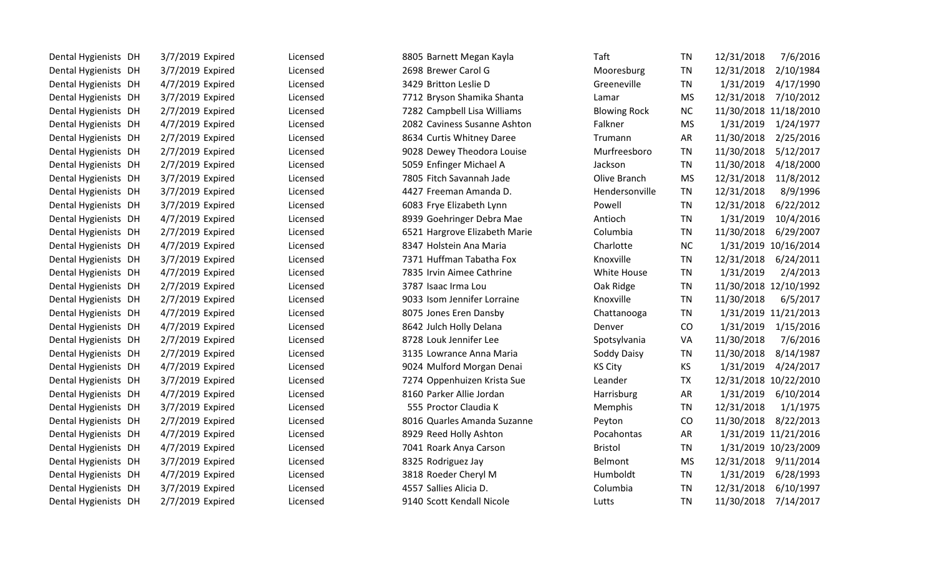| Dental Hygienists DH | 3/7/2019 Expired | Licensed | 8805 Barnett Megan Kayla      | Taft                | <b>TN</b> | 7/6/2016<br>12/31/2018  |
|----------------------|------------------|----------|-------------------------------|---------------------|-----------|-------------------------|
| Dental Hygienists DH | 3/7/2019 Expired | Licensed | 2698 Brewer Carol G           | Mooresburg          | TN        | 12/31/2018<br>2/10/1984 |
| Dental Hygienists DH | 4/7/2019 Expired | Licensed | 3429 Britton Leslie D         | Greeneville         | TN        | 1/31/2019<br>4/17/1990  |
| Dental Hygienists DH | 3/7/2019 Expired | Licensed | 7712 Bryson Shamika Shanta    | Lamar               | <b>MS</b> | 12/31/2018<br>7/10/2012 |
| Dental Hygienists DH | 2/7/2019 Expired | Licensed | 7282 Campbell Lisa Williams   | <b>Blowing Rock</b> | <b>NC</b> | 11/30/2018 11/18/2010   |
| Dental Hygienists DH | 4/7/2019 Expired | Licensed | 2082 Caviness Susanne Ashton  | Falkner             | <b>MS</b> | 1/31/2019<br>1/24/1977  |
| Dental Hygienists DH | 2/7/2019 Expired | Licensed | 8634 Curtis Whitney Daree     | Trumann             | <b>AR</b> | 11/30/2018<br>2/25/2016 |
| Dental Hygienists DH | 2/7/2019 Expired | Licensed | 9028 Dewey Theodora Louise    | Murfreesboro        | <b>TN</b> | 11/30/2018<br>5/12/2017 |
| Dental Hygienists DH | 2/7/2019 Expired | Licensed | 5059 Enfinger Michael A       | Jackson             | TN        | 11/30/2018<br>4/18/2000 |
| Dental Hygienists DH | 3/7/2019 Expired | Licensed | 7805 Fitch Savannah Jade      | Olive Branch        | <b>MS</b> | 12/31/2018<br>11/8/2012 |
| Dental Hygienists DH | 3/7/2019 Expired | Licensed | 4427 Freeman Amanda D.        | Hendersonville      | <b>TN</b> | 12/31/2018<br>8/9/1996  |
| Dental Hygienists DH | 3/7/2019 Expired | Licensed | 6083 Frye Elizabeth Lynn      | Powell              | <b>TN</b> | 6/22/2012<br>12/31/2018 |
| Dental Hygienists DH | 4/7/2019 Expired | Licensed | 8939 Goehringer Debra Mae     | Antioch             | TN        | 10/4/2016<br>1/31/2019  |
| Dental Hygienists DH | 2/7/2019 Expired | Licensed | 6521 Hargrove Elizabeth Marie | Columbia            | <b>TN</b> | 11/30/2018<br>6/29/2007 |
| Dental Hygienists DH | 4/7/2019 Expired | Licensed | 8347 Holstein Ana Maria       | Charlotte           | <b>NC</b> | 1/31/2019 10/16/2014    |
| Dental Hygienists DH | 3/7/2019 Expired | Licensed | 7371 Huffman Tabatha Fox      | Knoxville           | <b>TN</b> | 12/31/2018<br>6/24/2011 |
| Dental Hygienists DH | 4/7/2019 Expired | Licensed | 7835 Irvin Aimee Cathrine     | White House         | <b>TN</b> | 1/31/2019<br>2/4/2013   |
| Dental Hygienists DH | 2/7/2019 Expired | Licensed | 3787 Isaac Irma Lou           | Oak Ridge           | <b>TN</b> | 11/30/2018 12/10/1992   |
| Dental Hygienists DH | 2/7/2019 Expired | Licensed | 9033 Isom Jennifer Lorraine   | Knoxville           | <b>TN</b> | 11/30/2018<br>6/5/2017  |
| Dental Hygienists DH | 4/7/2019 Expired | Licensed | 8075 Jones Eren Dansby        | Chattanooga         | <b>TN</b> | 1/31/2019 11/21/2013    |
| Dental Hygienists DH | 4/7/2019 Expired | Licensed | 8642 Julch Holly Delana       | Denver              | CO        | 1/15/2016<br>1/31/2019  |
| Dental Hygienists DH | 2/7/2019 Expired | Licensed | 8728 Louk Jennifer Lee        | Spotsylvania        | VA        | 11/30/2018<br>7/6/2016  |
| Dental Hygienists DH | 2/7/2019 Expired | Licensed | 3135 Lowrance Anna Maria      | Soddy Daisy         | TN        | 11/30/2018<br>8/14/1987 |
| Dental Hygienists DH | 4/7/2019 Expired | Licensed | 9024 Mulford Morgan Denai     | <b>KS City</b>      | <b>KS</b> | 1/31/2019<br>4/24/2017  |
| Dental Hygienists DH | 3/7/2019 Expired | Licensed | 7274 Oppenhuizen Krista Sue   | Leander             | <b>TX</b> | 12/31/2018 10/22/2010   |
| Dental Hygienists DH | 4/7/2019 Expired | Licensed | 8160 Parker Allie Jordan      | Harrisburg          | <b>AR</b> | 1/31/2019<br>6/10/2014  |
| Dental Hygienists DH | 3/7/2019 Expired | Licensed | 555 Proctor Claudia K         | Memphis             | <b>TN</b> | 12/31/2018<br>1/1/1975  |
| Dental Hygienists DH | 2/7/2019 Expired | Licensed | 8016 Quarles Amanda Suzanne   | Peyton              | CO        | 11/30/2018<br>8/22/2013 |
| Dental Hygienists DH | 4/7/2019 Expired | Licensed | 8929 Reed Holly Ashton        | Pocahontas          | AR        | 1/31/2019 11/21/2016    |
| Dental Hygienists DH | 4/7/2019 Expired | Licensed | 7041 Roark Anya Carson        | <b>Bristol</b>      | <b>TN</b> | 1/31/2019 10/23/2009    |
| Dental Hygienists DH | 3/7/2019 Expired | Licensed | 8325 Rodriguez Jay            | Belmont             | <b>MS</b> | 12/31/2018<br>9/11/2014 |
| Dental Hygienists DH | 4/7/2019 Expired | Licensed | 3818 Roeder Cheryl M          | Humboldt            | <b>TN</b> | 1/31/2019<br>6/28/1993  |
| Dental Hygienists DH | 3/7/2019 Expired | Licensed | 4557 Sallies Alicia D.        | Columbia            | <b>TN</b> | 12/31/2018<br>6/10/1997 |
| Dental Hygienists DH | 2/7/2019 Expired | Licensed | 9140 Scott Kendall Nicole     | Lutts               | <b>TN</b> | 11/30/2018<br>7/14/2017 |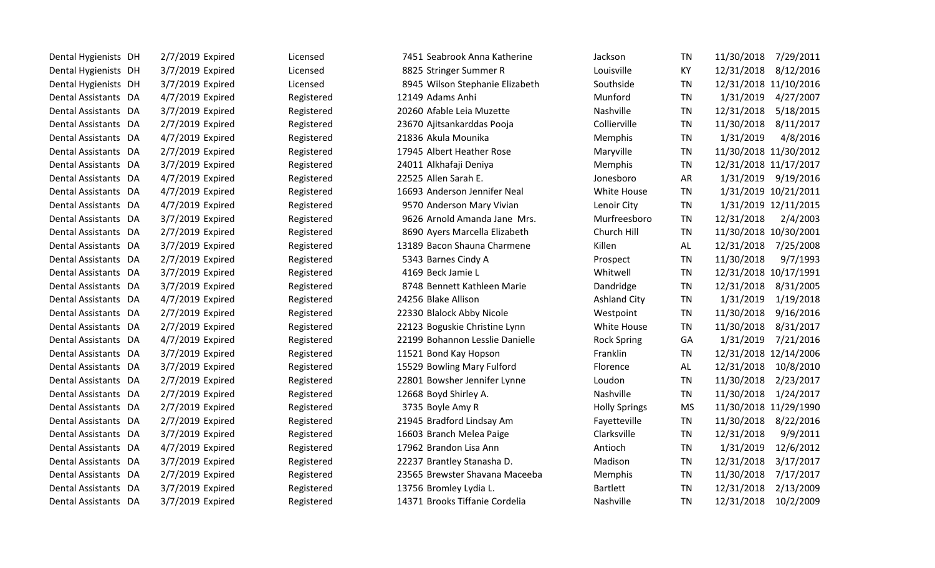| Dental Hygienists DH | 2/7/2019 Expired | Licensed   | 7451 Seabrook Anna Katherine    | Jackson              | <b>TN</b> | 7/29/2011<br>11/30/2018 |
|----------------------|------------------|------------|---------------------------------|----------------------|-----------|-------------------------|
| Dental Hygienists DH | 3/7/2019 Expired | Licensed   | 8825 Stringer Summer R          | Louisville           | KY        | 8/12/2016<br>12/31/2018 |
| Dental Hygienists DH | 3/7/2019 Expired | Licensed   | 8945 Wilson Stephanie Elizabeth | Southside            | <b>TN</b> | 12/31/2018 11/10/2016   |
| Dental Assistants DA | 4/7/2019 Expired | Registered | 12149 Adams Anhi                | Munford              | TN        | 1/31/2019<br>4/27/2007  |
| Dental Assistants DA | 3/7/2019 Expired | Registered | 20260 Afable Leia Muzette       | Nashville            | <b>TN</b> | 12/31/2018<br>5/18/2015 |
| Dental Assistants DA | 2/7/2019 Expired | Registered | 23670 Ajitsankarddas Pooja      | Collierville         | <b>TN</b> | 11/30/2018<br>8/11/2017 |
| Dental Assistants DA | 4/7/2019 Expired | Registered | 21836 Akula Mounika             | Memphis              | <b>TN</b> | 1/31/2019<br>4/8/2016   |
| Dental Assistants DA | 2/7/2019 Expired | Registered | 17945 Albert Heather Rose       | Maryville            | <b>TN</b> | 11/30/2018 11/30/2012   |
| Dental Assistants DA | 3/7/2019 Expired | Registered | 24011 Alkhafaji Deniya          | Memphis              | <b>TN</b> | 12/31/2018 11/17/2017   |
| Dental Assistants DA | 4/7/2019 Expired | Registered | 22525 Allen Sarah E.            | Jonesboro            | <b>AR</b> | 1/31/2019<br>9/19/2016  |
| Dental Assistants DA | 4/7/2019 Expired | Registered | 16693 Anderson Jennifer Neal    | White House          | <b>TN</b> | 1/31/2019 10/21/2011    |
| Dental Assistants DA | 4/7/2019 Expired | Registered | 9570 Anderson Mary Vivian       | Lenoir City          | <b>TN</b> | 1/31/2019 12/11/2015    |
| Dental Assistants DA | 3/7/2019 Expired | Registered | 9626 Arnold Amanda Jane Mrs.    | Murfreesboro         | <b>TN</b> | 12/31/2018<br>2/4/2003  |
| Dental Assistants DA | 2/7/2019 Expired | Registered | 8690 Ayers Marcella Elizabeth   | Church Hill          | TN        | 11/30/2018 10/30/2001   |
| Dental Assistants DA | 3/7/2019 Expired | Registered | 13189 Bacon Shauna Charmene     | Killen               | AL        | 12/31/2018<br>7/25/2008 |
| Dental Assistants DA | 2/7/2019 Expired | Registered | 5343 Barnes Cindy A             | Prospect             | <b>TN</b> | 11/30/2018<br>9/7/1993  |
| Dental Assistants DA | 3/7/2019 Expired | Registered | 4169 Beck Jamie L               | Whitwell             | <b>TN</b> | 12/31/2018 10/17/1991   |
| Dental Assistants DA | 3/7/2019 Expired | Registered | 8748 Bennett Kathleen Marie     | Dandridge            | <b>TN</b> | 12/31/2018<br>8/31/2005 |
| Dental Assistants DA | 4/7/2019 Expired | Registered | 24256 Blake Allison             | <b>Ashland City</b>  | <b>TN</b> | 1/31/2019<br>1/19/2018  |
| Dental Assistants DA | 2/7/2019 Expired | Registered | 22330 Blalock Abby Nicole       | Westpoint            | <b>TN</b> | 11/30/2018<br>9/16/2016 |
| Dental Assistants DA | 2/7/2019 Expired | Registered | 22123 Boguskie Christine Lynn   | White House          | <b>TN</b> | 11/30/2018<br>8/31/2017 |
| Dental Assistants DA | 4/7/2019 Expired | Registered | 22199 Bohannon Lesslie Danielle | <b>Rock Spring</b>   | GA        | 1/31/2019<br>7/21/2016  |
| Dental Assistants DA | 3/7/2019 Expired | Registered | 11521 Bond Kay Hopson           | Franklin             | <b>TN</b> | 12/31/2018 12/14/2006   |
| Dental Assistants DA | 3/7/2019 Expired | Registered | 15529 Bowling Mary Fulford      | Florence             | AL        | 12/31/2018<br>10/8/2010 |
| Dental Assistants DA | 2/7/2019 Expired | Registered | 22801 Bowsher Jennifer Lynne    | Loudon               | <b>TN</b> | 11/30/2018<br>2/23/2017 |
| Dental Assistants DA | 2/7/2019 Expired | Registered | 12668 Boyd Shirley A.           | Nashville            | <b>TN</b> | 11/30/2018<br>1/24/2017 |
| Dental Assistants DA | 2/7/2019 Expired | Registered | 3735 Boyle Amy R                | <b>Holly Springs</b> | <b>MS</b> | 11/30/2018 11/29/1990   |
| Dental Assistants DA | 2/7/2019 Expired | Registered | 21945 Bradford Lindsay Am       | Fayetteville         | <b>TN</b> | 11/30/2018<br>8/22/2016 |
| Dental Assistants DA | 3/7/2019 Expired | Registered | 16603 Branch Melea Paige        | Clarksville          | <b>TN</b> | 12/31/2018<br>9/9/2011  |
| Dental Assistants DA | 4/7/2019 Expired | Registered | 17962 Brandon Lisa Ann          | Antioch              | <b>TN</b> | 12/6/2012<br>1/31/2019  |
| Dental Assistants DA | 3/7/2019 Expired | Registered | 22237 Brantley Stanasha D.      | Madison              | <b>TN</b> | 12/31/2018<br>3/17/2017 |
| Dental Assistants DA | 2/7/2019 Expired | Registered | 23565 Brewster Shavana Maceeba  | Memphis              | <b>TN</b> | 7/17/2017<br>11/30/2018 |
| Dental Assistants DA | 3/7/2019 Expired | Registered | 13756 Bromley Lydia L.          | <b>Bartlett</b>      | <b>TN</b> | 12/31/2018<br>2/13/2009 |
| Dental Assistants DA | 3/7/2019 Expired | Registered | 14371 Brooks Tiffanie Cordelia  | Nashville            | TN        | 12/31/2018<br>10/2/2009 |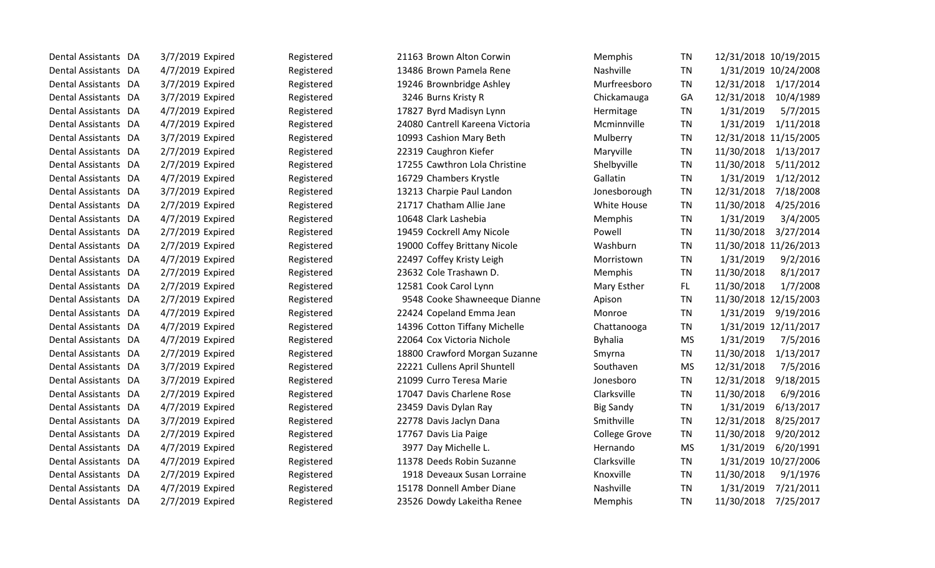| Dental Assistants DA | 3/7/2019 Expired | Registered | 21163 Brown Alton Corwin        | Memphis              | TN        | 12/31/2018 10/19/2015   |
|----------------------|------------------|------------|---------------------------------|----------------------|-----------|-------------------------|
| Dental Assistants DA | 4/7/2019 Expired | Registered | 13486 Brown Pamela Rene         | Nashville            | TN        | 1/31/2019 10/24/2008    |
| Dental Assistants DA | 3/7/2019 Expired | Registered | 19246 Brownbridge Ashley        | Murfreesboro         | <b>TN</b> | 12/31/2018 1/17/2014    |
| Dental Assistants DA | 3/7/2019 Expired | Registered | 3246 Burns Kristy R             | Chickamauga          | GA        | 12/31/2018<br>10/4/1989 |
| Dental Assistants DA | 4/7/2019 Expired | Registered | 17827 Byrd Madisyn Lynn         | Hermitage            | <b>TN</b> | 1/31/2019<br>5/7/2015   |
| Dental Assistants DA | 4/7/2019 Expired | Registered | 24080 Cantrell Kareena Victoria | Mcminnville          | TN        | 1/31/2019<br>1/11/2018  |
| Dental Assistants DA | 3/7/2019 Expired | Registered | 10993 Cashion Mary Beth         | Mulberry             | <b>TN</b> | 12/31/2018 11/15/2005   |
| Dental Assistants DA | 2/7/2019 Expired | Registered | 22319 Caughron Kiefer           | Maryville            | <b>TN</b> | 11/30/2018<br>1/13/2017 |
| Dental Assistants DA | 2/7/2019 Expired | Registered | 17255 Cawthron Lola Christine   | Shelbyville          | <b>TN</b> | 11/30/2018<br>5/11/2012 |
| Dental Assistants DA | 4/7/2019 Expired | Registered | 16729 Chambers Krystle          | Gallatin             | <b>TN</b> | 1/31/2019<br>1/12/2012  |
| Dental Assistants DA | 3/7/2019 Expired | Registered | 13213 Charpie Paul Landon       | Jonesborough         | TN        | 7/18/2008<br>12/31/2018 |
| Dental Assistants DA | 2/7/2019 Expired | Registered | 21717 Chatham Allie Jane        | White House          | TN        | 11/30/2018<br>4/25/2016 |
| Dental Assistants DA | 4/7/2019 Expired | Registered | 10648 Clark Lashebia            | Memphis              | <b>TN</b> | 1/31/2019<br>3/4/2005   |
| Dental Assistants DA | 2/7/2019 Expired | Registered | 19459 Cockrell Amy Nicole       | Powell               | <b>TN</b> | 3/27/2014<br>11/30/2018 |
| Dental Assistants DA | 2/7/2019 Expired | Registered | 19000 Coffey Brittany Nicole    | Washburn             | <b>TN</b> | 11/30/2018 11/26/2013   |
| Dental Assistants DA | 4/7/2019 Expired | Registered | 22497 Coffey Kristy Leigh       | Morristown           | TN        | 1/31/2019<br>9/2/2016   |
| Dental Assistants DA | 2/7/2019 Expired | Registered | 23632 Cole Trashawn D.          | Memphis              | <b>TN</b> | 11/30/2018<br>8/1/2017  |
| Dental Assistants DA | 2/7/2019 Expired | Registered | 12581 Cook Carol Lynn           | Mary Esther          | FL.       | 11/30/2018<br>1/7/2008  |
| Dental Assistants DA | 2/7/2019 Expired | Registered | 9548 Cooke Shawneeque Dianne    | Apison               | <b>TN</b> | 11/30/2018 12/15/2003   |
| Dental Assistants DA | 4/7/2019 Expired | Registered | 22424 Copeland Emma Jean        | Monroe               | <b>TN</b> | 1/31/2019<br>9/19/2016  |
| Dental Assistants DA | 4/7/2019 Expired | Registered | 14396 Cotton Tiffany Michelle   | Chattanooga          | TN        | 1/31/2019 12/11/2017    |
| Dental Assistants DA | 4/7/2019 Expired | Registered | 22064 Cox Victoria Nichole      | <b>Byhalia</b>       | <b>MS</b> | 1/31/2019<br>7/5/2016   |
| Dental Assistants DA | 2/7/2019 Expired | Registered | 18800 Crawford Morgan Suzanne   | Smyrna               | <b>TN</b> | 1/13/2017<br>11/30/2018 |
| Dental Assistants DA | 3/7/2019 Expired | Registered | 22221 Cullens April Shuntell    | Southaven            | <b>MS</b> | 12/31/2018<br>7/5/2016  |
| Dental Assistants DA | 3/7/2019 Expired | Registered | 21099 Curro Teresa Marie        | Jonesboro            | <b>TN</b> | 9/18/2015<br>12/31/2018 |
| Dental Assistants DA | 2/7/2019 Expired | Registered | 17047 Davis Charlene Rose       | Clarksville          | TN        | 11/30/2018<br>6/9/2016  |
| Dental Assistants DA | 4/7/2019 Expired | Registered | 23459 Davis Dylan Ray           | <b>Big Sandy</b>     | <b>TN</b> | 1/31/2019<br>6/13/2017  |
| Dental Assistants DA | 3/7/2019 Expired | Registered | 22778 Davis Jaclyn Dana         | Smithville           | <b>TN</b> | 12/31/2018<br>8/25/2017 |
| Dental Assistants DA | 2/7/2019 Expired | Registered | 17767 Davis Lia Paige           | <b>College Grove</b> | <b>TN</b> | 11/30/2018<br>9/20/2012 |
| Dental Assistants DA | 4/7/2019 Expired | Registered | 3977 Day Michelle L.            | Hernando             | MS.       | 1/31/2019<br>6/20/1991  |
| Dental Assistants DA | 4/7/2019 Expired | Registered | 11378 Deeds Robin Suzanne       | Clarksville          | TN        | 1/31/2019 10/27/2006    |
| Dental Assistants DA | 2/7/2019 Expired | Registered | 1918 Deveaux Susan Lorraine     | Knoxville            | <b>TN</b> | 11/30/2018<br>9/1/1976  |
| Dental Assistants DA | 4/7/2019 Expired | Registered | 15178 Donnell Amber Diane       | Nashville            | TN        | 1/31/2019<br>7/21/2011  |
| Dental Assistants DA | 2/7/2019 Expired | Registered | 23526 Dowdy Lakeitha Renee      | Memphis              | <b>TN</b> | 11/30/2018 7/25/2017    |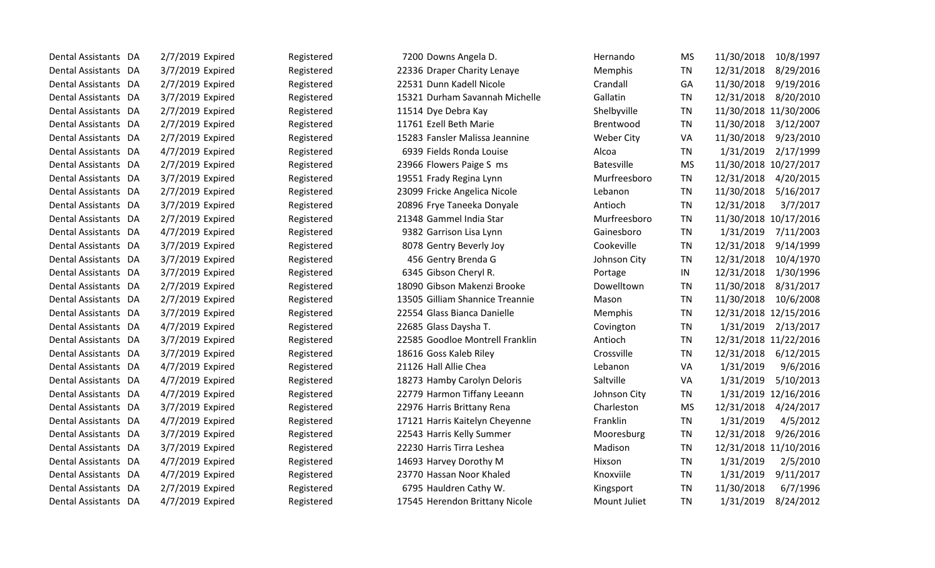| Dental Assistants DA | 2/7/2019 Expired | Registered | 7200 Downs Angela D.            | Hernando          | <b>MS</b> | 11/30/2018<br>10/8/1997 |
|----------------------|------------------|------------|---------------------------------|-------------------|-----------|-------------------------|
| Dental Assistants DA | 3/7/2019 Expired | Registered | 22336 Draper Charity Lenaye     | Memphis           | TN        | 8/29/2016<br>12/31/2018 |
| Dental Assistants DA | 2/7/2019 Expired | Registered | 22531 Dunn Kadell Nicole        | Crandall          | GA        | 9/19/2016<br>11/30/2018 |
| Dental Assistants DA | 3/7/2019 Expired | Registered | 15321 Durham Savannah Michelle  | Gallatin          | TN        | 12/31/2018<br>8/20/2010 |
| Dental Assistants DA | 2/7/2019 Expired | Registered | 11514 Dye Debra Kay             | Shelbyville       | <b>TN</b> | 11/30/2018 11/30/2006   |
| Dental Assistants DA | 2/7/2019 Expired | Registered | 11761 Ezell Beth Marie          | Brentwood         | TN        | 11/30/2018<br>3/12/2007 |
| Dental Assistants DA | 2/7/2019 Expired | Registered | 15283 Fansler Malissa Jeannine  | <b>Weber City</b> | VA        | 11/30/2018<br>9/23/2010 |
| Dental Assistants DA | 4/7/2019 Expired | Registered | 6939 Fields Ronda Louise        | Alcoa             | TN        | 1/31/2019<br>2/17/1999  |
| Dental Assistants DA | 2/7/2019 Expired | Registered | 23966 Flowers Paige S ms        | <b>Batesville</b> | <b>MS</b> | 11/30/2018 10/27/2017   |
| Dental Assistants DA | 3/7/2019 Expired | Registered | 19551 Frady Regina Lynn         | Murfreesboro      | TN        | 12/31/2018<br>4/20/2015 |
| Dental Assistants DA | 2/7/2019 Expired | Registered | 23099 Fricke Angelica Nicole    | Lebanon           | TN        | 11/30/2018<br>5/16/2017 |
| Dental Assistants DA | 3/7/2019 Expired | Registered | 20896 Frye Taneeka Donyale      | Antioch           | TN        | 12/31/2018<br>3/7/2017  |
| Dental Assistants DA | 2/7/2019 Expired | Registered | 21348 Gammel India Star         | Murfreesboro      | TN        | 11/30/2018 10/17/2016   |
| Dental Assistants DA | 4/7/2019 Expired | Registered | 9382 Garrison Lisa Lynn         | Gainesboro        | TN        | 1/31/2019<br>7/11/2003  |
| Dental Assistants DA | 3/7/2019 Expired | Registered | 8078 Gentry Beverly Joy         | Cookeville        | <b>TN</b> | 12/31/2018<br>9/14/1999 |
| Dental Assistants DA | 3/7/2019 Expired | Registered | 456 Gentry Brenda G             | Johnson City      | <b>TN</b> | 12/31/2018<br>10/4/1970 |
| Dental Assistants DA | 3/7/2019 Expired | Registered | 6345 Gibson Cheryl R.           | Portage           | IN        | 12/31/2018<br>1/30/1996 |
| Dental Assistants DA | 2/7/2019 Expired | Registered | 18090 Gibson Makenzi Brooke     | Dowelltown        | <b>TN</b> | 11/30/2018<br>8/31/2017 |
| Dental Assistants DA | 2/7/2019 Expired | Registered | 13505 Gilliam Shannice Treannie | Mason             | <b>TN</b> | 11/30/2018<br>10/6/2008 |
| Dental Assistants DA | 3/7/2019 Expired | Registered | 22554 Glass Bianca Danielle     | Memphis           | <b>TN</b> | 12/31/2018 12/15/2016   |
| Dental Assistants DA | 4/7/2019 Expired | Registered | 22685 Glass Daysha T.           | Covington         | <b>TN</b> | 1/31/2019<br>2/13/2017  |
| Dental Assistants DA | 3/7/2019 Expired | Registered | 22585 Goodloe Montrell Franklin | Antioch           | <b>TN</b> | 12/31/2018 11/22/2016   |
| Dental Assistants DA | 3/7/2019 Expired | Registered | 18616 Goss Kaleb Riley          | Crossville        | TN        | 12/31/2018<br>6/12/2015 |
| Dental Assistants DA | 4/7/2019 Expired | Registered | 21126 Hall Allie Chea           | Lebanon           | VA        | 1/31/2019<br>9/6/2016   |
| Dental Assistants DA | 4/7/2019 Expired | Registered | 18273 Hamby Carolyn Deloris     | Saltville         | VA        | 1/31/2019<br>5/10/2013  |
| Dental Assistants DA | 4/7/2019 Expired | Registered | 22779 Harmon Tiffany Leeann     | Johnson City      | <b>TN</b> | 1/31/2019 12/16/2016    |
| Dental Assistants DA | 3/7/2019 Expired | Registered | 22976 Harris Brittany Rena      | Charleston        | <b>MS</b> | 12/31/2018<br>4/24/2017 |
| Dental Assistants DA | 4/7/2019 Expired | Registered | 17121 Harris Kaitelyn Cheyenne  | Franklin          | <b>TN</b> | 4/5/2012<br>1/31/2019   |
| Dental Assistants DA | 3/7/2019 Expired | Registered | 22543 Harris Kelly Summer       | Mooresburg        | TN        | 12/31/2018<br>9/26/2016 |
| Dental Assistants DA | 3/7/2019 Expired | Registered | 22230 Harris Tirra Leshea       | Madison           | <b>TN</b> | 12/31/2018 11/10/2016   |
| Dental Assistants DA | 4/7/2019 Expired | Registered | 14693 Harvey Dorothy M          | Hixson            | <b>TN</b> | 1/31/2019<br>2/5/2010   |
| Dental Assistants DA | 4/7/2019 Expired | Registered | 23770 Hassan Noor Khaled        | Knoxviile         | <b>TN</b> | 1/31/2019<br>9/11/2017  |
| Dental Assistants DA | 2/7/2019 Expired | Registered | 6795 Hauldren Cathy W.          | Kingsport         | <b>TN</b> | 11/30/2018<br>6/7/1996  |
| Dental Assistants DA | 4/7/2019 Expired | Registered | 17545 Herendon Brittany Nicole  | Mount Juliet      | <b>TN</b> | 1/31/2019<br>8/24/2012  |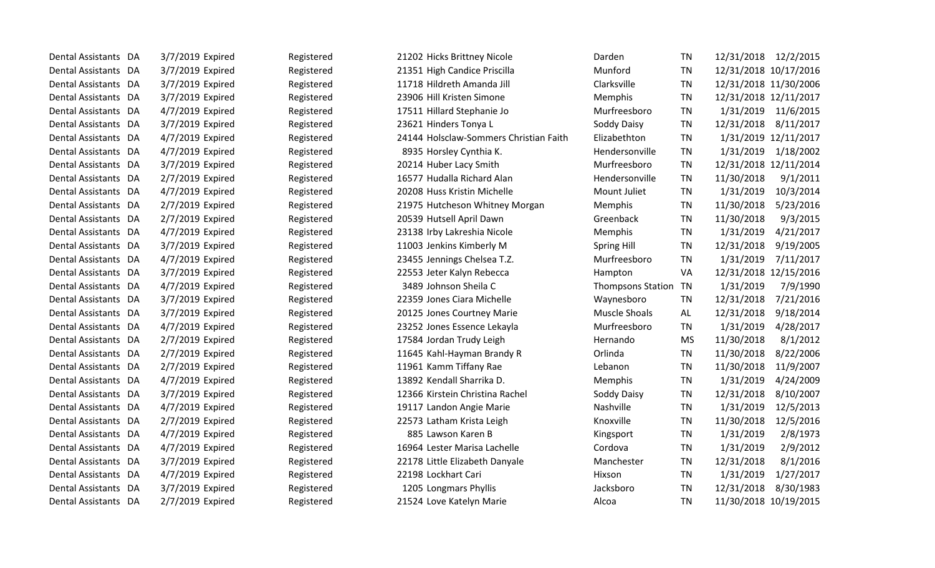| Dental Assistants DA     |    | 3/7/2019 Expired | Registered | 21202 Hicks Brittney Nicole            | Darden                   | <b>TN</b> | 12/31/2018            | 12/2/2015            |
|--------------------------|----|------------------|------------|----------------------------------------|--------------------------|-----------|-----------------------|----------------------|
| Dental Assistants DA     |    | 3/7/2019 Expired | Registered | 21351 High Candice Priscilla           | Munford                  | <b>TN</b> | 12/31/2018 10/17/2016 |                      |
| Dental Assistants DA     |    | 3/7/2019 Expired | Registered | 11718 Hildreth Amanda Jill             | Clarksville              | <b>TN</b> | 12/31/2018 11/30/2006 |                      |
| Dental Assistants DA     |    | 3/7/2019 Expired | Registered | 23906 Hill Kristen Simone              | Memphis                  | <b>TN</b> | 12/31/2018 12/11/2017 |                      |
| <b>Dental Assistants</b> | DA | 4/7/2019 Expired | Registered | 17511 Hillard Stephanie Jo             | Murfreesboro             | <b>TN</b> | 1/31/2019             | 11/6/2015            |
| <b>Dental Assistants</b> | DA | 3/7/2019 Expired | Registered | 23621 Hinders Tonya L                  | Soddy Daisy              | <b>TN</b> | 12/31/2018            | 8/11/2017            |
| Dental Assistants DA     |    | 4/7/2019 Expired | Registered | 24144 Holsclaw-Sommers Christian Faith | Elizabethton             | <b>TN</b> |                       | 1/31/2019 12/11/2017 |
| Dental Assistants DA     |    | 4/7/2019 Expired | Registered | 8935 Horsley Cynthia K.                | Hendersonville           | <b>TN</b> | 1/31/2019             | 1/18/2002            |
| Dental Assistants DA     |    | 3/7/2019 Expired | Registered | 20214 Huber Lacy Smith                 | Murfreesboro             | <b>TN</b> | 12/31/2018 12/11/2014 |                      |
| <b>Dental Assistants</b> | DA | 2/7/2019 Expired | Registered | 16577 Hudalla Richard Alan             | Hendersonville           | <b>TN</b> | 11/30/2018            | 9/1/2011             |
| Dental Assistants DA     |    | 4/7/2019 Expired | Registered | 20208 Huss Kristin Michelle            | Mount Juliet             | <b>TN</b> | 1/31/2019             | 10/3/2014            |
| Dental Assistants DA     |    | 2/7/2019 Expired | Registered | 21975 Hutcheson Whitney Morgan         | Memphis                  | <b>TN</b> | 11/30/2018            | 5/23/2016            |
| Dental Assistants DA     |    | 2/7/2019 Expired | Registered | 20539 Hutsell April Dawn               | Greenback                | <b>TN</b> | 11/30/2018            | 9/3/2015             |
| Dental Assistants DA     |    | 4/7/2019 Expired | Registered | 23138 Irby Lakreshia Nicole            | Memphis                  | TN        | 1/31/2019             | 4/21/2017            |
| <b>Dental Assistants</b> | DA | 3/7/2019 Expired | Registered | 11003 Jenkins Kimberly M               | <b>Spring Hill</b>       | <b>TN</b> | 12/31/2018            | 9/19/2005            |
| Dental Assistants        | DA | 4/7/2019 Expired | Registered | 23455 Jennings Chelsea T.Z.            | Murfreesboro             | <b>TN</b> | 1/31/2019             | 7/11/2017            |
| Dental Assistants DA     |    | 3/7/2019 Expired | Registered | 22553 Jeter Kalyn Rebecca              | Hampton                  | VA        | 12/31/2018 12/15/2016 |                      |
| Dental Assistants DA     |    | 4/7/2019 Expired | Registered | 3489 Johnson Sheila C                  | <b>Thompsons Station</b> | TN        | 1/31/2019             | 7/9/1990             |
| Dental Assistants DA     |    | 3/7/2019 Expired | Registered | 22359 Jones Ciara Michelle             | Waynesboro               | TN        | 12/31/2018            | 7/21/2016            |
| <b>Dental Assistants</b> | DA | 3/7/2019 Expired | Registered | 20125 Jones Courtney Marie             | <b>Muscle Shoals</b>     | AL        | 12/31/2018            | 9/18/2014            |
| Dental Assistants DA     |    | 4/7/2019 Expired | Registered | 23252 Jones Essence Lekayla            | Murfreesboro             | TN        | 1/31/2019             | 4/28/2017            |
| Dental Assistants DA     |    | 2/7/2019 Expired | Registered | 17584 Jordan Trudy Leigh               | Hernando                 | <b>MS</b> | 11/30/2018            | 8/1/2012             |
| Dental Assistants DA     |    | 2/7/2019 Expired | Registered | 11645 Kahl-Hayman Brandy R             | Orlinda                  | <b>TN</b> | 11/30/2018            | 8/22/2006            |
| Dental Assistants DA     |    | 2/7/2019 Expired | Registered | 11961 Kamm Tiffany Rae                 | Lebanon                  | <b>TN</b> | 11/30/2018            | 11/9/2007            |
| Dental Assistants DA     |    | 4/7/2019 Expired | Registered | 13892 Kendall Sharrika D.              | Memphis                  | <b>TN</b> | 1/31/2019             | 4/24/2009            |
| Dental Assistants DA     |    | 3/7/2019 Expired | Registered | 12366 Kirstein Christina Rachel        | Soddy Daisy              | <b>TN</b> | 12/31/2018            | 8/10/2007            |
| Dental Assistants DA     |    | 4/7/2019 Expired | Registered | 19117 Landon Angie Marie               | Nashville                | <b>TN</b> | 1/31/2019             | 12/5/2013            |
| Dental Assistants DA     |    | 2/7/2019 Expired | Registered | 22573 Latham Krista Leigh              | Knoxville                | <b>TN</b> | 11/30/2018            | 12/5/2016            |
| Dental Assistants DA     |    | 4/7/2019 Expired | Registered | 885 Lawson Karen B                     | Kingsport                | <b>TN</b> | 1/31/2019             | 2/8/1973             |
| <b>Dental Assistants</b> | DA | 4/7/2019 Expired | Registered | 16964 Lester Marisa Lachelle           | Cordova                  | <b>TN</b> | 1/31/2019             | 2/9/2012             |
| Dental Assistants DA     |    | 3/7/2019 Expired | Registered | 22178 Little Elizabeth Danyale         | Manchester               | <b>TN</b> | 12/31/2018            | 8/1/2016             |
| Dental Assistants DA     |    | 4/7/2019 Expired | Registered | 22198 Lockhart Cari                    | Hixson                   | TN        | 1/31/2019             | 1/27/2017            |
| Dental Assistants DA     |    | 3/7/2019 Expired | Registered | 1205 Longmars Phyllis                  | Jacksboro                | <b>TN</b> | 12/31/2018            | 8/30/1983            |
| Dental Assistants DA     |    | 2/7/2019 Expired | Registered | 21524 Love Katelyn Marie               | Alcoa                    | <b>TN</b> | 11/30/2018 10/19/2015 |                      |
|                          |    |                  |            |                                        |                          |           |                       |                      |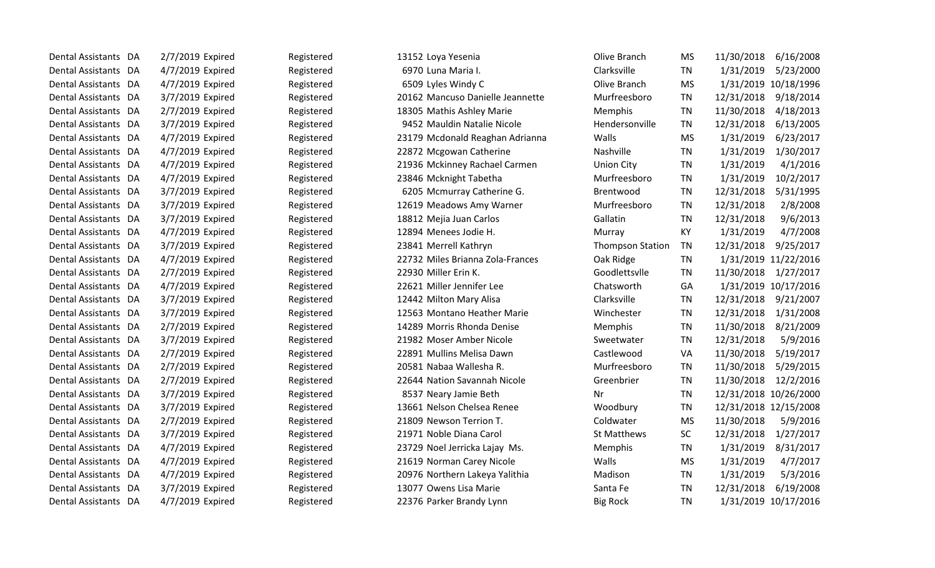| Dental Assistants DA | 2/7/2019 Expired | Registered | 13152 Loya Yesenia               | Olive Branch            | <b>MS</b> | 11/30/2018<br>6/16/2008 |
|----------------------|------------------|------------|----------------------------------|-------------------------|-----------|-------------------------|
| Dental Assistants DA | 4/7/2019 Expired | Registered | 6970 Luna Maria I.               | Clarksville             | TN        | 1/31/2019<br>5/23/2000  |
| Dental Assistants DA | 4/7/2019 Expired | Registered | 6509 Lyles Windy C               | Olive Branch            | <b>MS</b> | 1/31/2019 10/18/1996    |
| Dental Assistants DA | 3/7/2019 Expired | Registered | 20162 Mancuso Danielle Jeannette | Murfreesboro            | <b>TN</b> | 12/31/2018<br>9/18/2014 |
| Dental Assistants DA | 2/7/2019 Expired | Registered | 18305 Mathis Ashley Marie        | Memphis                 | TN        | 11/30/2018<br>4/18/2013 |
| Dental Assistants DA | 3/7/2019 Expired | Registered | 9452 Mauldin Natalie Nicole      | Hendersonville          | <b>TN</b> | 6/13/2005<br>12/31/2018 |
| Dental Assistants DA | 4/7/2019 Expired | Registered | 23179 Mcdonald Reaghan Adrianna  | Walls                   | <b>MS</b> | 1/31/2019<br>6/23/2017  |
| Dental Assistants DA | 4/7/2019 Expired | Registered | 22872 Mcgowan Catherine          | Nashville               | <b>TN</b> | 1/31/2019<br>1/30/2017  |
| Dental Assistants DA | 4/7/2019 Expired | Registered | 21936 Mckinney Rachael Carmen    | <b>Union City</b>       | TN        | 1/31/2019<br>4/1/2016   |
| Dental Assistants DA | 4/7/2019 Expired | Registered | 23846 Mcknight Tabetha           | Murfreesboro            | <b>TN</b> | 10/2/2017<br>1/31/2019  |
| Dental Assistants DA | 3/7/2019 Expired | Registered | 6205 Mcmurray Catherine G.       | <b>Brentwood</b>        | TN        | 12/31/2018<br>5/31/1995 |
| Dental Assistants DA | 3/7/2019 Expired | Registered | 12619 Meadows Amy Warner         | Murfreesboro            | <b>TN</b> | 12/31/2018<br>2/8/2008  |
| Dental Assistants DA | 3/7/2019 Expired | Registered | 18812 Mejia Juan Carlos          | Gallatin                | <b>TN</b> | 12/31/2018<br>9/6/2013  |
| Dental Assistants DA | 4/7/2019 Expired | Registered | 12894 Menees Jodie H.            | Murray                  | KY        | 4/7/2008<br>1/31/2019   |
| Dental Assistants DA | 3/7/2019 Expired | Registered | 23841 Merrell Kathryn            | <b>Thompson Station</b> | <b>TN</b> | 9/25/2017<br>12/31/2018 |
| Dental Assistants DA | 4/7/2019 Expired | Registered | 22732 Miles Brianna Zola-Frances | Oak Ridge               | <b>TN</b> | 1/31/2019 11/22/2016    |
| Dental Assistants DA | 2/7/2019 Expired | Registered | 22930 Miller Erin K.             | Goodlettsvlle           | <b>TN</b> | 11/30/2018<br>1/27/2017 |
| Dental Assistants DA | 4/7/2019 Expired | Registered | 22621 Miller Jennifer Lee        | Chatsworth              | GA        | 1/31/2019 10/17/2016    |
| Dental Assistants DA | 3/7/2019 Expired | Registered | 12442 Milton Mary Alisa          | Clarksville             | <b>TN</b> | 9/21/2007<br>12/31/2018 |
| Dental Assistants DA | 3/7/2019 Expired | Registered | 12563 Montano Heather Marie      | Winchester              | <b>TN</b> | 12/31/2018<br>1/31/2008 |
| Dental Assistants DA | 2/7/2019 Expired | Registered | 14289 Morris Rhonda Denise       | Memphis                 | TN        | 11/30/2018<br>8/21/2009 |
| Dental Assistants DA | 3/7/2019 Expired | Registered | 21982 Moser Amber Nicole         | Sweetwater              | TN        | 12/31/2018<br>5/9/2016  |
| Dental Assistants DA | 2/7/2019 Expired | Registered | 22891 Mullins Melisa Dawn        | Castlewood              | VA        | 5/19/2017<br>11/30/2018 |
| Dental Assistants DA | 2/7/2019 Expired | Registered | 20581 Nabaa Wallesha R.          | Murfreesboro            | TN        | 11/30/2018<br>5/29/2015 |
| Dental Assistants DA | 2/7/2019 Expired | Registered | 22644 Nation Savannah Nicole     | Greenbrier              | <b>TN</b> | 11/30/2018<br>12/2/2016 |
| Dental Assistants DA | 3/7/2019 Expired | Registered | 8537 Neary Jamie Beth            | Nr                      | TN        | 12/31/2018 10/26/2000   |
| Dental Assistants DA | 3/7/2019 Expired | Registered | 13661 Nelson Chelsea Renee       | Woodbury                | <b>TN</b> | 12/31/2018 12/15/2008   |
| Dental Assistants DA | 2/7/2019 Expired | Registered | 21809 Newson Terrion T.          | Coldwater               | <b>MS</b> | 11/30/2018<br>5/9/2016  |
| Dental Assistants DA | 3/7/2019 Expired | Registered | 21971 Noble Diana Carol          | <b>St Matthews</b>      | <b>SC</b> | 12/31/2018<br>1/27/2017 |
| Dental Assistants DA | 4/7/2019 Expired | Registered | 23729 Noel Jerricka Lajay Ms.    | Memphis                 | <b>TN</b> | 1/31/2019<br>8/31/2017  |
| Dental Assistants DA | 4/7/2019 Expired | Registered | 21619 Norman Carey Nicole        | Walls                   | <b>MS</b> | 1/31/2019<br>4/7/2017   |
| Dental Assistants DA | 4/7/2019 Expired | Registered | 20976 Northern Lakeya Yalithia   | Madison                 | TN        | 5/3/2016<br>1/31/2019   |
| Dental Assistants DA | 3/7/2019 Expired | Registered | 13077 Owens Lisa Marie           | Santa Fe                | <b>TN</b> | 12/31/2018<br>6/19/2008 |
| Dental Assistants DA | 4/7/2019 Expired | Registered | 22376 Parker Brandy Lynn         | <b>Big Rock</b>         | TN        | 1/31/2019 10/17/2016    |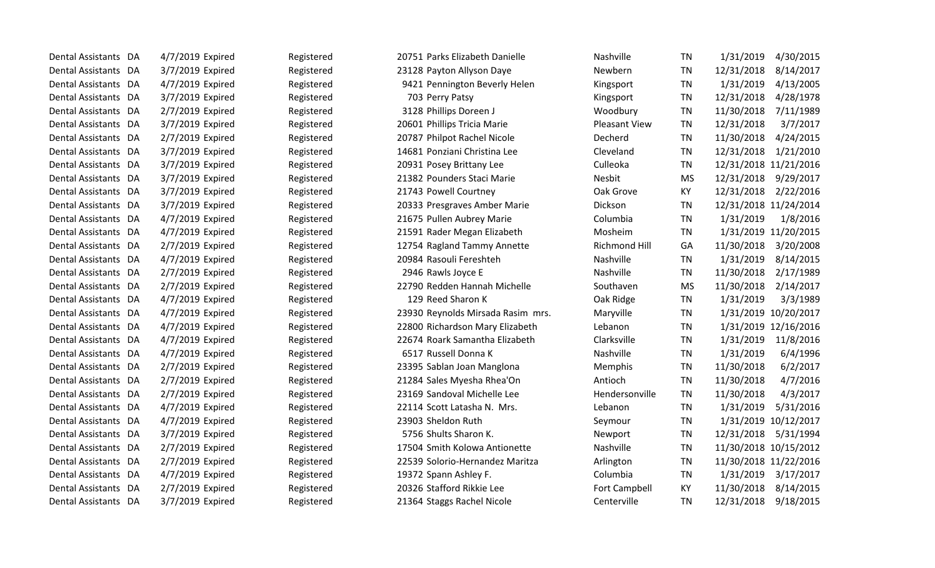| Dental Assistants DA | 4/7/2019 Expired | Registered | 20751 Parks Elizabeth Danielle    | Nashville            | TN        | 1/31/2019<br>4/30/2015  |
|----------------------|------------------|------------|-----------------------------------|----------------------|-----------|-------------------------|
| Dental Assistants DA | 3/7/2019 Expired | Registered | 23128 Payton Allyson Daye         | Newbern              | TN        | 12/31/2018<br>8/14/2017 |
| Dental Assistants DA | 4/7/2019 Expired | Registered | 9421 Pennington Beverly Helen     | Kingsport            | <b>TN</b> | 1/31/2019<br>4/13/2005  |
| Dental Assistants DA | 3/7/2019 Expired | Registered | 703 Perry Patsy                   | Kingsport            | TN        | 12/31/2018<br>4/28/1978 |
| Dental Assistants DA | 2/7/2019 Expired | Registered | 3128 Phillips Doreen J            | Woodbury             | <b>TN</b> | 11/30/2018<br>7/11/1989 |
| Dental Assistants DA | 3/7/2019 Expired | Registered | 20601 Phillips Tricia Marie       | <b>Pleasant View</b> | <b>TN</b> | 12/31/2018<br>3/7/2017  |
| Dental Assistants DA | 2/7/2019 Expired | Registered | 20787 Philpot Rachel Nicole       | Decherd              | <b>TN</b> | 4/24/2015<br>11/30/2018 |
| Dental Assistants DA | 3/7/2019 Expired | Registered | 14681 Ponziani Christina Lee      | Cleveland            | <b>TN</b> | 12/31/2018<br>1/21/2010 |
| Dental Assistants DA | 3/7/2019 Expired | Registered | 20931 Posey Brittany Lee          | Culleoka             | <b>TN</b> | 12/31/2018 11/21/2016   |
| Dental Assistants DA | 3/7/2019 Expired | Registered | 21382 Pounders Staci Marie        | Nesbit               | <b>MS</b> | 12/31/2018<br>9/29/2017 |
| Dental Assistants DA | 3/7/2019 Expired | Registered | 21743 Powell Courtney             | Oak Grove            | KY        | 2/22/2016<br>12/31/2018 |
| Dental Assistants DA | 3/7/2019 Expired | Registered | 20333 Presgraves Amber Marie      | Dickson              | TN        | 12/31/2018 11/24/2014   |
| Dental Assistants DA | 4/7/2019 Expired | Registered | 21675 Pullen Aubrey Marie         | Columbia             | <b>TN</b> | 1/31/2019<br>1/8/2016   |
| Dental Assistants DA | 4/7/2019 Expired | Registered | 21591 Rader Megan Elizabeth       | Mosheim              | <b>TN</b> | 1/31/2019 11/20/2015    |
| Dental Assistants DA | 2/7/2019 Expired | Registered | 12754 Ragland Tammy Annette       | Richmond Hill        | GA        | 11/30/2018<br>3/20/2008 |
| Dental Assistants DA | 4/7/2019 Expired | Registered | 20984 Rasouli Fereshteh           | Nashville            | <b>TN</b> | 1/31/2019<br>8/14/2015  |
| Dental Assistants DA | 2/7/2019 Expired | Registered | 2946 Rawls Joyce E                | Nashville            | <b>TN</b> | 11/30/2018<br>2/17/1989 |
| Dental Assistants DA | 2/7/2019 Expired | Registered | 22790 Redden Hannah Michelle      | Southaven            | <b>MS</b> | 11/30/2018<br>2/14/2017 |
| Dental Assistants DA | 4/7/2019 Expired | Registered | 129 Reed Sharon K                 | Oak Ridge            | <b>TN</b> | 1/31/2019<br>3/3/1989   |
| Dental Assistants DA | 4/7/2019 Expired | Registered | 23930 Reynolds Mirsada Rasim mrs. | Maryville            | <b>TN</b> | 1/31/2019 10/20/2017    |
| Dental Assistants DA | 4/7/2019 Expired | Registered | 22800 Richardson Mary Elizabeth   | Lebanon              | <b>TN</b> | 1/31/2019 12/16/2016    |
| Dental Assistants DA | 4/7/2019 Expired | Registered | 22674 Roark Samantha Elizabeth    | Clarksville          | <b>TN</b> | 11/8/2016<br>1/31/2019  |
| Dental Assistants DA | 4/7/2019 Expired | Registered | 6517 Russell Donna K              | Nashville            | TN        | 6/4/1996<br>1/31/2019   |
| Dental Assistants DA | 2/7/2019 Expired | Registered | 23395 Sablan Joan Manglona        | Memphis              | <b>TN</b> | 11/30/2018<br>6/2/2017  |
| Dental Assistants DA | 2/7/2019 Expired | Registered | 21284 Sales Myesha Rhea'On        | Antioch              | TN        | 11/30/2018<br>4/7/2016  |
| Dental Assistants DA | 2/7/2019 Expired | Registered | 23169 Sandoval Michelle Lee       | Hendersonville       | <b>TN</b> | 4/3/2017<br>11/30/2018  |
| Dental Assistants DA | 4/7/2019 Expired | Registered | 22114 Scott Latasha N. Mrs.       | Lebanon              | <b>TN</b> | 1/31/2019<br>5/31/2016  |
| Dental Assistants DA | 4/7/2019 Expired | Registered | 23903 Sheldon Ruth                | Seymour              | <b>TN</b> | 1/31/2019 10/12/2017    |
| Dental Assistants DA | 3/7/2019 Expired | Registered | 5756 Shults Sharon K.             | Newport              | TN        | 12/31/2018<br>5/31/1994 |
| Dental Assistants DA | 2/7/2019 Expired | Registered | 17504 Smith Kolowa Antionette     | Nashville            | <b>TN</b> | 11/30/2018 10/15/2012   |
| Dental Assistants DA | 2/7/2019 Expired | Registered | 22539 Solorio-Hernandez Maritza   | Arlington            | <b>TN</b> | 11/30/2018 11/22/2016   |
| Dental Assistants DA | 4/7/2019 Expired | Registered | 19372 Spann Ashley F.             | Columbia             | TN        | 1/31/2019<br>3/17/2017  |
| Dental Assistants DA | 2/7/2019 Expired | Registered | 20326 Stafford Rikkie Lee         | <b>Fort Campbell</b> | KY        | 11/30/2018<br>8/14/2015 |
| Dental Assistants DA | 3/7/2019 Expired | Registered | 21364 Staggs Rachel Nicole        | Centerville          | <b>TN</b> | 12/31/2018<br>9/18/2015 |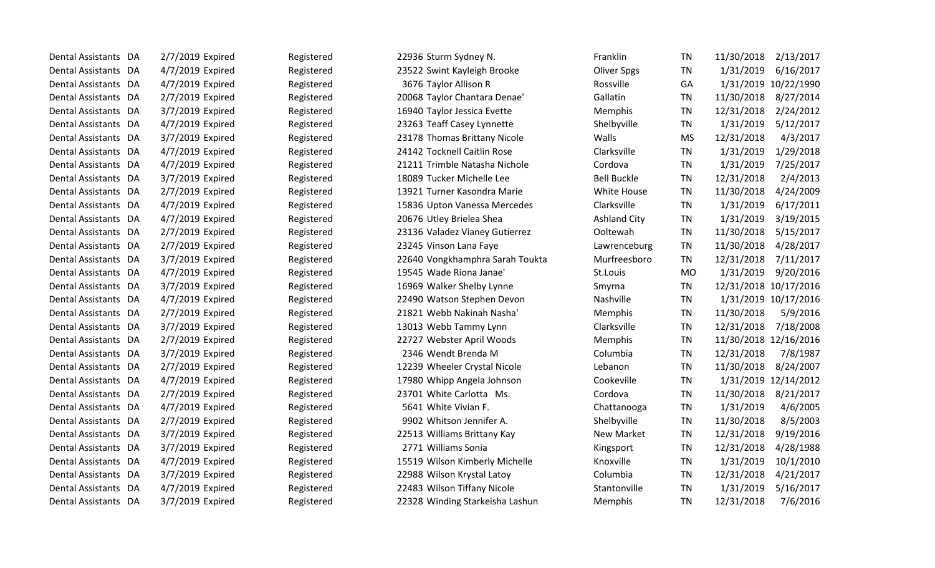| Dental Assistants DA | 2/7/2019 Expired | Registered | 22936 Sturm Sydney N.           | Franklin            | TN        | 11/30/2018<br>2/13/2017 |
|----------------------|------------------|------------|---------------------------------|---------------------|-----------|-------------------------|
| Dental Assistants DA | 4/7/2019 Expired | Registered | 23522 Swint Kayleigh Brooke     | <b>Oliver Spgs</b>  | <b>TN</b> | 1/31/2019<br>6/16/2017  |
| Dental Assistants DA | 4/7/2019 Expired | Registered | 3676 Taylor Allison R           | Rossville           | GA        | 1/31/2019 10/22/1990    |
| Dental Assistants DA | 2/7/2019 Expired | Registered | 20068 Taylor Chantara Denae'    | Gallatin            | <b>TN</b> | 11/30/2018 8/27/2014    |
| Dental Assistants DA | 3/7/2019 Expired | Registered | 16940 Taylor Jessica Evette     | Memphis             | <b>TN</b> | 12/31/2018<br>2/24/2012 |
| Dental Assistants DA | 4/7/2019 Expired | Registered | 23263 Teaff Casey Lynnette      | Shelbyville         | <b>TN</b> | 5/12/2017<br>1/31/2019  |
| Dental Assistants DA | 3/7/2019 Expired | Registered | 23178 Thomas Brittany Nicole    | Walls               | <b>MS</b> | 12/31/2018<br>4/3/2017  |
| Dental Assistants DA | 4/7/2019 Expired | Registered | 24142 Tocknell Caitlin Rose     | Clarksville         | <b>TN</b> | 1/31/2019<br>1/29/2018  |
| Dental Assistants DA | 4/7/2019 Expired | Registered | 21211 Trimble Natasha Nichole   | Cordova             | <b>TN</b> | 1/31/2019<br>7/25/2017  |
| Dental Assistants DA | 3/7/2019 Expired | Registered | 18089 Tucker Michelle Lee       | <b>Bell Buckle</b>  | <b>TN</b> | 12/31/2018<br>2/4/2013  |
| Dental Assistants DA | 2/7/2019 Expired | Registered | 13921 Turner Kasondra Marie     | White House         | TN        | 11/30/2018<br>4/24/2009 |
| Dental Assistants DA | 4/7/2019 Expired | Registered | 15836 Upton Vanessa Mercedes    | Clarksville         | <b>TN</b> | 1/31/2019<br>6/17/2011  |
| Dental Assistants DA | 4/7/2019 Expired | Registered | 20676 Utley Brielea Shea        | <b>Ashland City</b> | TN        | 1/31/2019<br>3/19/2015  |
| Dental Assistants DA | 2/7/2019 Expired | Registered | 23136 Valadez Vianey Gutierrez  | Ooltewah            | <b>TN</b> | 11/30/2018<br>5/15/2017 |
| Dental Assistants DA | 2/7/2019 Expired | Registered | 23245 Vinson Lana Faye          | Lawrenceburg        | <b>TN</b> | 11/30/2018<br>4/28/2017 |
| Dental Assistants DA | 3/7/2019 Expired | Registered | 22640 Vongkhamphra Sarah Toukta | Murfreesboro        | <b>TN</b> | 12/31/2018<br>7/11/2017 |
| Dental Assistants DA | 4/7/2019 Expired | Registered | 19545 Wade Riona Janae'         | St.Louis            | <b>MO</b> | 1/31/2019<br>9/20/2016  |
| Dental Assistants DA | 3/7/2019 Expired | Registered | 16969 Walker Shelby Lynne       | Smyrna              | <b>TN</b> | 12/31/2018 10/17/2016   |
| Dental Assistants DA | 4/7/2019 Expired | Registered | 22490 Watson Stephen Devon      | Nashville           | <b>TN</b> | 1/31/2019 10/17/2016    |
| Dental Assistants DA | 2/7/2019 Expired | Registered | 21821 Webb Nakinah Nasha'       | Memphis             | <b>TN</b> | 11/30/2018<br>5/9/2016  |
| Dental Assistants DA | 3/7/2019 Expired | Registered | 13013 Webb Tammy Lynn           | Clarksville         | <b>TN</b> | 12/31/2018<br>7/18/2008 |
| Dental Assistants DA | 2/7/2019 Expired | Registered | 22727 Webster April Woods       | Memphis             | <b>TN</b> | 11/30/2018 12/16/2016   |
| Dental Assistants DA | 3/7/2019 Expired | Registered | 2346 Wendt Brenda M             | Columbia            | TN        | 12/31/2018<br>7/8/1987  |
| Dental Assistants DA | 2/7/2019 Expired | Registered | 12239 Wheeler Crystal Nicole    | Lebanon             | TN        | 11/30/2018<br>8/24/2007 |
| Dental Assistants DA | 4/7/2019 Expired | Registered | 17980 Whipp Angela Johnson      | Cookeville          | <b>TN</b> | 1/31/2019 12/14/2012    |
| Dental Assistants DA | 2/7/2019 Expired | Registered | 23701 White Carlotta Ms.        | Cordova             | <b>TN</b> | 11/30/2018<br>8/21/2017 |
| Dental Assistants DA | 4/7/2019 Expired | Registered | 5641 White Vivian F.            | Chattanooga         | <b>TN</b> | 1/31/2019<br>4/6/2005   |
| Dental Assistants DA | 2/7/2019 Expired | Registered | 9902 Whitson Jennifer A.        | Shelbyville         | <b>TN</b> | 11/30/2018<br>8/5/2003  |
| Dental Assistants DA | 3/7/2019 Expired | Registered | 22513 Williams Brittany Kay     | New Market          | <b>TN</b> | 12/31/2018<br>9/19/2016 |
| Dental Assistants DA | 3/7/2019 Expired | Registered | 2771 Williams Sonia             | Kingsport           | <b>TN</b> | 12/31/2018<br>4/28/1988 |
| Dental Assistants DA | 4/7/2019 Expired | Registered | 15519 Wilson Kimberly Michelle  | Knoxville           | <b>TN</b> | 1/31/2019<br>10/1/2010  |
| Dental Assistants DA | 3/7/2019 Expired | Registered | 22988 Wilson Krystal Latoy      | Columbia            | TN        | 12/31/2018<br>4/21/2017 |
| Dental Assistants DA | 4/7/2019 Expired | Registered | 22483 Wilson Tiffany Nicole     | Stantonville        | <b>TN</b> | 1/31/2019<br>5/16/2017  |
| Dental Assistants DA | 3/7/2019 Expired | Registered | 22328 Winding Starkeisha Lashun | Memphis             | <b>TN</b> | 12/31/2018<br>7/6/2016  |